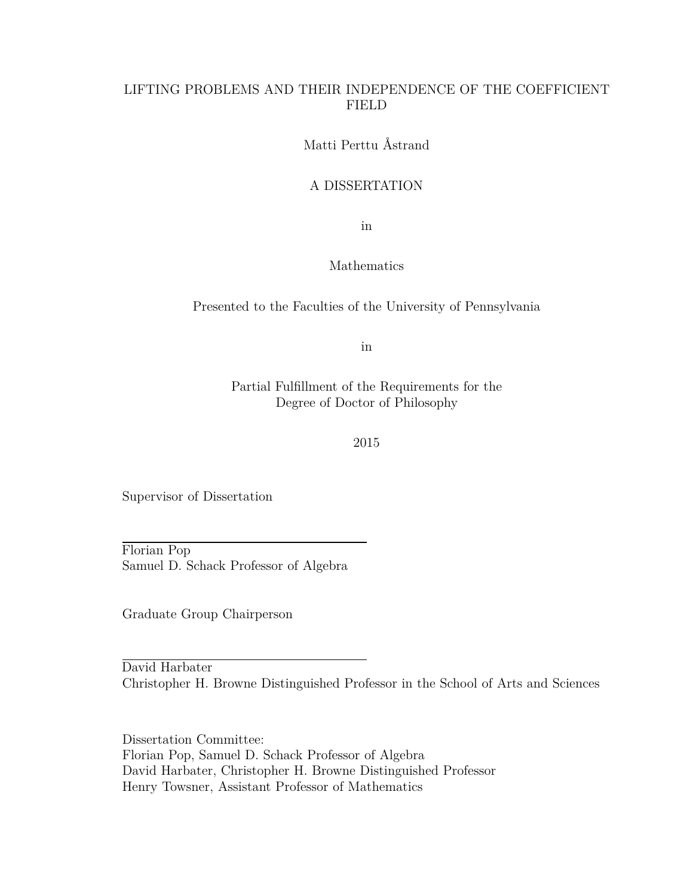### LIFTING PROBLEMS AND THEIR INDEPENDENCE OF THE COEFFICIENT FIELD

Matti Perttu Åstrand

### A DISSERTATION

in

#### Mathematics

### Presented to the Faculties of the University of Pennsylvania

in

Partial Fulfillment of the Requirements for the Degree of Doctor of Philosophy

2015

Supervisor of Dissertation

Florian Pop Samuel D. Schack Professor of Algebra

Graduate Group Chairperson

David Harbater Christopher H. Browne Distinguished Professor in the School of Arts and Sciences

Dissertation Committee: Florian Pop, Samuel D. Schack Professor of Algebra David Harbater, Christopher H. Browne Distinguished Professor Henry Towsner, Assistant Professor of Mathematics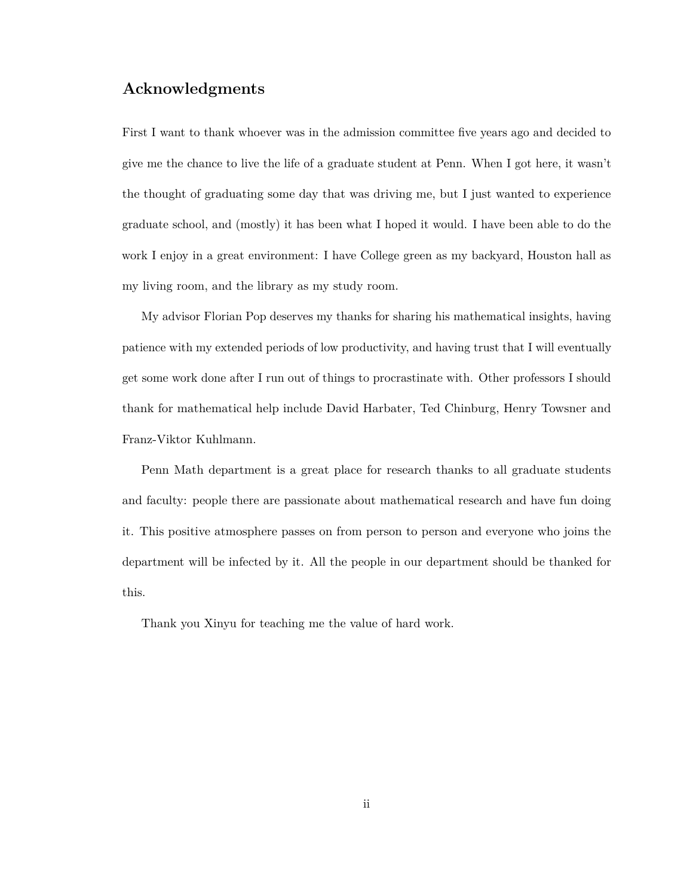## **Acknowledgments**

First I want to thank whoever was in the admission committee five years ago and decided to give me the chance to live the life of a graduate student at Penn. When I got here, it wasn't the thought of graduating some day that was driving me, but I just wanted to experience graduate school, and (mostly) it has been what I hoped it would. I have been able to do the work I enjoy in a great environment: I have College green as my backyard, Houston hall as my living room, and the library as my study room.

My advisor Florian Pop deserves my thanks for sharing his mathematical insights, having patience with my extended periods of low productivity, and having trust that I will eventually get some work done after I run out of things to procrastinate with. Other professors I should thank for mathematical help include David Harbater, Ted Chinburg, Henry Towsner and Franz-Viktor Kuhlmann.

Penn Math department is a great place for research thanks to all graduate students and faculty: people there are passionate about mathematical research and have fun doing it. This positive atmosphere passes on from person to person and everyone who joins the department will be infected by it. All the people in our department should be thanked for this.

Thank you Xinyu for teaching me the value of hard work.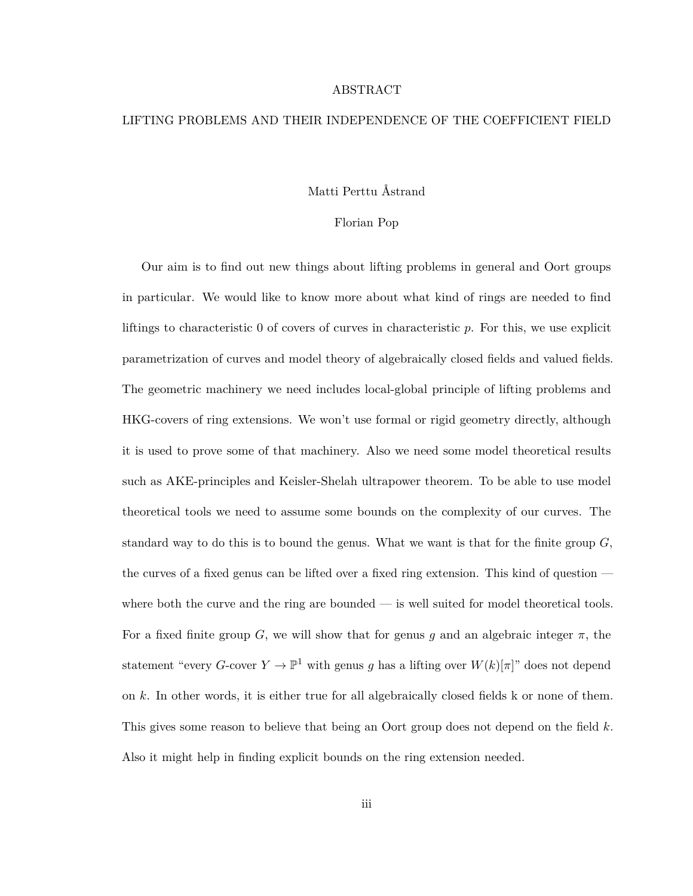#### ABSTRACT

#### LIFTING PROBLEMS AND THEIR INDEPENDENCE OF THE COEFFICIENT FIELD

#### Matti Perttu Åstrand

#### Florian Pop

Our aim is to find out new things about lifting problems in general and Oort groups in particular. We would like to know more about what kind of rings are needed to find liftings to characteristic 0 of covers of curves in characteristic *p*. For this, we use explicit parametrization of curves and model theory of algebraically closed fields and valued fields. The geometric machinery we need includes local-global principle of lifting problems and HKG-covers of ring extensions. We won't use formal or rigid geometry directly, although it is used to prove some of that machinery. Also we need some model theoretical results such as AKE-principles and Keisler-Shelah ultrapower theorem. To be able to use model theoretical tools we need to assume some bounds on the complexity of our curves. The standard way to do this is to bound the genus. What we want is that for the finite group *G*, the curves of a fixed genus can be lifted over a fixed ring extension. This kind of question where both the curve and the ring are bounded — is well suited for model theoretical tools. For a fixed finite group *G*, we will show that for genus *g* and an algebraic integer  $\pi$ , the statement "every *G*-cover  $Y \to \mathbb{P}^1$  with genus *g* has a lifting over  $W(k)[\pi]$ " does not depend on *k*. In other words, it is either true for all algebraically closed fields k or none of them. This gives some reason to believe that being an Oort group does not depend on the field *k*. Also it might help in finding explicit bounds on the ring extension needed.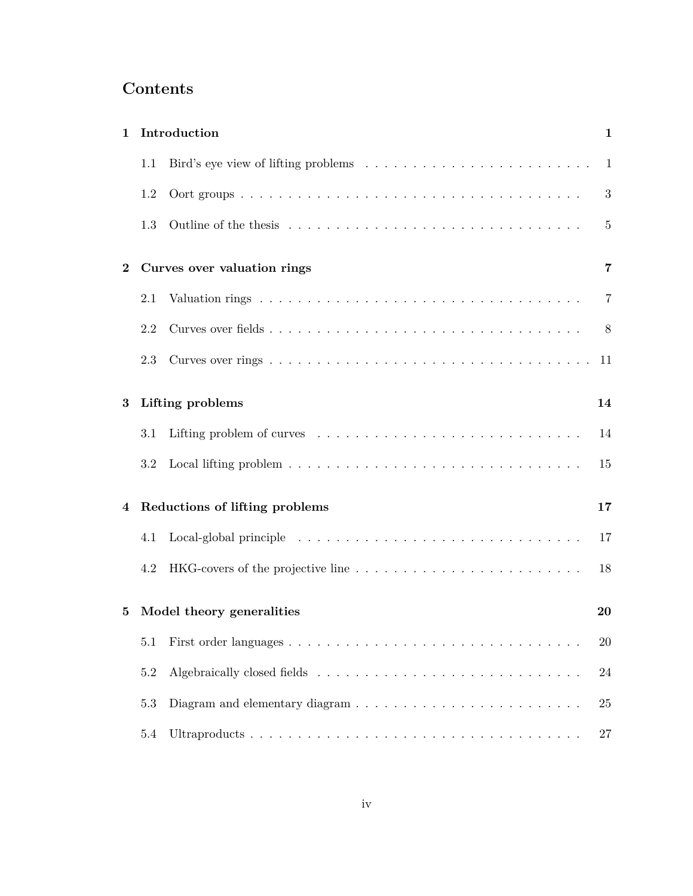# **Contents**

| 1        | Introduction<br>$\mathbf{1}$    |                                |                |  |  |
|----------|---------------------------------|--------------------------------|----------------|--|--|
|          | 1.1                             |                                | $\mathbf{1}$   |  |  |
|          | 1.2                             |                                | 3              |  |  |
|          | 1.3                             |                                | $\overline{5}$ |  |  |
| $\bf{2}$ |                                 | Curves over valuation rings    | 7              |  |  |
|          | 2.1                             |                                | 7              |  |  |
|          | 2.2                             |                                | 8              |  |  |
|          | 2.3                             |                                | -11            |  |  |
| 3        |                                 | Lifting problems               | 14             |  |  |
|          | $3.1\,$                         |                                | 14             |  |  |
|          | 3.2                             |                                | 15             |  |  |
| 4        |                                 | Reductions of lifting problems | 17             |  |  |
|          | 4.1                             |                                | 17             |  |  |
|          | 4.2                             |                                | 18             |  |  |
| 5        | Model theory generalities<br>20 |                                |                |  |  |
|          | 5.1                             |                                | $20\,$         |  |  |
|          | 5.2                             |                                | 24             |  |  |
|          | 5.3                             |                                | 25             |  |  |
|          | 5.4                             |                                | 27             |  |  |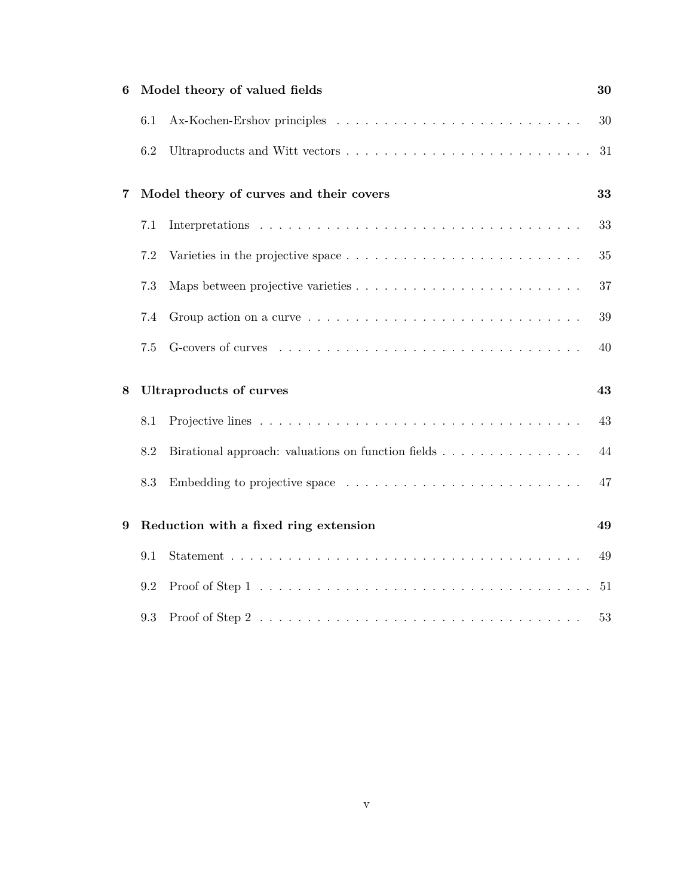| 6                                            |     | Model theory of valued fields                                                                   | 30 |
|----------------------------------------------|-----|-------------------------------------------------------------------------------------------------|----|
|                                              | 6.1 |                                                                                                 | 30 |
|                                              | 6.2 |                                                                                                 | 31 |
| Model theory of curves and their covers<br>7 |     |                                                                                                 |    |
|                                              | 7.1 |                                                                                                 | 33 |
|                                              | 7.2 | Varieties in the projective space $\dots \dots \dots \dots \dots \dots \dots \dots \dots \dots$ | 35 |
|                                              | 7.3 |                                                                                                 | 37 |
|                                              | 7.4 |                                                                                                 | 39 |
|                                              | 7.5 |                                                                                                 | 40 |
| 8                                            |     | <b>Ultraproducts of curves</b>                                                                  | 43 |
|                                              | 8.1 |                                                                                                 | 43 |
|                                              | 8.2 | Birational approach: valuations on function fields                                              | 44 |
|                                              | 8.3 |                                                                                                 | 47 |
| 9                                            |     | Reduction with a fixed ring extension                                                           | 49 |
|                                              | 9.1 |                                                                                                 | 49 |
|                                              | 9.2 |                                                                                                 | 51 |
|                                              | 9.3 |                                                                                                 | 53 |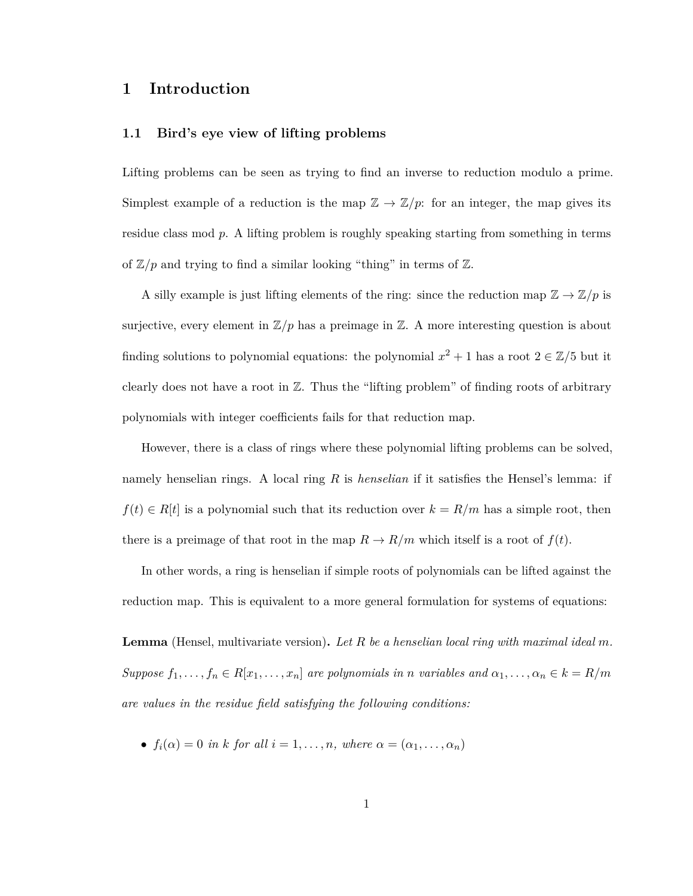### <span id="page-5-0"></span>**1 Introduction**

#### <span id="page-5-1"></span>**1.1 Bird's eye view of lifting problems**

Lifting problems can be seen as trying to find an inverse to reduction modulo a prime. Simplest example of a reduction is the map  $\mathbb{Z} \to \mathbb{Z}/p$ : for an integer, the map gives its residue class mod *p*. A lifting problem is roughly speaking starting from something in terms of  $\mathbb{Z}/p$  and trying to find a similar looking "thing" in terms of  $\mathbb{Z}$ .

A silly example is just lifting elements of the ring: since the reduction map  $\mathbb{Z} \to \mathbb{Z}/p$  is surjective, every element in  $\mathbb{Z}/p$  has a preimage in  $\mathbb{Z}$ . A more interesting question is about finding solutions to polynomial equations: the polynomial  $x^2 + 1$  has a root  $2 \in \mathbb{Z}/5$  but it clearly does not have a root in  $\mathbb{Z}$ . Thus the "lifting problem" of finding roots of arbitrary polynomials with integer coefficients fails for that reduction map.

However, there is a class of rings where these polynomial lifting problems can be solved, namely henselian rings. A local ring *R* is *henselian* if it satisfies the Hensel's lemma: if  $f(t) \in R[t]$  is a polynomial such that its reduction over  $k = R/m$  has a simple root, then there is a preimage of that root in the map  $R \to R/m$  which itself is a root of  $f(t)$ .

In other words, a ring is henselian if simple roots of polynomials can be lifted against the reduction map. This is equivalent to a more general formulation for systems of equations:

**Lemma** (Hensel, multivariate version)**.** *Let R be a henselian local ring with maximal ideal m. Suppose*  $f_1, \ldots, f_n \in R[x_1, \ldots, x_n]$  *are polynomials in n variables and*  $\alpha_1, \ldots, \alpha_n \in k = R/m$ *are values in the residue field satisfying the following conditions:*

•  $f_i(\alpha) = 0$  *in k for all*  $i = 1, \ldots, n$ *, where*  $\alpha = (\alpha_1, \ldots, \alpha_n)$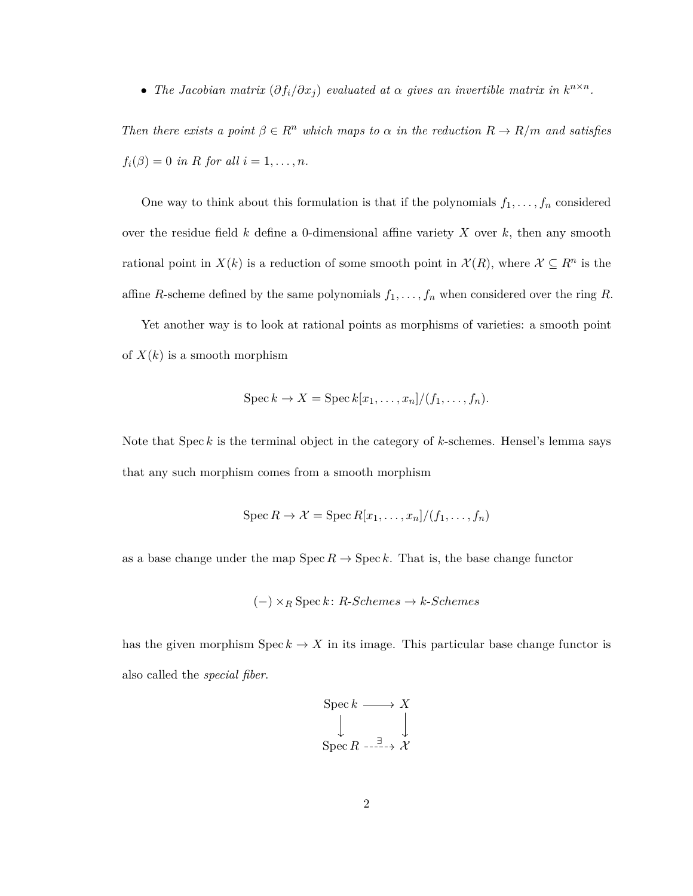• *The Jacobian matrix*  $(\partial f_i/\partial x_j)$  *evaluated at*  $\alpha$  *gives an invertible matrix in*  $k^{n \times n}$ *.* 

*Then there exists a point*  $\beta \in \mathbb{R}^n$  *which maps to*  $\alpha$  *in the reduction*  $R \to R/m$  *and satisfies*  $f_i(\beta) = 0$  *in R for all*  $i = 1, ..., n$ *.* 

One way to think about this formulation is that if the polynomials  $f_1, \ldots, f_n$  considered over the residue field *k* define a 0-dimensional affine variety *X* over *k*, then any smooth rational point in  $X(k)$  is a reduction of some smooth point in  $\mathcal{X}(R)$ , where  $\mathcal{X} \subseteq R^n$  is the affine *R*-scheme defined by the same polynomials  $f_1, \ldots, f_n$  when considered over the ring *R*.

Yet another way is to look at rational points as morphisms of varieties: a smooth point of  $X(k)$  is a smooth morphism

$$
Spec k \to X = Spec k[x_1, \ldots, x_n]/(f_1, \ldots, f_n).
$$

Note that Spec *k* is the terminal object in the category of *k*-schemes. Hensel's lemma says that any such morphism comes from a smooth morphism

$$
\operatorname{Spec} R \to \mathcal{X} = \operatorname{Spec} R[x_1, \ldots, x_n]/(f_1, \ldots, f_n)
$$

as a base change under the map  $\operatorname{Spec} R \to \operatorname{Spec} k$ . That is, the base change functor

$$
(-) \times_R \operatorname{Spec} k : R-Schemes \to k-Schemes
$$

has the given morphism  $\text{Spec } k \to X$  in its image. This particular base change functor is also called the *special fiber*.

$$
\begin{array}{ccc}\n\text{Spec } k & \longrightarrow & X \\
\downarrow & & \downarrow \\
\text{Spec } R & \xrightarrow{\exists} & \mathcal{X}\n\end{array}
$$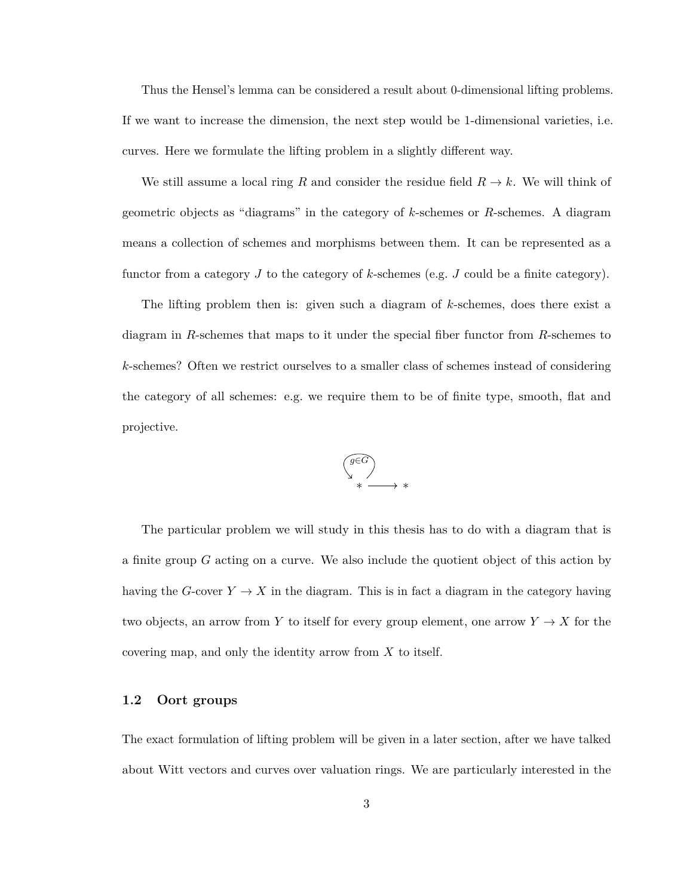Thus the Hensel's lemma can be considered a result about 0-dimensional lifting problems. If we want to increase the dimension, the next step would be 1-dimensional varieties, i.e. curves. Here we formulate the lifting problem in a slightly different way.

We still assume a local ring R and consider the residue field  $R \to k$ . We will think of geometric objects as "diagrams" in the category of *k*-schemes or *R*-schemes. A diagram means a collection of schemes and morphisms between them. It can be represented as a functor from a category *J* to the category of *k*-schemes (e.g. *J* could be a finite category).

The lifting problem then is: given such a diagram of *k*-schemes, does there exist a diagram in *R*-schemes that maps to it under the special fiber functor from *R*-schemes to *k*-schemes? Often we restrict ourselves to a smaller class of schemes instead of considering the category of all schemes: e.g. we require them to be of finite type, smooth, flat and projective.



The particular problem we will study in this thesis has to do with a diagram that is a finite group *G* acting on a curve. We also include the quotient object of this action by having the *G*-cover  $Y \to X$  in the diagram. This is in fact a diagram in the category having two objects, an arrow from *Y* to itself for every group element, one arrow  $Y \to X$  for the covering map, and only the identity arrow from *X* to itself.

#### <span id="page-7-0"></span>**1.2 Oort groups**

The exact formulation of lifting problem will be given in a later section, after we have talked about Witt vectors and curves over valuation rings. We are particularly interested in the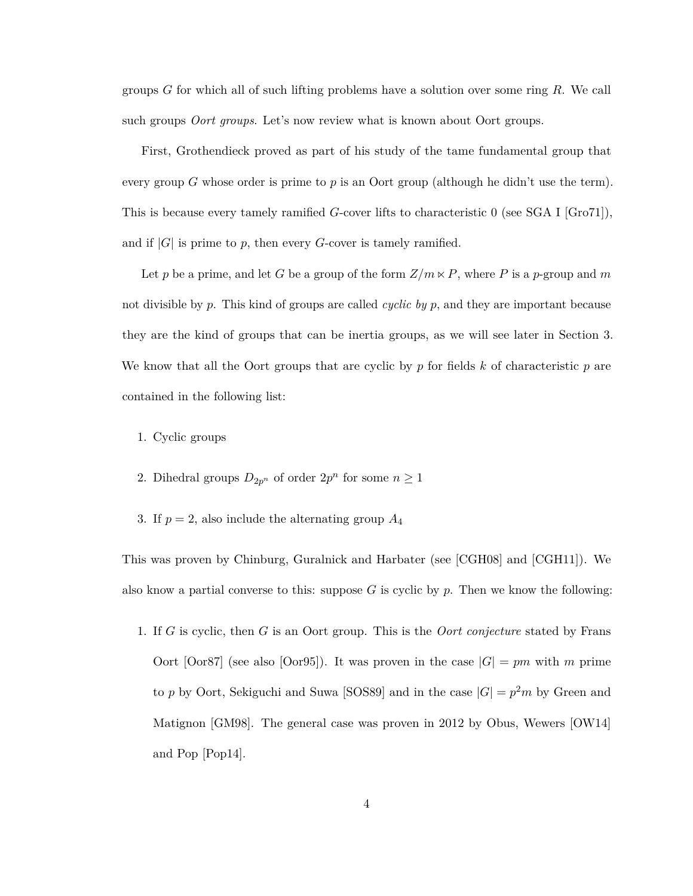groups *G* for which all of such lifting problems have a solution over some ring *R*. We call such groups *Oort groups*. Let's now review what is known about Oort groups.

First, Grothendieck proved as part of his study of the tame fundamental group that every group *G* whose order is prime to *p* is an Oort group (although he didn't use the term). This is because every tamely ramified *G*-cover lifts to characteristic 0 (see SGA I [\[Gro71\]](#page-60-0)), and if  $|G|$  is prime to p, then every G-cover is tamely ramified.

Let *p* be a prime, and let *G* be a group of the form  $Z/m \times P$ , where *P* is a *p*-group and *m* not divisible by *p*. This kind of groups are called *cyclic by p*, and they are important because they are the kind of groups that can be inertia groups, as we will see later in Section [3.](#page-18-0) We know that all the Oort groups that are cyclic by *p* for fields *k* of characteristic *p* are contained in the following list:

- 1. Cyclic groups
- 2. Dihedral groups  $D_{2p^n}$  of order  $2p^n$  for some  $n \geq 1$
- 3. If  $p = 2$ , also include the alternating group  $A_4$

This was proven by Chinburg, Guralnick and Harbater (see [\[CGH08\]](#page-60-1) and [\[CGH11\]](#page-60-2)). We also know a partial converse to this: suppose *G* is cyclic by *p*. Then we know the following:

1. If *G* is cyclic, then *G* is an Oort group. This is the *Oort conjecture* stated by Frans Oort  $[Oor87]$  (see also  $[Oor95]$ ). It was proven in the case  $|G| = pm$  with m prime to *p* by Oort, Sekiguchi and Suwa [\[SOS89\]](#page-62-0) and in the case  $|G| = p^2 m$  by Green and Matignon [\[GM98\]](#page-60-3). The general case was proven in 2012 by Obus, Wewers [\[OW14\]](#page-61-2) and Pop [\[Pop14\]](#page-62-1).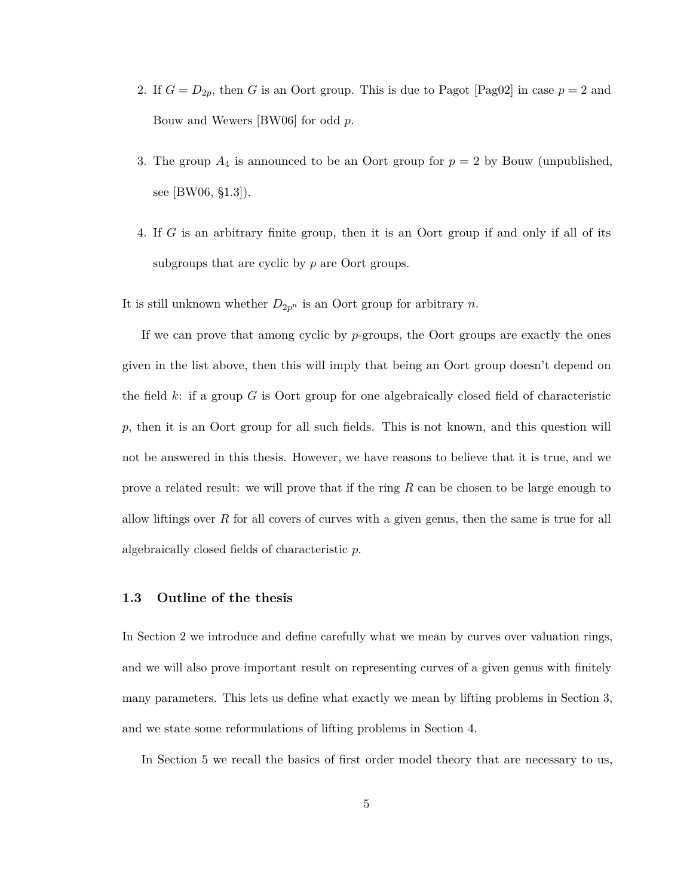- 2. If  $G = D_{2p}$ , then *G* is an Oort group. This is due to Pagot [\[Pag02\]](#page-62-2) in case  $p = 2$  and Bouw and Wewers [\[BW06\]](#page-60-4) for odd *p*.
- 3. The group  $A_4$  is announced to be an Oort group for  $p = 2$  by Bouw (unpublished, see [\[BW06,](#page-60-4) §1.3]).
- 4. If *G* is an arbitrary finite group, then it is an Oort group if and only if all of its subgroups that are cyclic by *p* are Oort groups.

It is still unknown whether  $D_{2p^n}$  is an Oort group for arbitrary *n*.

If we can prove that among cyclic by *p*-groups, the Oort groups are exactly the ones given in the list above, then this will imply that being an Oort group doesn't depend on the field *k*: if a group *G* is Oort group for one algebraically closed field of characteristic *p*, then it is an Oort group for all such fields. This is not known, and this question will not be answered in this thesis. However, we have reasons to believe that it is true, and we prove a related result: we will prove that if the ring *R* can be chosen to be large enough to allow liftings over *R* for all covers of curves with a given genus, then the same is true for all algebraically closed fields of characteristic *p*.

#### <span id="page-9-0"></span>**1.3 Outline of the thesis**

In Section [2](#page-11-0) we introduce and define carefully what we mean by curves over valuation rings, and we will also prove important result on representing curves of a given genus with finitely many parameters. This lets us define what exactly we mean by lifting problems in Section [3,](#page-18-0) and we state some reformulations of lifting problems in Section [4.](#page-21-0)

In Section [5](#page-24-0) we recall the basics of first order model theory that are necessary to us,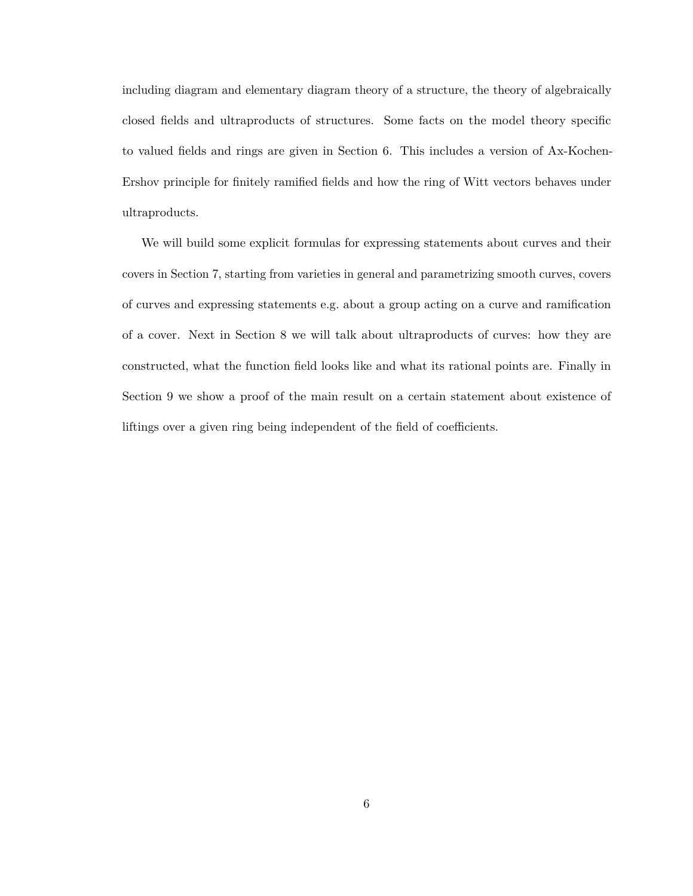including diagram and elementary diagram theory of a structure, the theory of algebraically closed fields and ultraproducts of structures. Some facts on the model theory specific to valued fields and rings are given in Section [6.](#page-34-0) This includes a version of Ax-Kochen-Ershov principle for finitely ramified fields and how the ring of Witt vectors behaves under ultraproducts.

We will build some explicit formulas for expressing statements about curves and their covers in Section [7,](#page-37-0) starting from varieties in general and parametrizing smooth curves, covers of curves and expressing statements e.g. about a group acting on a curve and ramification of a cover. Next in Section [8](#page-47-0) we will talk about ultraproducts of curves: how they are constructed, what the function field looks like and what its rational points are. Finally in Section [9](#page-53-0) we show a proof of the main result on a certain statement about existence of liftings over a given ring being independent of the field of coefficients.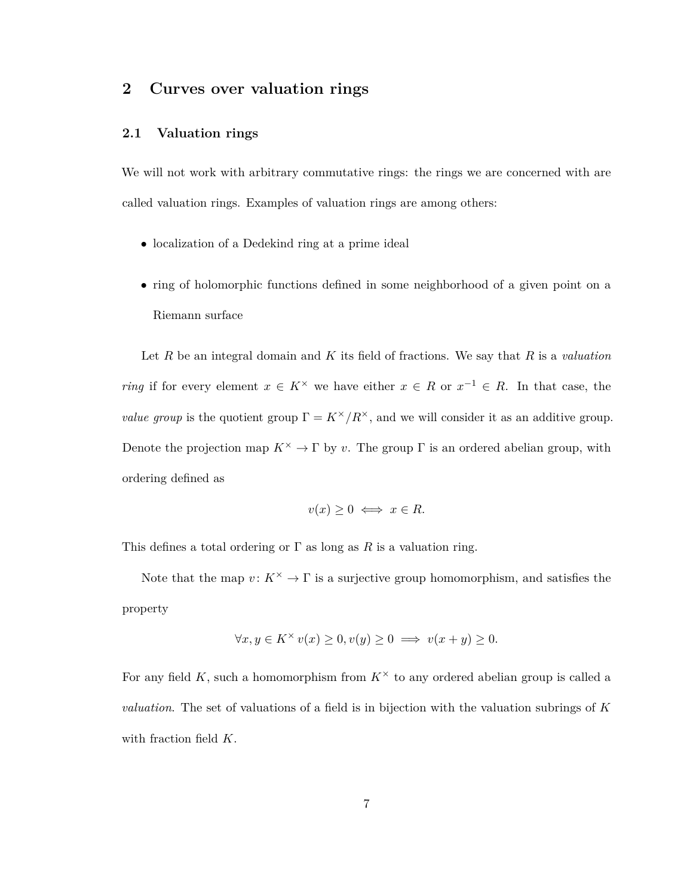## <span id="page-11-0"></span>**2 Curves over valuation rings**

#### <span id="page-11-1"></span>**2.1 Valuation rings**

We will not work with arbitrary commutative rings: the rings we are concerned with are called valuation rings. Examples of valuation rings are among others:

- localization of a Dedekind ring at a prime ideal
- ring of holomorphic functions defined in some neighborhood of a given point on a Riemann surface

Let *R* be an integral domain and *K* its field of fractions. We say that *R* is a *valuation ring* if for every element  $x \in K^\times$  we have either  $x \in R$  or  $x^{-1} \in R$ . In that case, the *value group* is the quotient group  $\Gamma = K^{\times}/R^{\times}$ , and we will consider it as an additive group. Denote the projection map  $K^{\times} \to \Gamma$  by *v*. The group  $\Gamma$  is an ordered abelian group, with ordering defined as

$$
v(x) \ge 0 \iff x \in R.
$$

This defines a total ordering or  $\Gamma$  as long as  $R$  is a valuation ring.

Note that the map  $v: K^{\times} \to \Gamma$  is a surjective group homomorphism, and satisfies the property

$$
\forall x, y \in K^{\times} v(x) \ge 0, v(y) \ge 0 \implies v(x+y) \ge 0.
$$

For any field K, such a homomorphism from  $K^{\times}$  to any ordered abelian group is called a *valuation*. The set of valuations of a field is in bijection with the valuation subrings of *K* with fraction field *K*.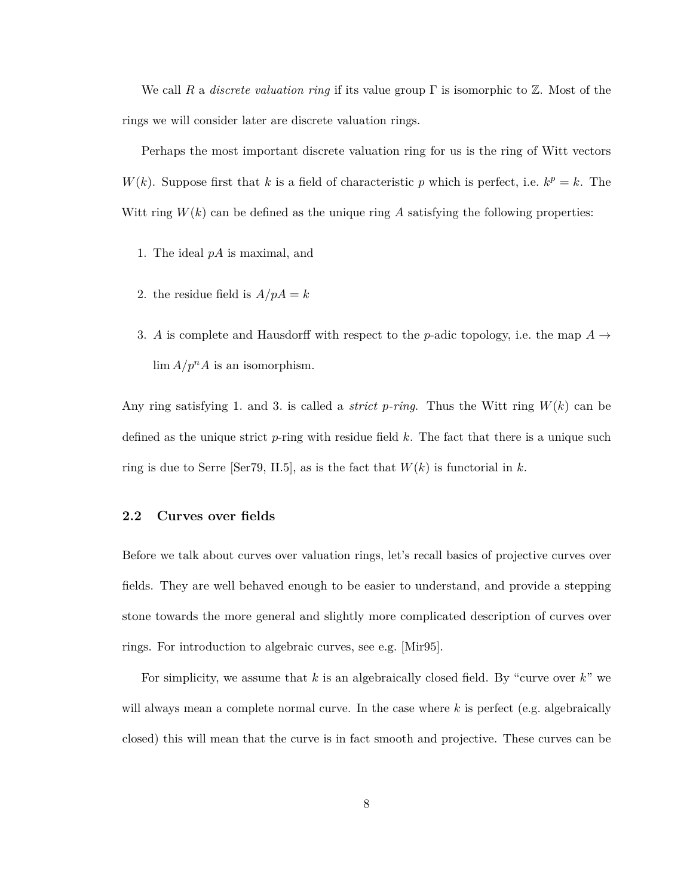We call *R* a *discrete valuation ring* if its value group Γ is isomorphic to Z. Most of the rings we will consider later are discrete valuation rings.

Perhaps the most important discrete valuation ring for us is the ring of Witt vectors *W*(*k*). Suppose first that *k* is a field of characteristic *p* which is perfect, i.e.  $k^p = k$ . The Witt ring  $W(k)$  can be defined as the unique ring A satisfying the following properties:

- 1. The ideal *pA* is maximal, and
- 2. the residue field is  $A/pA = k$
- 3. *A* is complete and Hausdorff with respect to the *p*-adic topology, i.e. the map  $A \rightarrow$  $\lim_{n \to \infty} A/p^n A$  is an isomorphism.

Any ring satisfying 1. and 3. is called a *strict p-ring*. Thus the Witt ring *W*(*k*) can be defined as the unique strict *p*-ring with residue field *k*. The fact that there is a unique such ring is due to Serre  $\lbrack \text{Ser79}, \text{II.5} \rbrack$ , as is the fact that  $W(k)$  is functorial in *k*.

#### <span id="page-12-0"></span>**2.2 Curves over fields**

Before we talk about curves over valuation rings, let's recall basics of projective curves over fields. They are well behaved enough to be easier to understand, and provide a stepping stone towards the more general and slightly more complicated description of curves over rings. For introduction to algebraic curves, see e.g. [\[Mir95\]](#page-61-3).

For simplicity, we assume that *k* is an algebraically closed field. By "curve over *k*" we will always mean a complete normal curve. In the case where *k* is perfect (e.g. algebraically closed) this will mean that the curve is in fact smooth and projective. These curves can be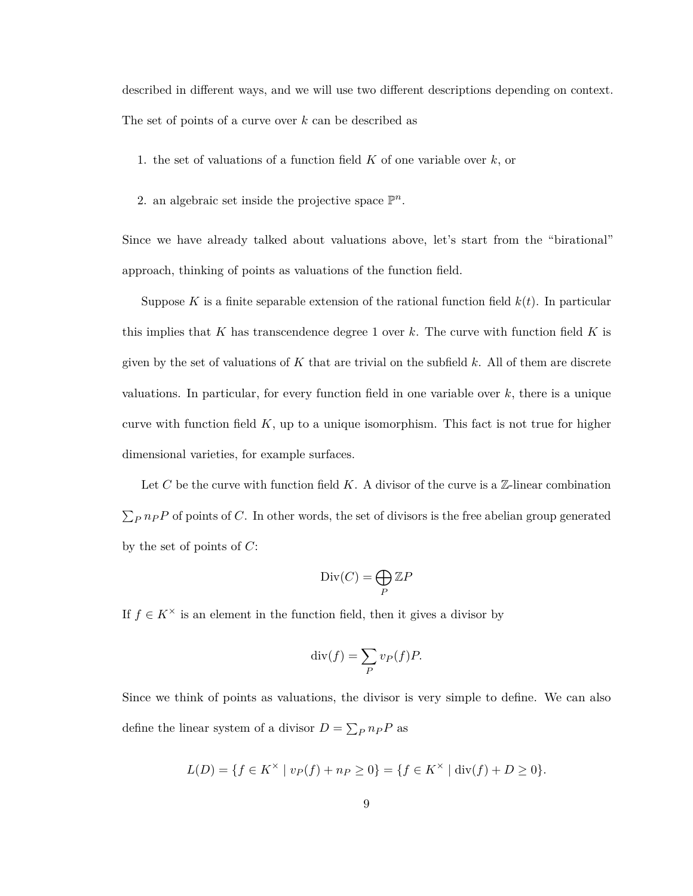described in different ways, and we will use two different descriptions depending on context. The set of points of a curve over *k* can be described as

- 1. the set of valuations of a function field *K* of one variable over *k*, or
- 2. an algebraic set inside the projective space  $\mathbb{P}^n$ .

Since we have already talked about valuations above, let's start from the "birational" approach, thinking of points as valuations of the function field.

Suppose K is a finite separable extension of the rational function field  $k(t)$ . In particular this implies that *K* has transcendence degree 1 over *k*. The curve with function field *K* is given by the set of valuations of *K* that are trivial on the subfield *k*. All of them are discrete valuations. In particular, for every function field in one variable over *k*, there is a unique curve with function field  $K$ , up to a unique isomorphism. This fact is not true for higher dimensional varieties, for example surfaces.

Let C be the curve with function field  $K$ . A divisor of the curve is a  $\mathbb{Z}$ -linear combination  $\sum_{P} n_{P}P$  of points of *C*. In other words, the set of divisors is the free abelian group generated by the set of points of *C*:

$$
\text{Div}(C) = \bigoplus_{P} \mathbb{Z}P
$$

If  $f \in K^{\times}$  is an element in the function field, then it gives a divisor by

$$
\operatorname{div}(f) = \sum_{P} v_P(f) P.
$$

Since we think of points as valuations, the divisor is very simple to define. We can also define the linear system of a divisor  $D = \sum_{P} n_{P}P$  as

$$
L(D) = \{ f \in K^{\times} \mid v_P(f) + n_P \ge 0 \} = \{ f \in K^{\times} \mid \text{div}(f) + D \ge 0 \}.
$$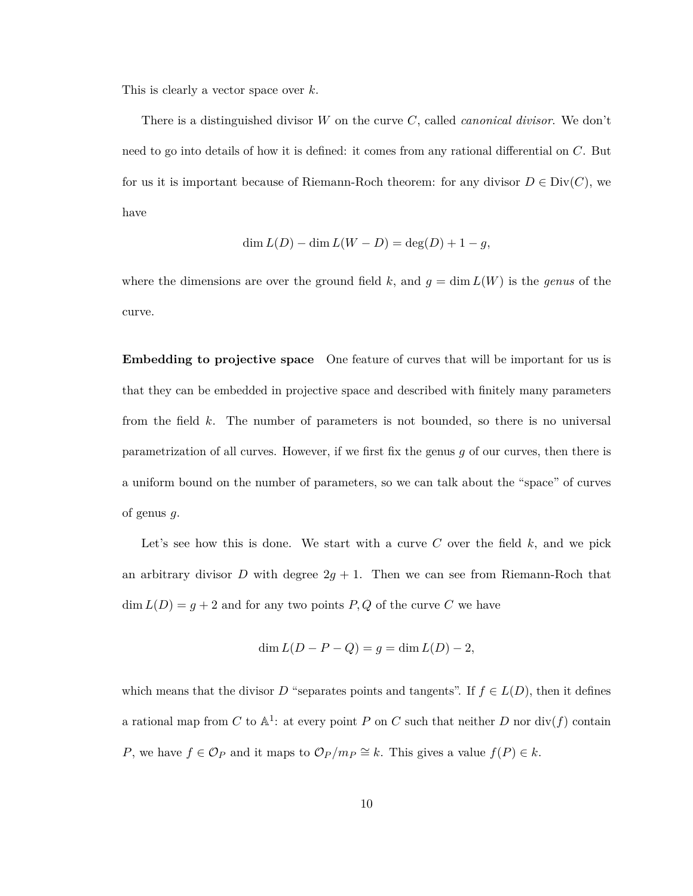This is clearly a vector space over *k*.

There is a distinguished divisor *W* on the curve *C*, called *canonical divisor*. We don't need to go into details of how it is defined: it comes from any rational differential on *C*. But for us it is important because of Riemann-Roch theorem: for any divisor  $D \in Div(C)$ , we have

$$
\dim L(D) - \dim L(W - D) = \deg(D) + 1 - g,
$$

where the dimensions are over the ground field k, and  $g = \dim L(W)$  is the *genus* of the curve.

**Embedding to projective space** One feature of curves that will be important for us is that they can be embedded in projective space and described with finitely many parameters from the field *k*. The number of parameters is not bounded, so there is no universal parametrization of all curves. However, if we first fix the genus *g* of our curves, then there is a uniform bound on the number of parameters, so we can talk about the "space" of curves of genus *g*.

Let's see how this is done. We start with a curve  $C$  over the field  $k$ , and we pick an arbitrary divisor *D* with degree  $2g + 1$ . Then we can see from Riemann-Roch that  $\dim L(D) = g + 2$  and for any two points *P*, *Q* of the curve *C* we have

$$
\dim L(D - P - Q) = g = \dim L(D) - 2,
$$

which means that the divisor *D* "separates points and tangents". If  $f \in L(D)$ , then it defines a rational map from *C* to  $A^1$ : at every point *P* on *C* such that neither *D* nor div(*f*) contain *P*, we have  $f \in \mathcal{O}_P$  and it maps to  $\mathcal{O}_P/m_P \cong k$ . This gives a value  $f(P) \in k$ .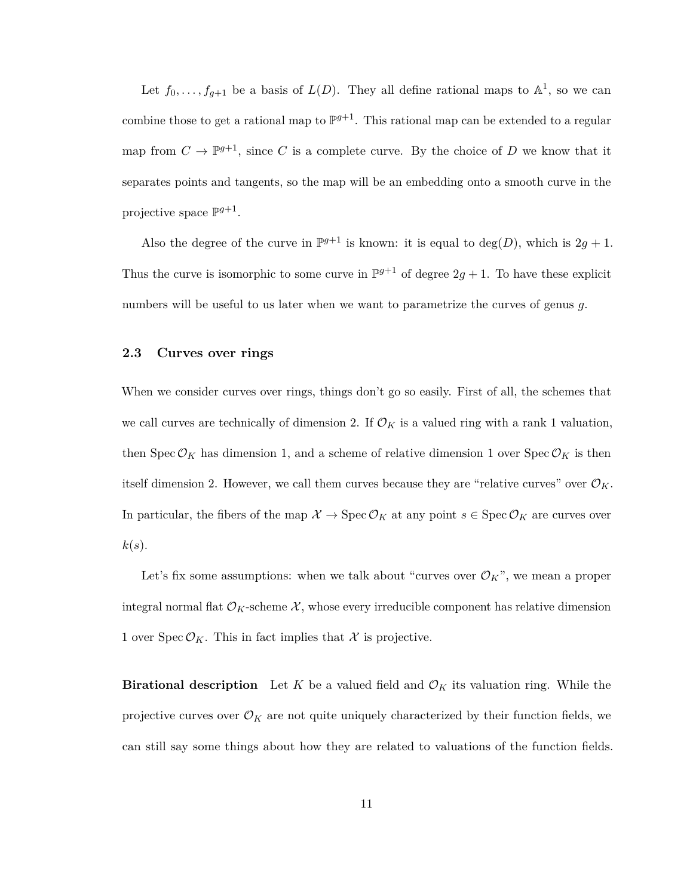Let  $f_0, \ldots, f_{g+1}$  be a basis of  $L(D)$ . They all define rational maps to  $\mathbb{A}^1$ , so we can combine those to get a rational map to  $\mathbb{P}^{g+1}$ . This rational map can be extended to a regular map from  $C \to \mathbb{P}^{g+1}$ , since *C* is a complete curve. By the choice of *D* we know that it separates points and tangents, so the map will be an embedding onto a smooth curve in the projective space  $\mathbb{P}^{g+1}$ .

Also the degree of the curve in  $\mathbb{P}^{g+1}$  is known: it is equal to  $deg(D)$ , which is  $2g + 1$ . Thus the curve is isomorphic to some curve in  $\mathbb{P}^{g+1}$  of degree  $2g + 1$ . To have these explicit numbers will be useful to us later when we want to parametrize the curves of genus *g*.

#### <span id="page-15-0"></span>**2.3 Curves over rings**

When we consider curves over rings, things don't go so easily. First of all, the schemes that we call curves are technically of dimension 2. If  $\mathcal{O}_K$  is a valued ring with a rank 1 valuation, then  $Spec\,\mathcal{O}_K$  has dimension 1, and a scheme of relative dimension 1 over  $Spec\,\mathcal{O}_K$  is then itself dimension 2. However, we call them curves because they are "relative curves" over  $\mathcal{O}_K$ . In particular, the fibers of the map  $\mathcal{X} \to \text{Spec } \mathcal{O}_K$  at any point  $s \in \text{Spec } \mathcal{O}_K$  are curves over  $k(s)$ .

Let's fix some assumptions: when we talk about "curves over  $\mathcal{O}_K$ ", we mean a proper integral normal flat  $\mathcal{O}_K$ -scheme  $\mathcal{X}$ , whose every irreducible component has relative dimension 1 over  $Spec\mathcal{O}_K$ . This in fact implies that X is projective.

**Birational description** Let *K* be a valued field and  $\mathcal{O}_K$  its valuation ring. While the projective curves over  $\mathcal{O}_K$  are not quite uniquely characterized by their function fields, we can still say some things about how they are related to valuations of the function fields.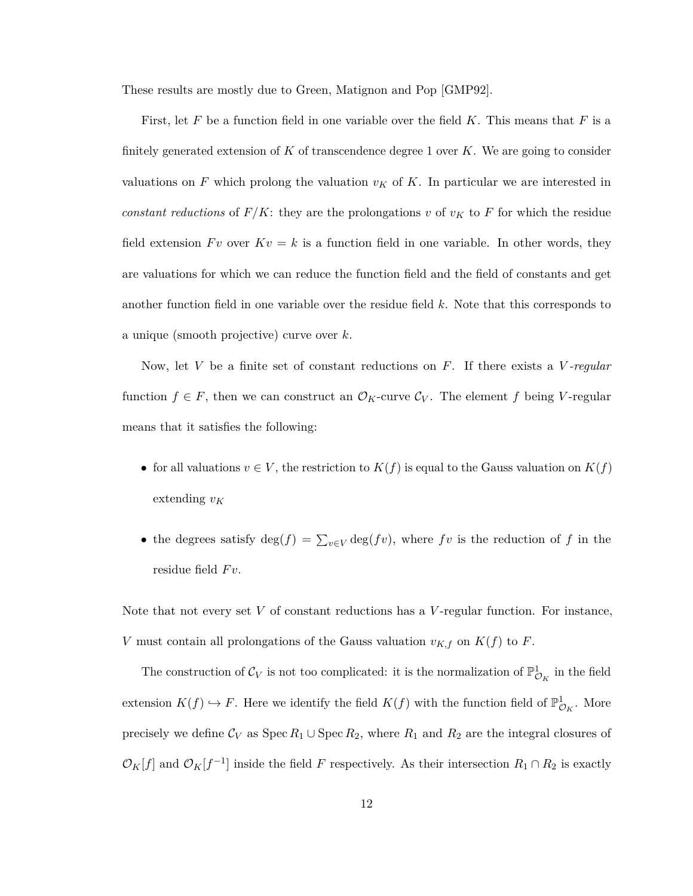These results are mostly due to Green, Matignon and Pop [\[GMP92\]](#page-60-5).

First, let *F* be a function field in one variable over the field *K*. This means that *F* is a finitely generated extension of *K* of transcendence degree 1 over *K*. We are going to consider valuations on  $F$  which prolong the valuation  $v_K$  of  $K$ . In particular we are interested in *constant reductions* of  $F/K$ : they are the prolongations *v* of  $v_K$  to F for which the residue field extension  $Fv$  over  $Kv = k$  is a function field in one variable. In other words, they are valuations for which we can reduce the function field and the field of constants and get another function field in one variable over the residue field *k*. Note that this corresponds to a unique (smooth projective) curve over *k*.

Now, let *V* be a finite set of constant reductions on *F*. If there exists a *V -regular* function  $f \in F$ , then we can construct an  $\mathcal{O}_K$ -curve  $\mathcal{C}_V$ . The element f being *V*-regular means that it satisfies the following:

- for all valuations  $v \in V$ , the restriction to  $K(f)$  is equal to the Gauss valuation on  $K(f)$ extending *v<sup>K</sup>*
- the degrees satisfy  $\deg(f) = \sum_{v \in V} \deg(fv)$ , where *fv* is the reduction of *f* in the residue field  $Fv$ .

Note that not every set *V* of constant reductions has a *V* -regular function. For instance, *V* must contain all prolongations of the Gauss valuation  $v_{K,f}$  on  $K(f)$  to *F*.

The construction of  $\mathcal{C}_V$  is not too complicated: it is the normalization of  $\mathbb{P}^1_{\mathcal{O}_K}$  in the field extension  $K(f) \hookrightarrow F$ . Here we identify the field  $K(f)$  with the function field of  $\mathbb{P}^1_{\mathcal{O}_K}$ . More precisely we define  $C_V$  as  $Spec R_1 \cup Spec R_2$ , where  $R_1$  and  $R_2$  are the integral closures of  $\mathcal{O}_K[f]$  and  $\mathcal{O}_K[f^{-1}]$  inside the field *F* respectively. As their intersection  $R_1 \cap R_2$  is exactly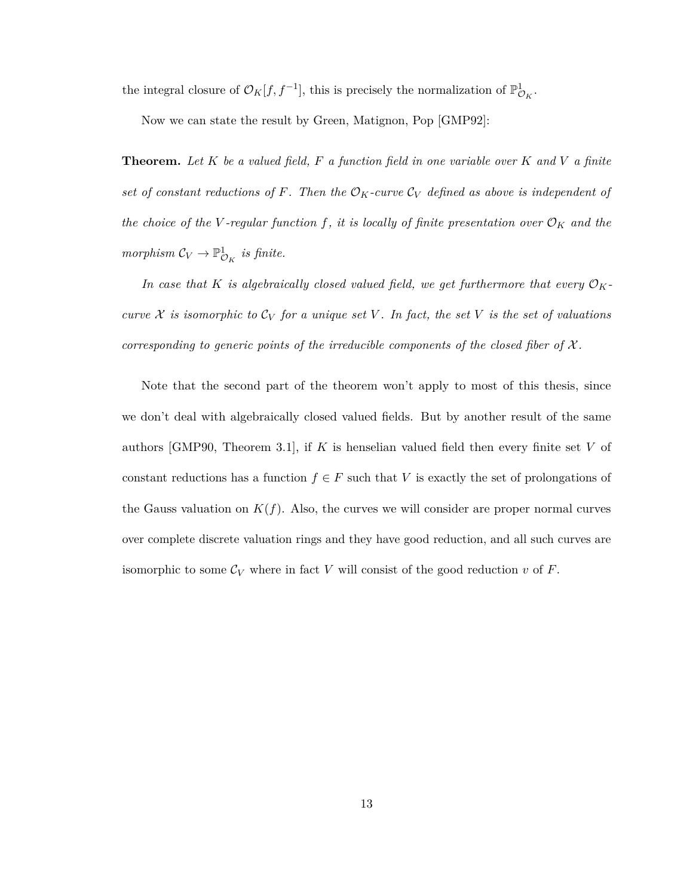the integral closure of  $\mathcal{O}_K[f, f^{-1}]$ , this is precisely the normalization of  $\mathbb{P}^1_{\mathcal{O}_K}$ .

Now we can state the result by Green, Matignon, Pop [\[GMP92\]](#page-60-5):

**Theorem.** *Let K be a valued field, F a function field in one variable over K and V a finite set of constant reductions of*  $F$ *. Then the*  $\mathcal{O}_K$ *-curve*  $\mathcal{C}_V$  *defined as above is independent of the choice of the V -regular function*  $f$ *, it is locally of finite presentation over*  $\mathcal{O}_K$  *and the*  $morphism C_V \to \mathbb{P}^1_{\mathcal{O}_K}$  *is finite.* 

In case that K is algebraically closed valued field, we get furthermore that every  $\mathcal{O}_K$ *curve*  $X$  *is isomorphic to*  $C_V$  *for a unique set*  $V$ *. In fact, the set*  $V$  *is the set of valuations corresponding to generic points of the irreducible components of the closed fiber of*  $\mathcal{X}$ *.* 

Note that the second part of the theorem won't apply to most of this thesis, since we don't deal with algebraically closed valued fields. But by another result of the same authors [\[GMP90,](#page-60-6) Theorem 3.1], if *K* is henselian valued field then every finite set *V* of constant reductions has a function  $f \in F$  such that *V* is exactly the set of prolongations of the Gauss valuation on  $K(f)$ . Also, the curves we will consider are proper normal curves over complete discrete valuation rings and they have good reduction, and all such curves are isomorphic to some  $\mathcal{C}_V$  where in fact  $V$  will consist of the good reduction  $v$  of  $F$ .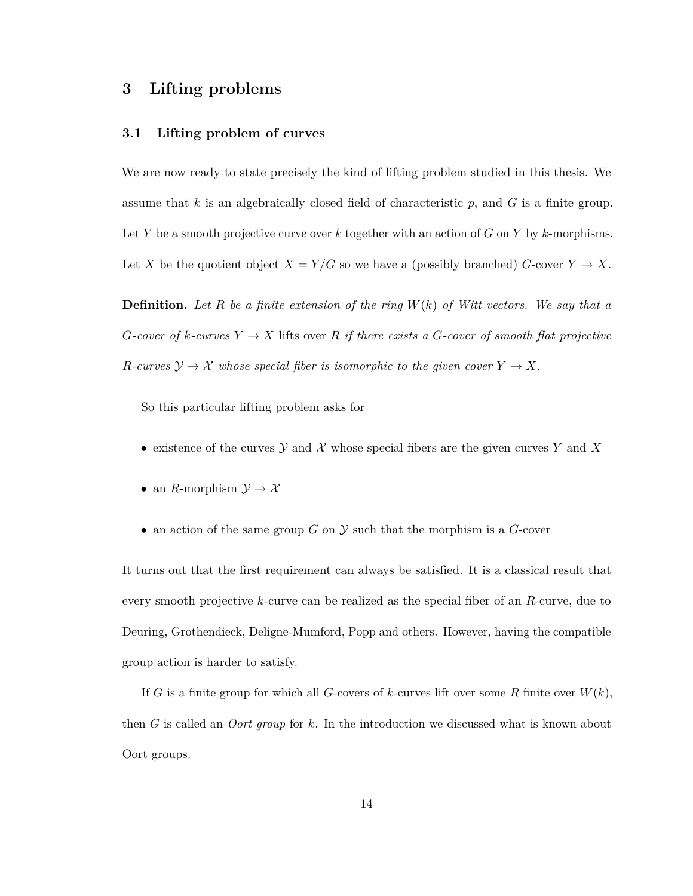## <span id="page-18-0"></span>**3 Lifting problems**

#### <span id="page-18-1"></span>**3.1 Lifting problem of curves**

We are now ready to state precisely the kind of lifting problem studied in this thesis. We assume that *k* is an algebraically closed field of characteristic *p*, and *G* is a finite group. Let *Y* be a smooth projective curve over *k* together with an action of *G* on *Y* by *k*-morphisms. Let *X* be the quotient object  $X = Y/G$  so we have a (possibly branched)  $G$ -cover  $Y \to X$ .

**Definition.** *Let R be a finite extension of the ring W*(*k*) *of Witt vectors. We say that a G*-cover of *k*-curves  $Y \to X$  lifts over *R if there exists a G*-cover of smooth flat projective *R*-curves  $\mathcal{Y} \to \mathcal{X}$  whose special fiber is isomorphic to the given cover  $Y \to X$ .

So this particular lifting problem asks for

- existence of the curves  $\mathcal Y$  and  $\mathcal X$  whose special fibers are the given curves  $Y$  and  $X$
- an *R*-morphism  $\mathcal{Y} \to \mathcal{X}$
- an action of the same group  $G$  on  $\mathcal Y$  such that the morphism is a  $G$ -cover

It turns out that the first requirement can always be satisfied. It is a classical result that every smooth projective *k*-curve can be realized as the special fiber of an *R*-curve, due to Deuring, Grothendieck, Deligne-Mumford, Popp and others. However, having the compatible group action is harder to satisfy.

If *G* is a finite group for which all *G*-covers of *k*-curves lift over some *R* finite over  $W(k)$ , then *G* is called an *Oort group* for *k*. In the introduction we discussed what is known about Oort groups.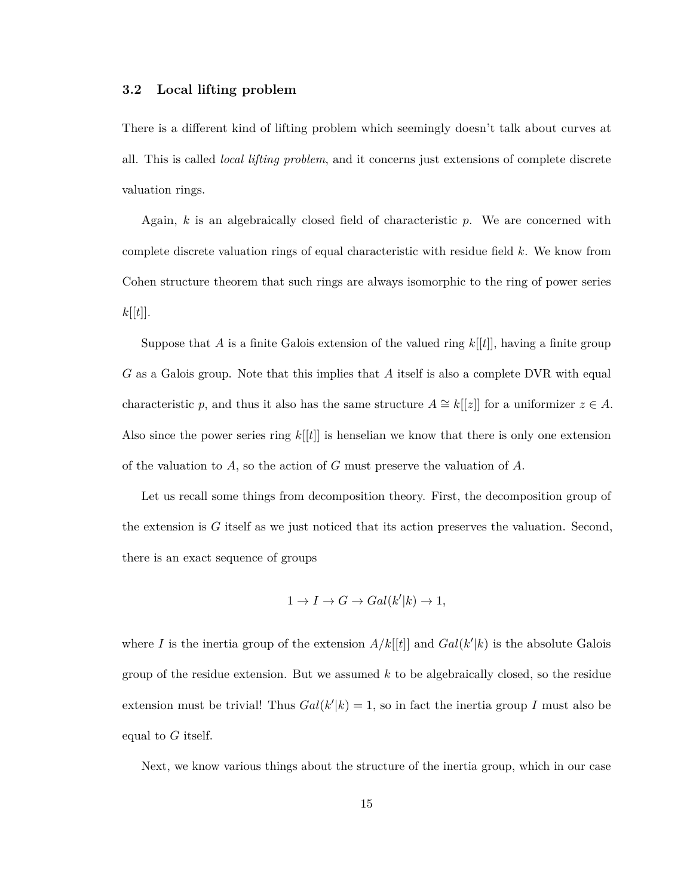#### <span id="page-19-0"></span>**3.2 Local lifting problem**

There is a different kind of lifting problem which seemingly doesn't talk about curves at all. This is called *local lifting problem*, and it concerns just extensions of complete discrete valuation rings.

Again, *k* is an algebraically closed field of characteristic *p*. We are concerned with complete discrete valuation rings of equal characteristic with residue field *k*. We know from Cohen structure theorem that such rings are always isomorphic to the ring of power series  $k[[t]].$ 

Suppose that *A* is a finite Galois extension of the valued ring *k*[[*t*]], having a finite group *G* as a Galois group. Note that this implies that *A* itself is also a complete DVR with equal characteristic *p*, and thus it also has the same structure  $A \cong k[[z]]$  for a uniformizer  $z \in A$ . Also since the power series ring *k*[[*t*]] is henselian we know that there is only one extension of the valuation to *A*, so the action of *G* must preserve the valuation of *A*.

Let us recall some things from decomposition theory. First, the decomposition group of the extension is *G* itself as we just noticed that its action preserves the valuation. Second, there is an exact sequence of groups

$$
1 \to I \to G \to Gal(k'|k) \to 1,
$$

where *I* is the inertia group of the extension  $A/k[[t]]$  and  $Gal(k'|k)$  is the absolute Galois group of the residue extension. But we assumed *k* to be algebraically closed, so the residue extension must be trivial! Thus  $Gal(k'|k) = 1$ , so in fact the inertia group *I* must also be equal to *G* itself.

Next, we know various things about the structure of the inertia group, which in our case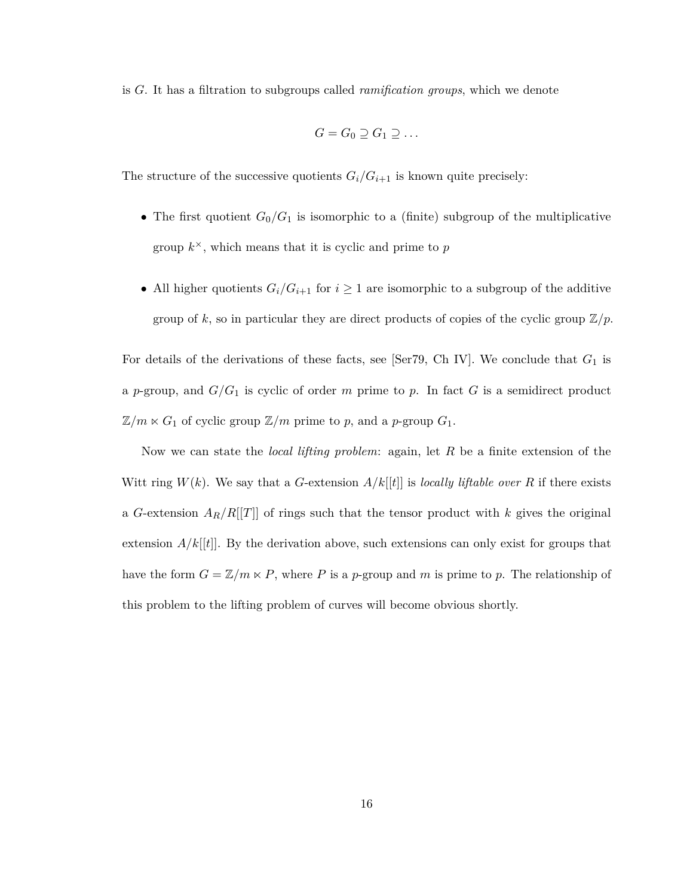is *G*. It has a filtration to subgroups called *ramification groups*, which we denote

$$
G=G_0\supseteq G_1\supseteq \ldots
$$

The structure of the successive quotients  $G_i/G_{i+1}$  is known quite precisely:

- The first quotient  $G_0/G_1$  is isomorphic to a (finite) subgroup of the multiplicative group  $k^{\times}$ , which means that it is cyclic and prime to  $p$
- All higher quotients  $G_i/G_{i+1}$  for  $i \geq 1$  are isomorphic to a subgroup of the additive group of k, so in particular they are direct products of copies of the cyclic group  $\mathbb{Z}/p$ .

For details of the derivations of these facts, see [\[Ser79,](#page-62-3) Ch IV]. We conclude that *G*<sup>1</sup> is a *p*-group, and *G/G*<sup>1</sup> is cyclic of order *m* prime to *p*. In fact *G* is a semidirect product  $\mathbb{Z}/m \ltimes G_1$  of cyclic group  $\mathbb{Z}/m$  prime to p, and a p-group  $G_1$ .

Now we can state the *local lifting problem*: again, let *R* be a finite extension of the Witt ring  $W(k)$ . We say that a *G*-extension  $A/k[[t]]$  is *locally liftable over R* if there exists a *G*-extension *AR/R*[[*T*]] of rings such that the tensor product with *k* gives the original extension  $A/k[[t]]$ . By the derivation above, such extensions can only exist for groups that have the form  $G = \mathbb{Z}/m \ltimes P$ , where P is a p-group and m is prime to p. The relationship of this problem to the lifting problem of curves will become obvious shortly.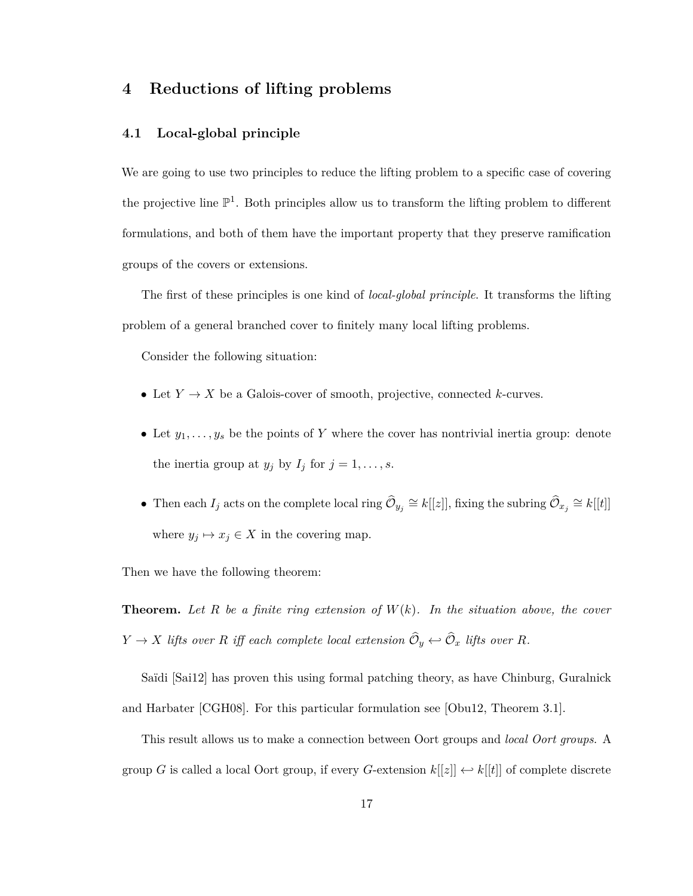## <span id="page-21-0"></span>**4 Reductions of lifting problems**

#### <span id="page-21-1"></span>**4.1 Local-global principle**

We are going to use two principles to reduce the lifting problem to a specific case of covering the projective line  $\mathbb{P}^1$ . Both principles allow us to transform the lifting problem to different formulations, and both of them have the important property that they preserve ramification groups of the covers or extensions.

The first of these principles is one kind of *local-global principle*. It transforms the lifting problem of a general branched cover to finitely many local lifting problems.

Consider the following situation:

- Let  $Y \to X$  be a Galois-cover of smooth, projective, connected *k*-curves.
- Let  $y_1, \ldots, y_s$  be the points of Y where the cover has nontrivial inertia group: denote the inertia group at  $y_j$  by  $I_j$  for  $j = 1, \ldots, s$ .
- Then each  $I_j$  acts on the complete local ring  $\hat{\mathcal{O}}_{y_j} \cong k[[z]]$ , fixing the subring  $\hat{\mathcal{O}}_{x_j} \cong k[[t]]$ where  $y_j \mapsto x_j \in X$  in the covering map.

Then we have the following theorem:

**Theorem.** Let  $R$  be a finite ring extension of  $W(k)$ . In the situation above, the cover  $Y \rightarrow X$  *lifts over*  $R$  *iff each complete local extension*  $\mathcal{O}_y \leftarrow \mathcal{O}_x$  *lifts over*  $R$ *.* 

Saïdi [\[Sai12\]](#page-62-4) has proven this using formal patching theory, as have Chinburg, Guralnick and Harbater [\[CGH08\]](#page-60-1). For this particular formulation see [\[Obu12,](#page-61-4) Theorem 3.1].

This result allows us to make a connection between Oort groups and *local Oort groups*. A group *G* is called a local Oort group, if every *G*-extension  $k[[z]] \leftrightarrow k[[t]]$  of complete discrete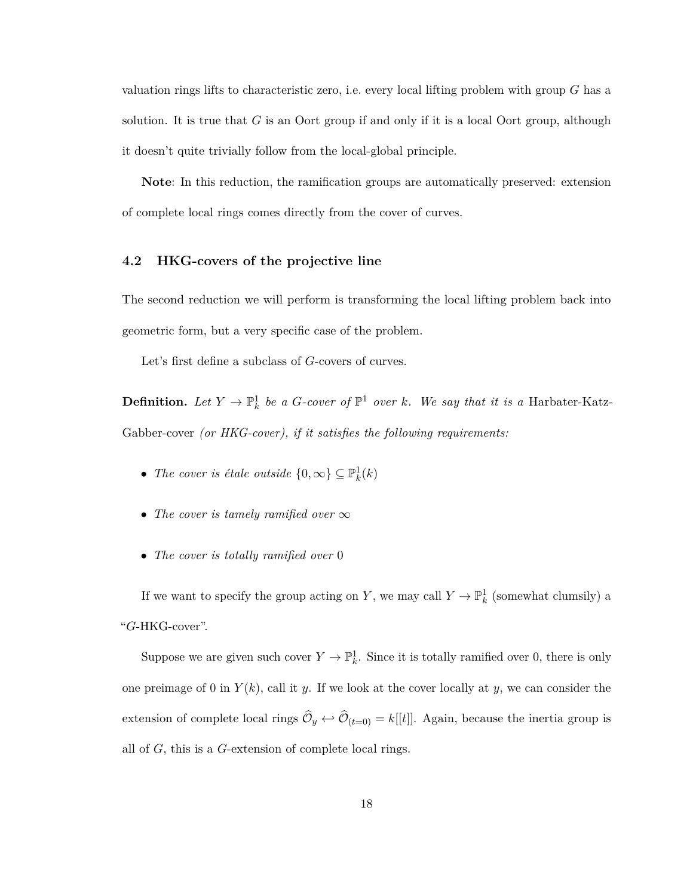valuation rings lifts to characteristic zero, i.e. every local lifting problem with group *G* has a solution. It is true that *G* is an Oort group if and only if it is a local Oort group, although it doesn't quite trivially follow from the local-global principle.

**Note**: In this reduction, the ramification groups are automatically preserved: extension of complete local rings comes directly from the cover of curves.

#### <span id="page-22-0"></span>**4.2 HKG-covers of the projective line**

The second reduction we will perform is transforming the local lifting problem back into geometric form, but a very specific case of the problem.

Let's first define a subclass of *G*-covers of curves.

**Definition.** Let  $Y \to \mathbb{P}^1_k$  be a *G*-cover of  $\mathbb{P}^1$  over *k*. We say that it is a Harbater-Katz-Gabber-cover *(or HKG-cover), if it satisfies the following requirements:*

- *The cover is étale outside*  $\{0, \infty\} \subseteq \mathbb{P}_k^1(k)$
- *The cover is tamely ramified over* ∞
- *The cover is totally ramified over* 0

If we want to specify the group acting on *Y*, we may call  $Y \to \mathbb{P}^1_k$  (somewhat clumsily) a "*G*-HKG-cover".

Suppose we are given such cover  $Y \to \mathbb{P}^1_k$ . Since it is totally ramified over 0, there is only one preimage of 0 in  $Y(k)$ , call it *y*. If we look at the cover locally at *y*, we can consider the extension of complete local rings  $\mathcal{O}_y \leftrightarrow \mathcal{O}_{(t=0)} = k[[t]]$ . Again, because the inertia group is all of *G*, this is a *G*-extension of complete local rings.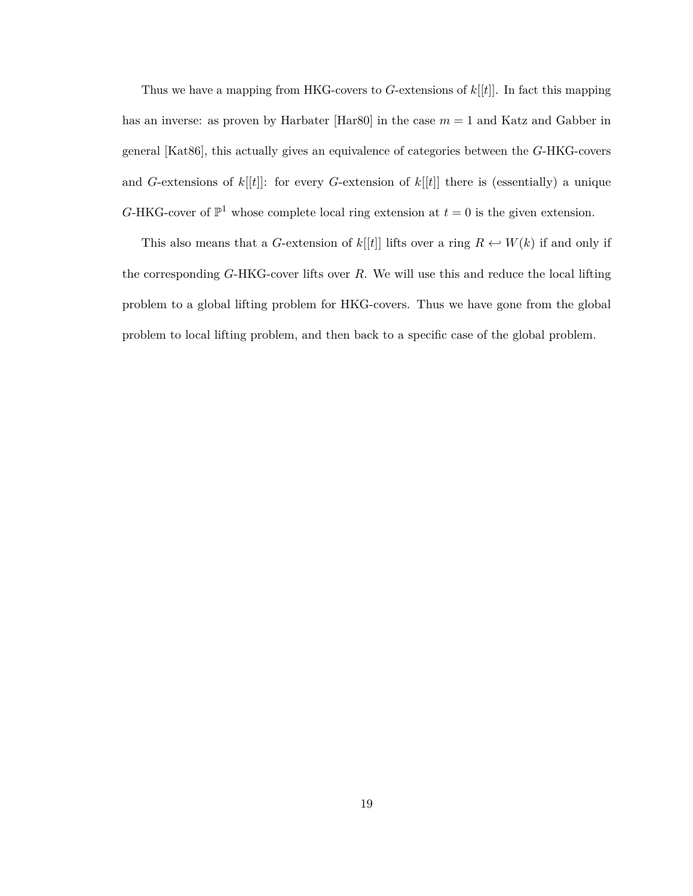Thus we have a mapping from HKG-covers to *G*-extensions of *k*[[*t*]]. In fact this mapping has an inverse: as proven by Harbater [Har $80$ ] in the case  $m = 1$  and Katz and Gabber in general [\[Kat86\]](#page-61-6), this actually gives an equivalence of categories between the *G*-HKG-covers and *G*-extensions of *k*[[*t*]]: for every *G*-extension of *k*[[*t*]] there is (essentially) a unique *G*-HKG-cover of  $\mathbb{P}^1$  whose complete local ring extension at  $t = 0$  is the given extension.

This also means that a *G*-extension of  $k[[t]]$  lifts over a ring  $R \leftarrow W(k)$  if and only if the corresponding *G*-HKG-cover lifts over *R*. We will use this and reduce the local lifting problem to a global lifting problem for HKG-covers. Thus we have gone from the global problem to local lifting problem, and then back to a specific case of the global problem.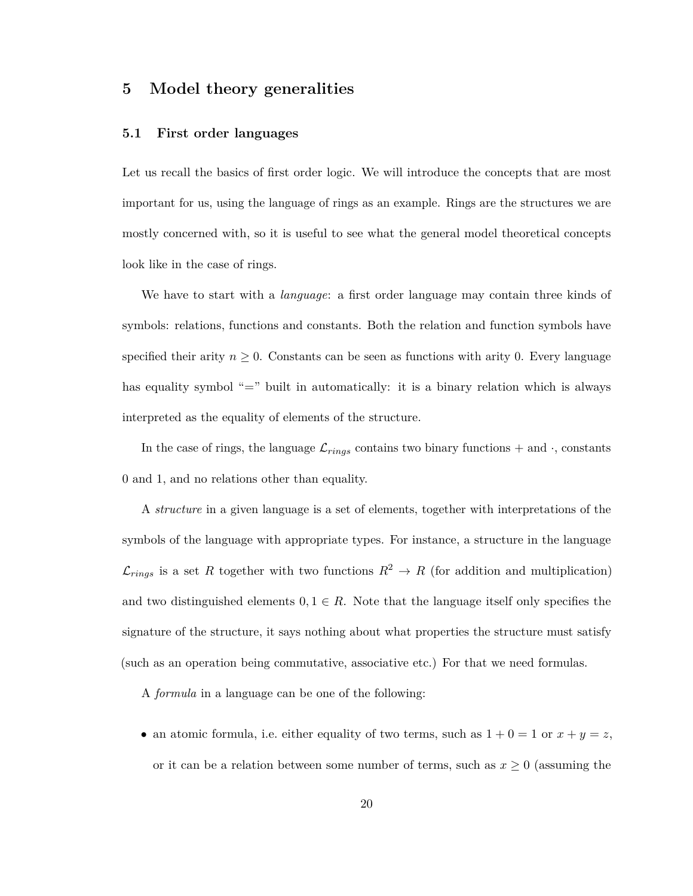## <span id="page-24-0"></span>**5 Model theory generalities**

#### <span id="page-24-1"></span>**5.1 First order languages**

Let us recall the basics of first order logic. We will introduce the concepts that are most important for us, using the language of rings as an example. Rings are the structures we are mostly concerned with, so it is useful to see what the general model theoretical concepts look like in the case of rings.

We have to start with a *language*: a first order language may contain three kinds of symbols: relations, functions and constants. Both the relation and function symbols have specified their arity  $n \geq 0$ . Constants can be seen as functions with arity 0. Every language has equality symbol "=" built in automatically: it is a binary relation which is always interpreted as the equality of elements of the structure.

In the case of rings, the language  $\mathcal{L}_{rings}$  contains two binary functions  $+$  and  $\cdot$ , constants 0 and 1, and no relations other than equality.

A *structure* in a given language is a set of elements, together with interpretations of the symbols of the language with appropriate types. For instance, a structure in the language  $\mathcal{L}_{rings}$  is a set *R* together with two functions  $R^2 \to R$  (for addition and multiplication) and two distinguished elements  $0, 1 \in R$ . Note that the language itself only specifies the signature of the structure, it says nothing about what properties the structure must satisfy (such as an operation being commutative, associative etc.) For that we need formulas.

A *formula* in a language can be one of the following:

• an atomic formula, i.e. either equality of two terms, such as  $1 + 0 = 1$  or  $x + y = z$ , or it can be a relation between some number of terms, such as  $x \geq 0$  (assuming the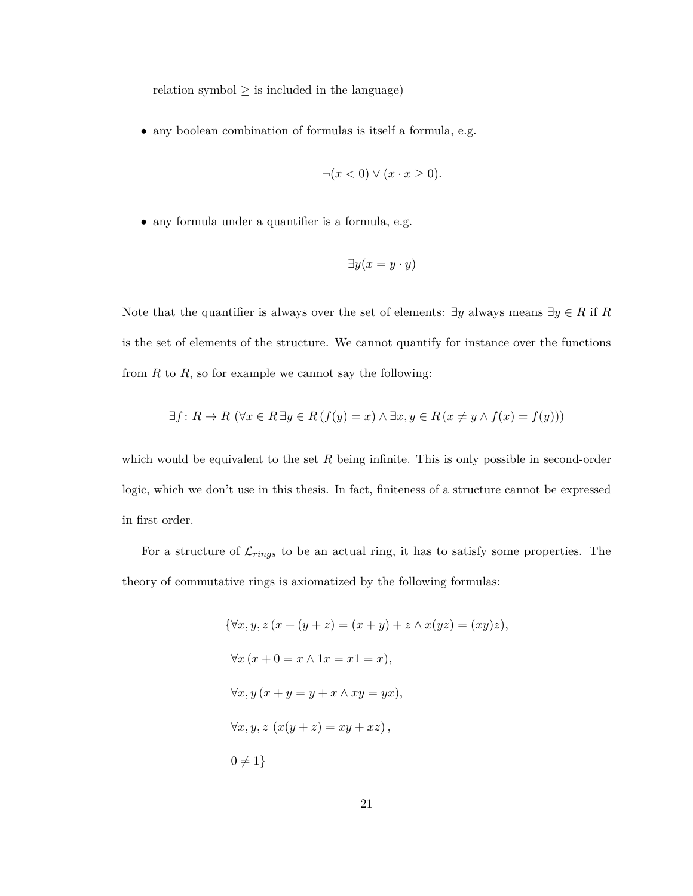relation symbol  $\geq$  is included in the language)

• any boolean combination of formulas is itself a formula, e.g.

$$
\neg(x < 0) \lor (x \cdot x \ge 0).
$$

• any formula under a quantifier is a formula, e.g.

$$
\exists y (x = y \cdot y)
$$

Note that the quantifier is always over the set of elements:  $\exists y$  always means  $\exists y \in R$  if *R* is the set of elements of the structure. We cannot quantify for instance over the functions from  $R$  to  $R$ , so for example we cannot say the following:

$$
\exists f \colon R \to R \ (\forall x \in R \ \exists y \in R \ (f(y) = x) \land \exists x, y \in R \ (x \neq y \land f(x) = f(y)))
$$

which would be equivalent to the set *R* being infinite. This is only possible in second-order logic, which we don't use in this thesis. In fact, finiteness of a structure cannot be expressed in first order.

For a structure of  $\mathcal{L}_{rings}$  to be an actual ring, it has to satisfy some properties. The theory of commutative rings is axiomatized by the following formulas:

$$
\{\forall x, y, z (x + (y + z) = (x + y) + z \land x(yz) = (xy)z),
$$
  

$$
\forall x (x + 0 = x \land 1x = x1 = x),
$$
  

$$
\forall x, y (x + y = y + x \land xy = yx),
$$
  

$$
\forall x, y, z (x(y + z) = xy + xz),
$$
  

$$
0 \neq 1\}
$$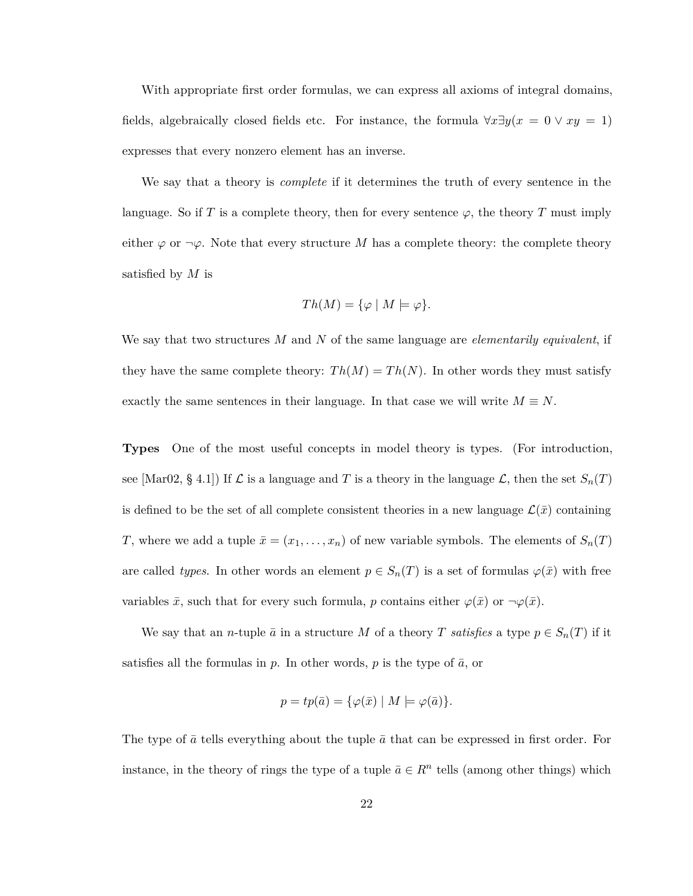With appropriate first order formulas, we can express all axioms of integral domains, fields, algebraically closed fields etc. For instance, the formula  $\forall x \exists y (x = 0 \lor xy = 1)$ expresses that every nonzero element has an inverse.

We say that a theory is *complete* if it determines the truth of every sentence in the language. So if *T* is a complete theory, then for every sentence  $\varphi$ , the theory *T* must imply either  $\varphi$  or  $\neg \varphi$ . Note that every structure M has a complete theory: the complete theory satisfied by *M* is

$$
Th(M) = \{ \varphi \mid M \models \varphi \}.
$$

We say that two structures *M* and *N* of the same language are *elementarily equivalent*, if they have the same complete theory:  $Th(M) = Th(N)$ . In other words they must satisfy exactly the same sentences in their language. In that case we will write  $M \equiv N$ .

**Types** One of the most useful concepts in model theory is types. (For introduction, see [\[Mar02,](#page-61-7) § 4.1]) If  $\mathcal L$  is a language and  $T$  is a theory in the language  $\mathcal L$ , then the set  $S_n(T)$ is defined to be the set of all complete consistent theories in a new language  $\mathcal{L}(\bar{x})$  containing *T*, where we add a tuple  $\bar{x} = (x_1, \ldots, x_n)$  of new variable symbols. The elements of  $S_n(T)$ are called *types*. In other words an element  $p \in S_n(T)$  is a set of formulas  $\varphi(\bar{x})$  with free variables  $\bar{x}$ , such that for every such formula, *p* contains either  $\varphi(\bar{x})$  or  $\neg \varphi(\bar{x})$ .

We say that an *n*-tuple  $\bar{a}$  in a structure *M* of a theory *T satisfies* a type  $p \in S_n(T)$  if it satisfies all the formulas in  $p$ . In other words,  $p$  is the type of  $\bar{a}$ , or

$$
p = tp(\bar{a}) = \{ \varphi(\bar{x}) \mid M \models \varphi(\bar{a}) \}.
$$

The type of  $\bar{a}$  tells everything about the tuple  $\bar{a}$  that can be expressed in first order. For instance, in the theory of rings the type of a tuple  $\bar{a} \in \mathbb{R}^n$  tells (among other things) which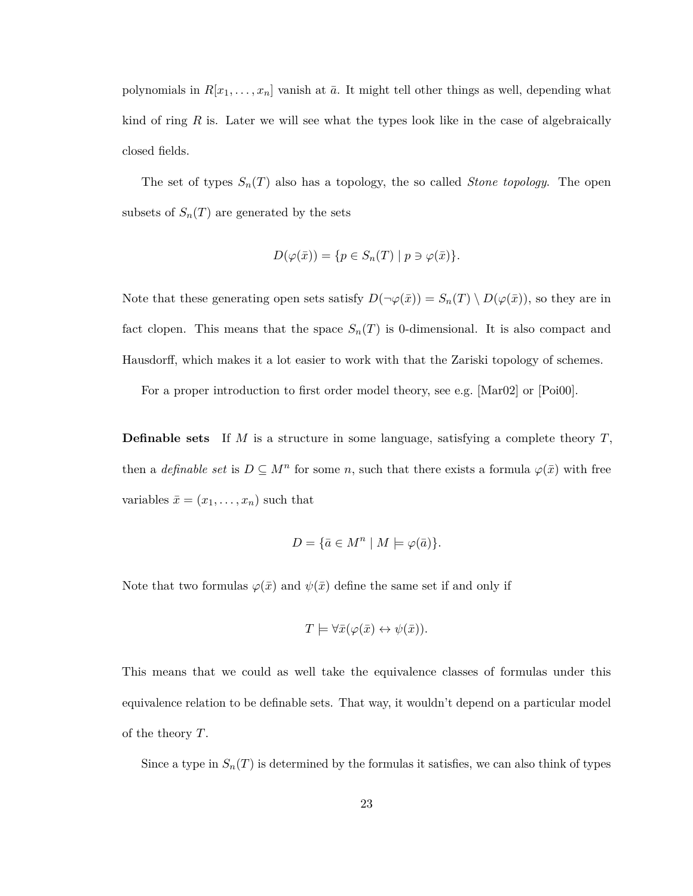polynomials in  $R[x_1, \ldots, x_n]$  vanish at  $\bar{a}$ . It might tell other things as well, depending what kind of ring *R* is. Later we will see what the types look like in the case of algebraically closed fields.

The set of types  $S_n(T)$  also has a topology, the so called *Stone topology*. The open subsets of  $S_n(T)$  are generated by the sets

$$
D(\varphi(\bar{x})) = \{ p \in S_n(T) \mid p \ni \varphi(\bar{x}) \}.
$$

Note that these generating open sets satisfy  $D(\neg \varphi(\bar{x})) = S_n(T) \setminus D(\varphi(\bar{x}))$ , so they are in fact clopen. This means that the space  $S_n(T)$  is 0-dimensional. It is also compact and Hausdorff, which makes it a lot easier to work with that the Zariski topology of schemes.

For a proper introduction to first order model theory, see e.g. [\[Mar02\]](#page-61-7) or [\[Poi00\]](#page-62-5).

**Definable sets** If *M* is a structure in some language, satisfying a complete theory *T*, then a *definable set* is  $D \subseteq M^n$  for some *n*, such that there exists a formula  $\varphi(\bar{x})$  with free variables  $\bar{x} = (x_1, \ldots, x_n)$  such that

$$
D = \{ \bar{a} \in M^n \mid M \models \varphi(\bar{a}) \}.
$$

Note that two formulas  $\varphi(\bar{x})$  and  $\psi(\bar{x})$  define the same set if and only if

$$
T \models \forall \bar{x}(\varphi(\bar{x}) \leftrightarrow \psi(\bar{x})).
$$

This means that we could as well take the equivalence classes of formulas under this equivalence relation to be definable sets. That way, it wouldn't depend on a particular model of the theory *T*.

Since a type in  $S_n(T)$  is determined by the formulas it satisfies, we can also think of types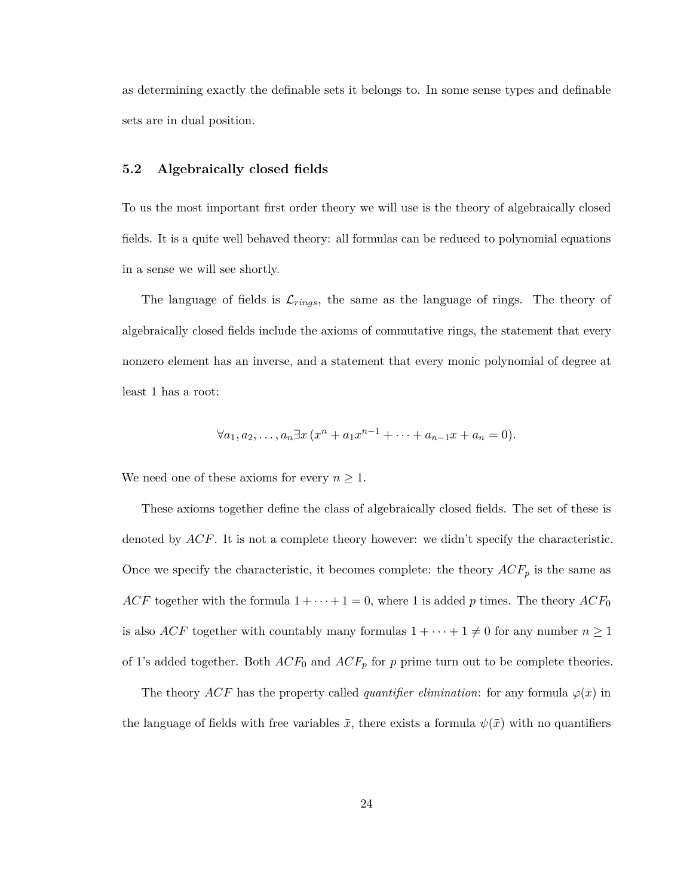as determining exactly the definable sets it belongs to. In some sense types and definable sets are in dual position.

#### <span id="page-28-0"></span>**5.2 Algebraically closed fields**

To us the most important first order theory we will use is the theory of algebraically closed fields. It is a quite well behaved theory: all formulas can be reduced to polynomial equations in a sense we will see shortly.

The language of fields is  $\mathcal{L}_{rings}$ , the same as the language of rings. The theory of algebraically closed fields include the axioms of commutative rings, the statement that every nonzero element has an inverse, and a statement that every monic polynomial of degree at least 1 has a root:

$$
\forall a_1, a_2, \dots, a_n \exists x (x^n + a_1 x^{n-1} + \dots + a_{n-1} x + a_n = 0).
$$

We need one of these axioms for every  $n \geq 1$ .

These axioms together define the class of algebraically closed fields. The set of these is denoted by *ACF*. It is not a complete theory however: we didn't specify the characteristic. Once we specify the characteristic, it becomes complete: the theory  $ACF_p$  is the same as *ACF* together with the formula  $1 + \cdots + 1 = 0$ , where 1 is added *p* times. The theory *ACF*<sub>0</sub> is also *ACF* together with countably many formulas  $1 + \cdots + 1 \neq 0$  for any number  $n \geq 1$ of 1's added together. Both  $ACF_0$  and  $ACF_p$  for  $p$  prime turn out to be complete theories.

The theory *ACF* has the property called *quantifier elimination*: for any formula  $\varphi(\bar{x})$  in the language of fields with free variables  $\bar{x}$ , there exists a formula  $\psi(\bar{x})$  with no quantifiers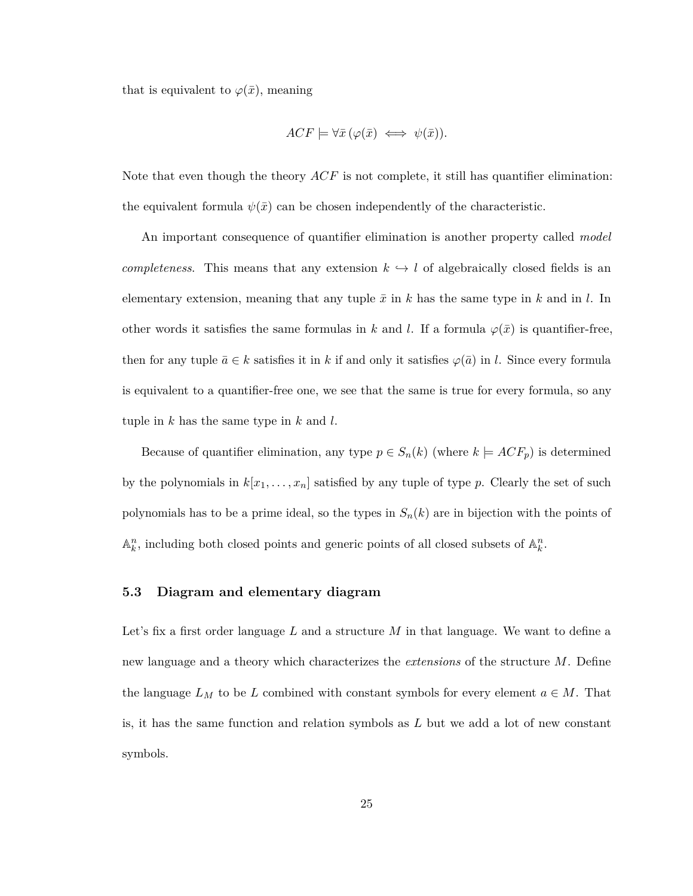that is equivalent to  $\varphi(\bar{x})$ , meaning

$$
ACF \models \forall \bar{x} \, (\varphi(\bar{x}) \iff \psi(\bar{x})).
$$

Note that even though the theory *ACF* is not complete, it still has quantifier elimination: the equivalent formula  $\psi(\bar{x})$  can be chosen independently of the characteristic.

An important consequence of quantifier elimination is another property called *model completeness*. This means that any extension  $k \leftrightarrow l$  of algebraically closed fields is an elementary extension, meaning that any tuple  $\bar{x}$  in  $k$  has the same type in  $k$  and in  $l$ . In other words it satisfies the same formulas in *k* and *l*. If a formula  $\varphi(\bar{x})$  is quantifier-free, then for any tuple  $\bar{a} \in k$  satisfies it in k if and only it satisfies  $\varphi(\bar{a})$  in l. Since every formula is equivalent to a quantifier-free one, we see that the same is true for every formula, so any tuple in *k* has the same type in *k* and *l*.

Because of quantifier elimination, any type  $p \in S_n(k)$  (where  $k \models ACF_p$ ) is determined by the polynomials in  $k[x_1, \ldots, x_n]$  satisfied by any tuple of type *p*. Clearly the set of such polynomials has to be a prime ideal, so the types in  $S_n(k)$  are in bijection with the points of  $\mathbb{A}_k^n$ , including both closed points and generic points of all closed subsets of  $\mathbb{A}_k^n$ .

#### <span id="page-29-0"></span>**5.3 Diagram and elementary diagram**

Let's fix a first order language *L* and a structure *M* in that language. We want to define a new language and a theory which characterizes the *extensions* of the structure *M*. Define the language  $L_M$  to be  $L$  combined with constant symbols for every element  $a \in M$ . That is, it has the same function and relation symbols as *L* but we add a lot of new constant symbols.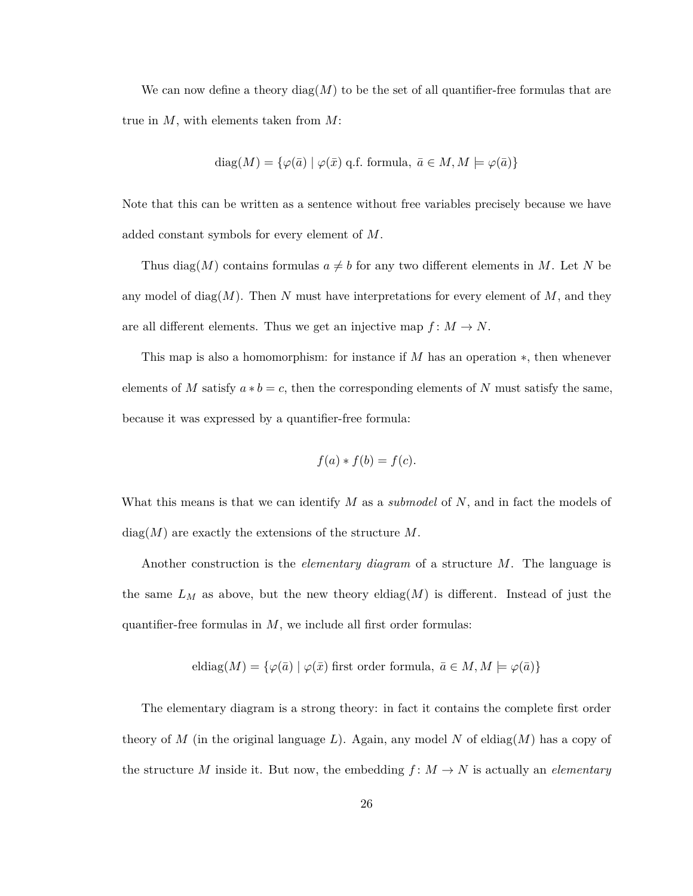We can now define a theory diag( $M$ ) to be the set of all quantifier-free formulas that are true in *M*, with elements taken from *M*:

diag
$$
(M)
$$
 = { $\varphi(\bar{a}) | \varphi(\bar{x})$  q.f. formula,  $\bar{a} \in M, M \models \varphi(\bar{a})$ }

Note that this can be written as a sentence without free variables precisely because we have added constant symbols for every element of *M*.

Thus diag(*M*) contains formulas  $a \neq b$  for any two different elements in *M*. Let *N* be any model of diag(*M*). Then *N* must have interpretations for every element of *M*, and they are all different elements. Thus we get an injective map  $f: M \to N$ .

This map is also a homomorphism: for instance if *M* has an operation ∗, then whenever elements of *M* satisfy  $a * b = c$ , then the corresponding elements of *N* must satisfy the same, because it was expressed by a quantifier-free formula:

$$
f(a) * f(b) = f(c).
$$

What this means is that we can identify *M* as a *submodel* of *N*, and in fact the models of diag(*M*) are exactly the extensions of the structure *M*.

Another construction is the *elementary diagram* of a structure *M*. The language is the same  $L_M$  as above, but the new theory eldiag $(M)$  is different. Instead of just the quantifier-free formulas in *M*, we include all first order formulas:

eldiag
$$
(M) = {\varphi(\bar{a}) | \varphi(\bar{x})}
$$
 first order formula,  $\bar{a} \in M, M \models \varphi(\bar{a})$ 

The elementary diagram is a strong theory: in fact it contains the complete first order theory of *M* (in the original language L). Again, any model N of eldiag $(M)$  has a copy of the structure *M* inside it. But now, the embedding  $f: M \to N$  is actually an *elementary*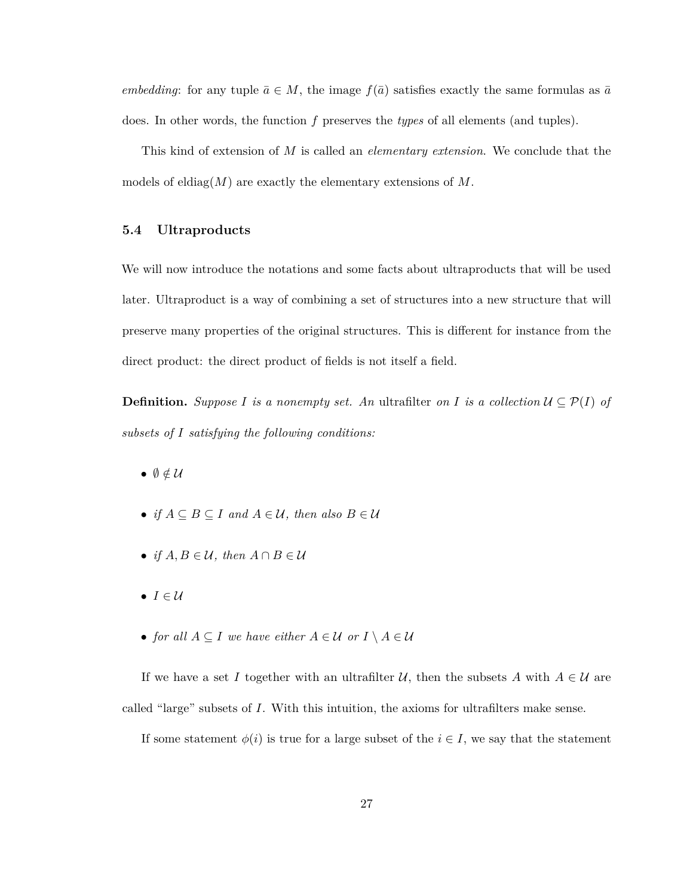*embedding*: for any tuple  $\bar{a} \in M$ , the image  $f(\bar{a})$  satisfies exactly the same formulas as  $\bar{a}$ does. In other words, the function *f* preserves the *types* of all elements (and tuples).

This kind of extension of *M* is called an *elementary extension*. We conclude that the models of eldiag(*M*) are exactly the elementary extensions of *M*.

#### <span id="page-31-0"></span>**5.4 Ultraproducts**

We will now introduce the notations and some facts about ultraproducts that will be used later. Ultraproduct is a way of combining a set of structures into a new structure that will preserve many properties of the original structures. This is different for instance from the direct product: the direct product of fields is not itself a field.

**Definition.** *Suppose I is a nonempty set.* An ultrafilter *on I is a collection*  $U \subseteq \mathcal{P}(I)$  *of subsets of I satisfying the following conditions:*

- $\bullet$   $\emptyset \notin \mathcal{U}$
- *if*  $A \subseteq B \subseteq I$  *and*  $A \in U$ *, then also*  $B \in U$
- *if*  $A, B \in \mathcal{U}$ , then  $A \cap B \in \mathcal{U}$
- $I \in \mathcal{U}$
- *for all*  $A \subseteq I$  *we have either*  $A \in \mathcal{U}$  *or*  $I \setminus A \in \mathcal{U}$

If we have a set *I* together with an ultrafilter  $U$ , then the subsets *A* with  $A \in U$  are called "large" subsets of *I*. With this intuition, the axioms for ultrafilters make sense.

If some statement  $\phi(i)$  is true for a large subset of the  $i \in I$ , we say that the statement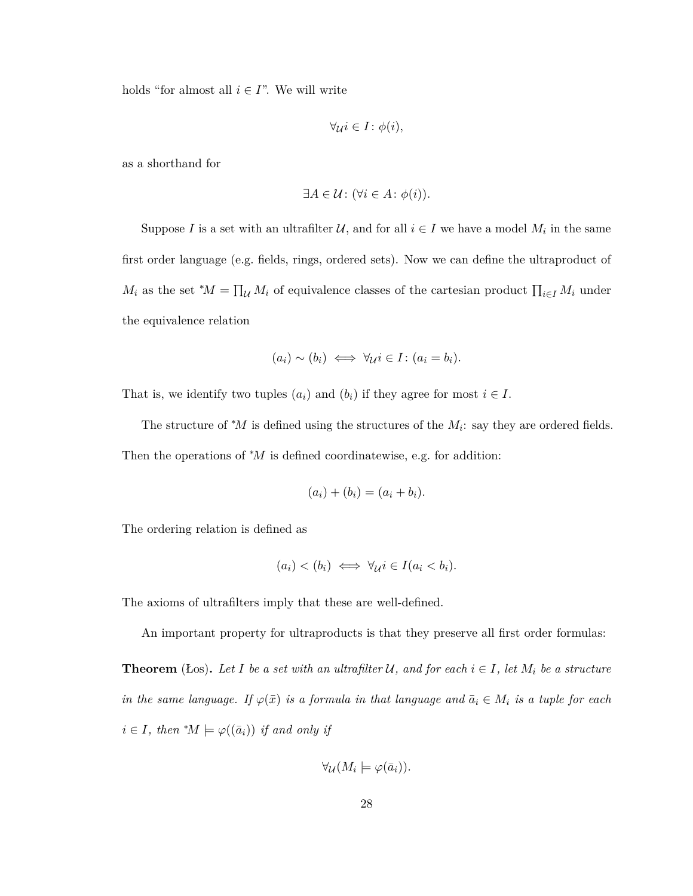holds "for almost all  $i \in I$ ". We will write

$$
\forall \mu i \in I \colon \phi(i),
$$

as a shorthand for

$$
\exists A \in \mathcal{U} \colon (\forall i \in A \colon \phi(i)).
$$

Suppose *I* is a set with an ultrafilter  $U$ , and for all  $i \in I$  we have a model  $M_i$  in the same first order language (e.g. fields, rings, ordered sets). Now we can define the ultraproduct of  $M_i$  as the set \* $M = \prod_{\mathcal{U}} M_i$  of equivalence classes of the cartesian product  $\prod_{i \in I} M_i$  under the equivalence relation

$$
(a_i) \sim (b_i) \iff \forall_{\mathcal{U}} i \in I : (a_i = b_i).
$$

That is, we identify two tuples  $(a_i)$  and  $(b_i)$  if they agree for most  $i \in I$ .

The structure of  $^*M$  is defined using the structures of the  $M_i$ : say they are ordered fields. Then the operations of <sup>∗</sup>*M* is defined coordinatewise, e.g. for addition:

$$
(a_i) + (b_i) = (a_i + b_i).
$$

The ordering relation is defined as

$$
(a_i) < (b_i) \iff \forall_{\mathcal{U}} i \in I (a_i < b_i).
$$

The axioms of ultrafilters imply that these are well-defined.

An important property for ultraproducts is that they preserve all first order formulas:

**Theorem** (Łos). Let *I* be a set with an ultrafilter U, and for each  $i \in I$ , let  $M_i$  be a structure *in the same language. If*  $\varphi(\bar{x})$  *is a formula in that language and*  $\bar{a}_i \in M_i$  *is a tuple for each*  $i \in I$ *, then*  $^*M \models \varphi((\bar{a}_i))$  *if and only if* 

$$
\forall_{\mathcal{U}}(M_i \models \varphi(\bar{a}_i)).
$$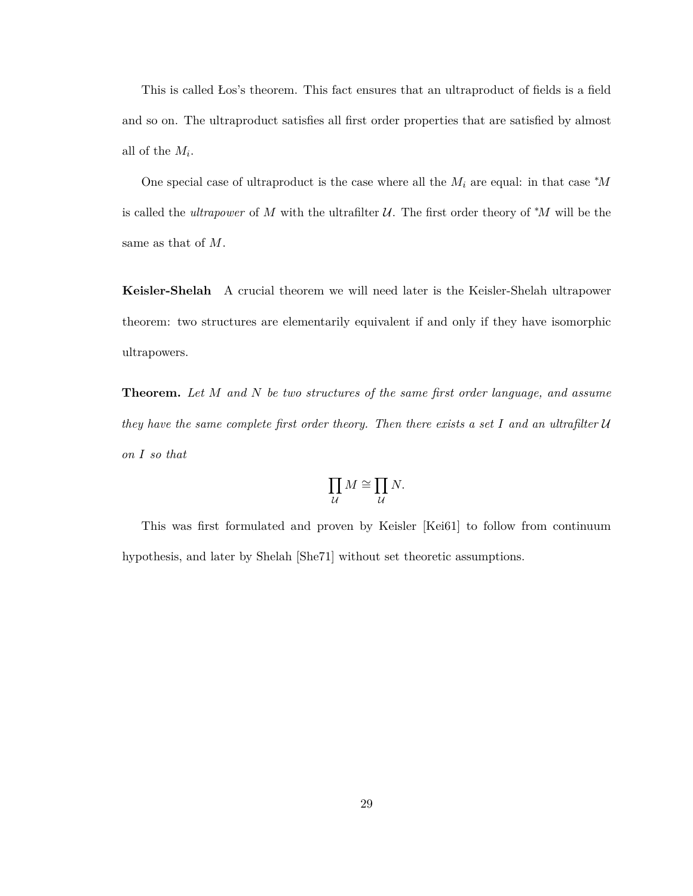This is called Łos's theorem. This fact ensures that an ultraproduct of fields is a field and so on. The ultraproduct satisfies all first order properties that are satisfied by almost all of the *M<sup>i</sup>* .

One special case of ultraproduct is the case where all the  $M_i$  are equal: in that case  $^*M$ is called the *ultrapower* of *M* with the ultrafilter  $U$ . The first order theory of \**M* will be the same as that of *M*.

**Keisler-Shelah** A crucial theorem we will need later is the Keisler-Shelah ultrapower theorem: two structures are elementarily equivalent if and only if they have isomorphic ultrapowers.

**Theorem.** *Let M and N be two structures of the same first order language, and assume they have the same complete first order theory. Then there exists a set I and an ultrafilter* U *on I so that*

$$
\prod_{\mathcal{U}} M \cong \prod_{\mathcal{U}} N.
$$

This was first formulated and proven by Keisler [\[Kei61\]](#page-61-8) to follow from continuum hypothesis, and later by Shelah [\[She71\]](#page-62-6) without set theoretic assumptions.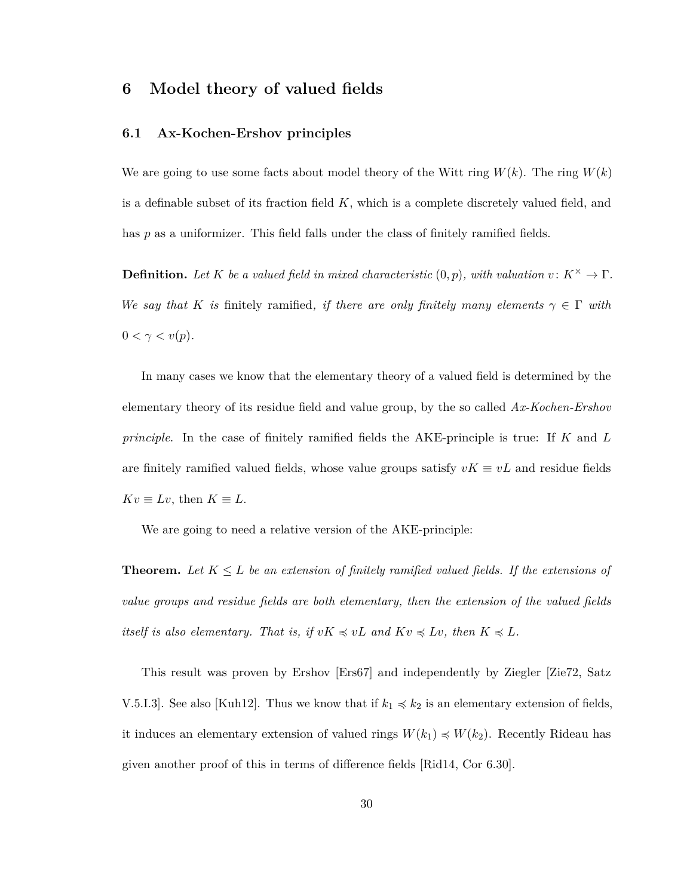### <span id="page-34-0"></span>**6 Model theory of valued fields**

#### <span id="page-34-1"></span>**6.1 Ax-Kochen-Ershov principles**

We are going to use some facts about model theory of the Witt ring  $W(k)$ . The ring  $W(k)$ is a definable subset of its fraction field *K*, which is a complete discretely valued field, and has *p* as a uniformizer. This field falls under the class of finitely ramified fields.

**Definition.** Let K be a valued field in mixed characteristic  $(0, p)$ , with valuation  $v: K^{\times} \to \Gamma$ . *We say that K is* finitely ramified, *if there are only finitely many elements*  $\gamma \in \Gamma$  *with*  $0 < \gamma < v(p)$ .

In many cases we know that the elementary theory of a valued field is determined by the elementary theory of its residue field and value group, by the so called *Ax-Kochen-Ershov principle*. In the case of finitely ramified fields the AKE-principle is true: If *K* and *L* are finitely ramified valued fields, whose value groups satisfy  $vK \equiv vL$  and residue fields  $Kv \equiv Lv$ , then  $K \equiv L$ .

We are going to need a relative version of the AKE-principle:

**Theorem.** Let  $K \leq L$  be an extension of finitely ramified valued fields. If the extensions of *value groups and residue fields are both elementary, then the extension of the valued fields itself is also elementary. That is, if*  $vK \preccurlyeq vL$  *and*  $Kv \preccurlyeq Lv$ *, then*  $K \preccurlyeq L$ *.* 

This result was proven by Ershov [\[Ers67\]](#page-60-7) and independently by Ziegler [\[Zie72,](#page-62-7) Satz V.5.I.3]. See also [\[Kuh12\]](#page-61-9). Thus we know that if  $k_1 \preccurlyeq k_2$  is an elementary extension of fields, it induces an elementary extension of valued rings  $W(k_1) \preccurlyeq W(k_2)$ . Recently Rideau has given another proof of this in terms of difference fields [\[Rid14,](#page-62-8) Cor 6.30].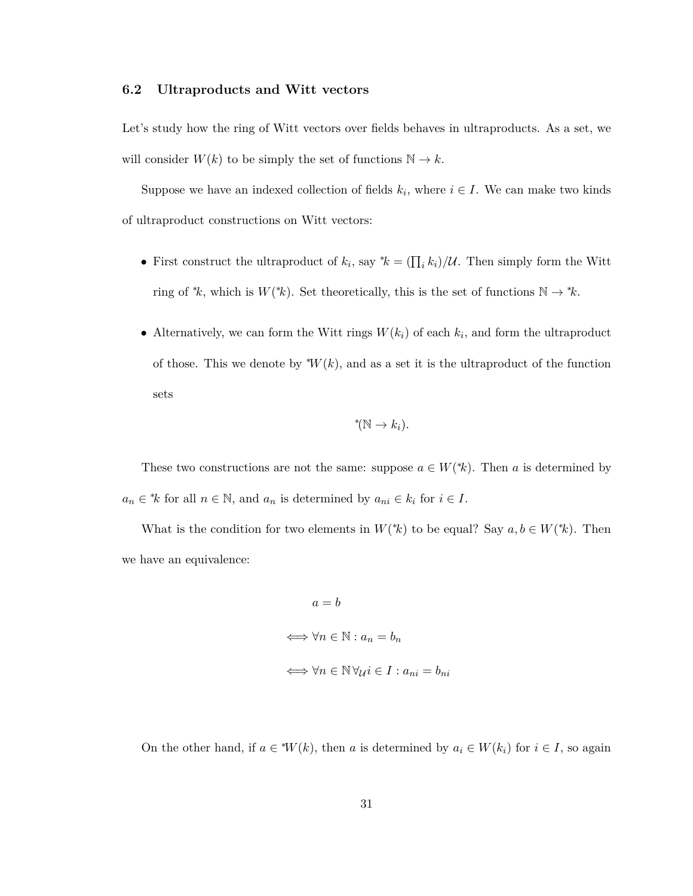#### <span id="page-35-0"></span>**6.2 Ultraproducts and Witt vectors**

Let's study how the ring of Witt vectors over fields behaves in ultraproducts. As a set, we will consider  $W(k)$  to be simply the set of functions  $\mathbb{N} \to k$ .

Suppose we have an indexed collection of fields  $k_i$ , where  $i \in I$ . We can make two kinds of ultraproduct constructions on Witt vectors:

- First construct the ultraproduct of  $k_i$ , say  $^*k = (\prod_i k_i)/U$ . Then simply form the Witt ring of  $*$ *k*, which is  $W(*k)$ . Set theoretically, this is the set of functions  $\mathbb{N} \to *k$ .
- Alternatively, we can form the Witt rings  $W(k_i)$  of each  $k_i$ , and form the ultraproduct of those. This we denote by  $^*W(k)$ , and as a set it is the ultraproduct of the function sets

$$
^{\ast}(\mathbb{N} \to k_{i}).
$$

These two constructions are not the same: suppose  $a \in W^*(k)$ . Then *a* is determined by  $a_n \in k$  for all  $n \in \mathbb{N}$ , and  $a_n$  is determined by  $a_{ni} \in k_i$  for  $i \in I$ .

What is the condition for two elements in  $W^*(k)$  to be equal? Say  $a, b \in W^*(k)$ . Then we have an equivalence:

$$
a = b
$$
  

$$
\iff \forall n \in \mathbb{N} : a_n = b_n
$$
  

$$
\iff \forall n \in \mathbb{N} \, \forall \mu i \in I : a_{ni} = b_{ni}
$$

On the other hand, if  $a \in W(k)$ , then *a* is determined by  $a_i \in W(k_i)$  for  $i \in I$ , so again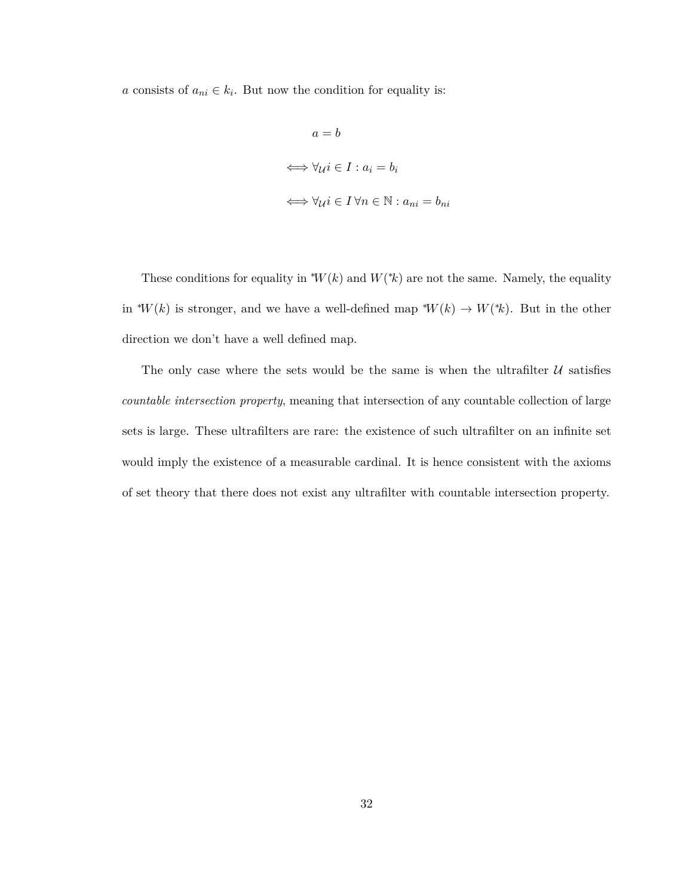*a* consists of  $a_{ni} \in k_i$ . But now the condition for equality is:

$$
a = b
$$
  

$$
\iff \forall u \in I : a_i = b_i
$$
  

$$
\iff \forall u \in I \,\forall n \in \mathbb{N} : a_{ni} = b_{ni}
$$

These conditions for equality in  $^*W(k)$  and  $W(*k)$  are not the same. Namely, the equality in <sup>\*</sup>*W*(*k*) is stronger, and we have a well-defined map <sup>\*</sup>*W*(*k*)  $\rightarrow$  *W*(<sup>\*</sup>*k*). But in the other direction we don't have a well defined map.

The only case where the sets would be the same is when the ultrafilter  $U$  satisfies *countable intersection property*, meaning that intersection of any countable collection of large sets is large. These ultrafilters are rare: the existence of such ultrafilter on an infinite set would imply the existence of a measurable cardinal. It is hence consistent with the axioms of set theory that there does not exist any ultrafilter with countable intersection property.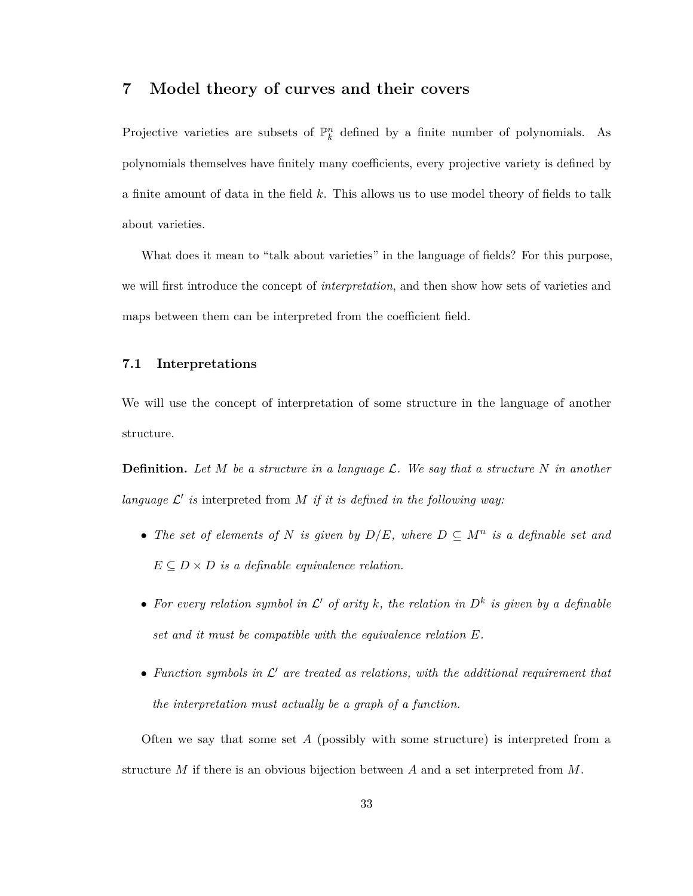## <span id="page-37-0"></span>**7 Model theory of curves and their covers**

Projective varieties are subsets of  $\mathbb{P}_k^n$  defined by a finite number of polynomials. As polynomials themselves have finitely many coefficients, every projective variety is defined by a finite amount of data in the field *k*. This allows us to use model theory of fields to talk about varieties.

What does it mean to "talk about varieties" in the language of fields? For this purpose, we will first introduce the concept of *interpretation*, and then show how sets of varieties and maps between them can be interpreted from the coefficient field.

#### <span id="page-37-1"></span>**7.1 Interpretations**

We will use the concept of interpretation of some structure in the language of another structure.

**Definition.** *Let M be a structure in a language* L*. We say that a structure N in another* language  $\mathcal{L}'$  is interpreted from  $M$  *if it is defined in the following way:* 

- The set of elements of N is given by  $D/E$ , where  $D \subseteq M^n$  is a definable set and  $E \subseteq D \times D$  *is a definable equivalence relation.*
- For every relation symbol in  $\mathcal{L}'$  of arity k, the relation in  $D^k$  is given by a definable *set and it must be compatible with the equivalence relation E.*
- $\bullet$  Function symbols in  $\mathcal{L}'$  are treated as relations, with the additional requirement that *the interpretation must actually be a graph of a function.*

Often we say that some set *A* (possibly with some structure) is interpreted from a structure *M* if there is an obvious bijection between *A* and a set interpreted from *M*.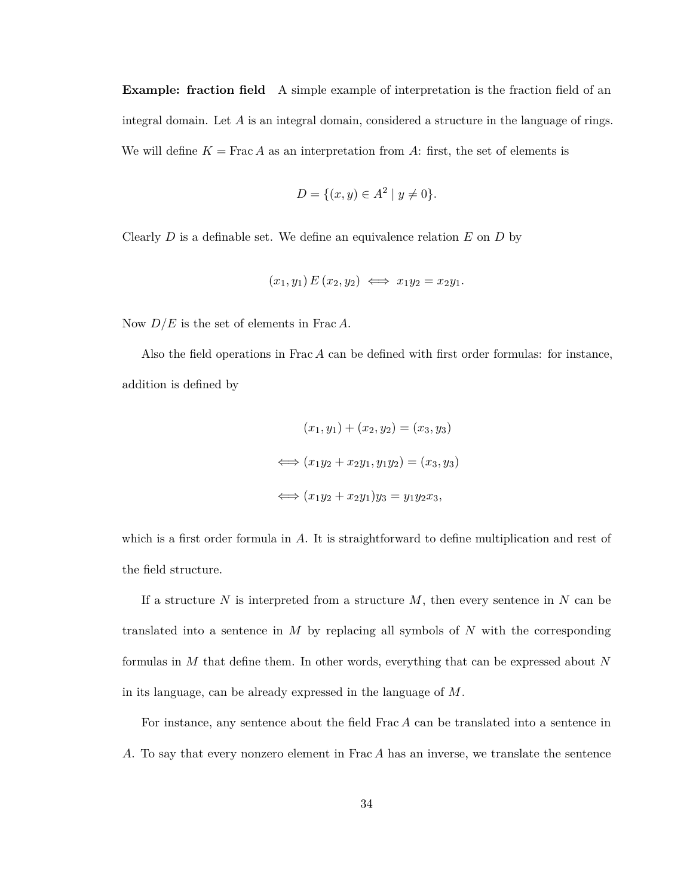**Example: fraction field** A simple example of interpretation is the fraction field of an integral domain. Let *A* is an integral domain, considered a structure in the language of rings. We will define  $K = \text{Frac } A$  as an interpretation from A: first, the set of elements is

$$
D = \{(x, y) \in A^2 \mid y \neq 0\}.
$$

Clearly *D* is a definable set. We define an equivalence relation *E* on *D* by

$$
(x_1, y_1) E (x_2, y_2) \iff x_1 y_2 = x_2 y_1.
$$

Now *D/E* is the set of elements in Frac *A*.

Also the field operations in Frac *A* can be defined with first order formulas: for instance, addition is defined by

$$
(x_1, y_1) + (x_2, y_2) = (x_3, y_3)
$$
  

$$
\iff (x_1y_2 + x_2y_1, y_1y_2) = (x_3, y_3)
$$
  

$$
\iff (x_1y_2 + x_2y_1)y_3 = y_1y_2x_3,
$$

which is a first order formula in A. It is straightforward to define multiplication and rest of the field structure.

If a structure *N* is interpreted from a structure *M*, then every sentence in *N* can be translated into a sentence in *M* by replacing all symbols of *N* with the corresponding formulas in *M* that define them. In other words, everything that can be expressed about *N* in its language, can be already expressed in the language of *M*.

For instance, any sentence about the field Frac *A* can be translated into a sentence in *A*. To say that every nonzero element in Frac *A* has an inverse, we translate the sentence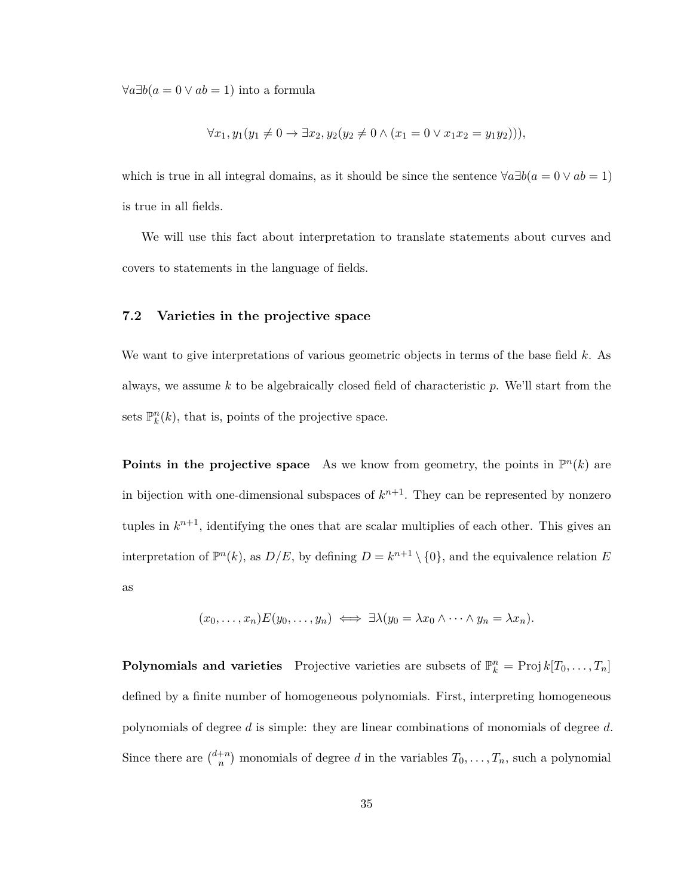$\forall a \exists b (a = 0 \lor ab = 1)$  into a formula

$$
\forall x_1, y_1(y_1 \neq 0 \to \exists x_2, y_2(y_2 \neq 0 \land (x_1 = 0 \lor x_1 x_2 = y_1 y_2))),
$$

which is true in all integral domains, as it should be since the sentence  $\forall a \exists b (a = 0 \lor ab = 1)$ is true in all fields.

We will use this fact about interpretation to translate statements about curves and covers to statements in the language of fields.

#### <span id="page-39-0"></span>**7.2 Varieties in the projective space**

We want to give interpretations of various geometric objects in terms of the base field *k*. As always, we assume *k* to be algebraically closed field of characteristic *p*. We'll start from the sets  $\mathbb{P}_k^n(k)$ , that is, points of the projective space.

**Points in the projective space** As we know from geometry, the points in  $\mathbb{P}^n(k)$  are in bijection with one-dimensional subspaces of  $k^{n+1}$ . They can be represented by nonzero tuples in  $k^{n+1}$ , identifying the ones that are scalar multiplies of each other. This gives an interpretation of  $\mathbb{P}^n(k)$ , as  $D/E$ , by defining  $D = k^{n+1} \setminus \{0\}$ , and the equivalence relation *E* as

$$
(x_0,\ldots,x_n)E(y_0,\ldots,y_n) \iff \exists \lambda(y_0=\lambda x_0 \wedge \cdots \wedge y_n=\lambda x_n).
$$

**Polynomials and varieties** Projective varieties are subsets of  $\mathbb{P}_k^n = \text{Proj } k[T_0, \ldots, T_n]$ defined by a finite number of homogeneous polynomials. First, interpreting homogeneous polynomials of degree *d* is simple: they are linear combinations of monomials of degree *d*. Since there are  $\binom{d+n}{n}$  $n^{+n}$  monomials of degree *d* in the variables  $T_0, \ldots, T_n$ , such a polynomial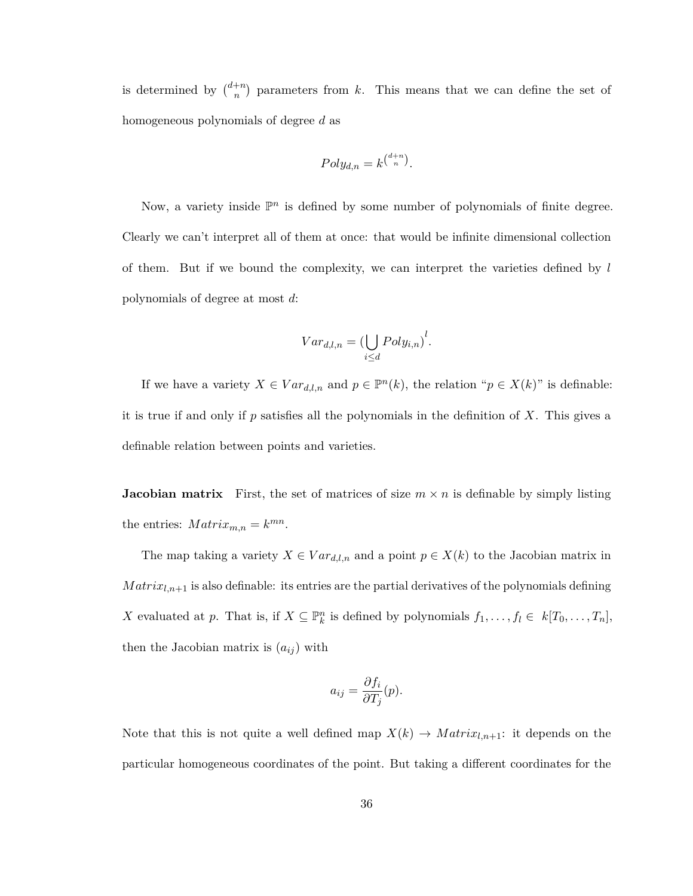is determined by  $\binom{d+n}{n}$  $n^{+n}$  parameters from *k*. This means that we can define the set of homogeneous polynomials of degree *d* as

$$
Poly_{d,n} = k^{\binom{d+n}{n}}.
$$

Now, a variety inside  $\mathbb{P}^n$  is defined by some number of polynomials of finite degree. Clearly we can't interpret all of them at once: that would be infinite dimensional collection of them. But if we bound the complexity, we can interpret the varieties defined by *l* polynomials of degree at most *d*:

$$
Var_{d,l,n} = \left(\bigcup_{i \le d} Poly_{i,n}\right)^l.
$$

If we have a variety  $X \in Var_{d,l,n}$  and  $p \in \mathbb{P}^n(k)$ , the relation " $p \in X(k)$ " is definable: it is true if and only if *p* satisfies all the polynomials in the definition of *X*. This gives a definable relation between points and varieties.

**Jacobian matrix** First, the set of matrices of size  $m \times n$  is definable by simply listing the entries:  $Matrix_{m,n} = k^{mn}$ .

The map taking a variety  $X \in Var_{d,l,n}$  and a point  $p \in X(k)$  to the Jacobian matrix in  $Matrix_{l,n+1}$  is also definable: its entries are the partial derivatives of the polynomials defining *X* evaluated at *p*. That is, if  $X \subseteq \mathbb{P}_k^n$  is defined by polynomials  $f_1, \ldots, f_l \in k[T_0, \ldots, T_n]$ , then the Jacobian matrix is  $(a_{ij})$  with

$$
a_{ij} = \frac{\partial f_i}{\partial T_j}(p).
$$

Note that this is not quite a well defined map  $X(k) \to \text{Matrix}_{l,n+1}$ : it depends on the particular homogeneous coordinates of the point. But taking a different coordinates for the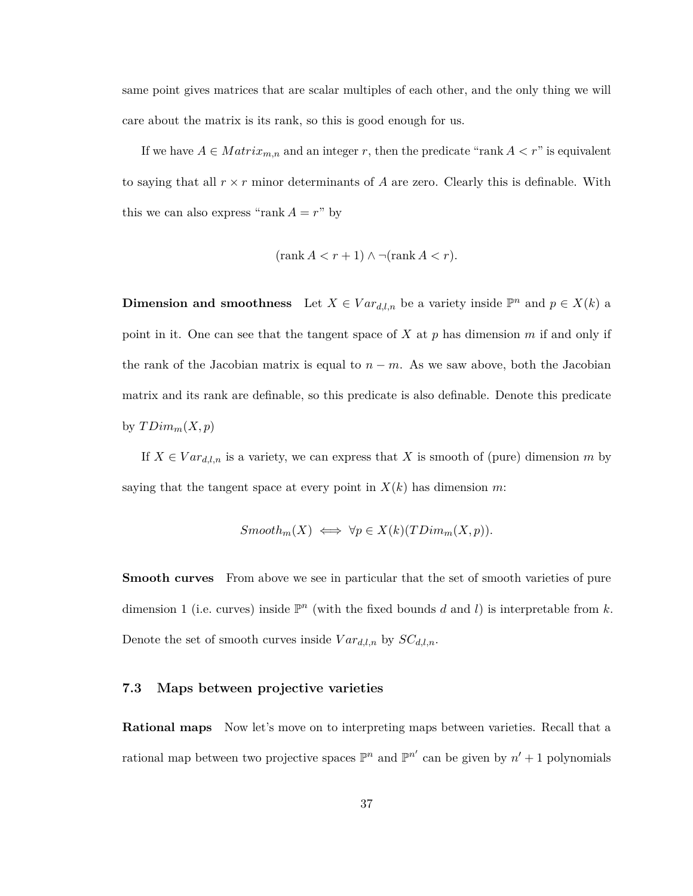same point gives matrices that are scalar multiples of each other, and the only thing we will care about the matrix is its rank, so this is good enough for us.

If we have  $A \in Matrix_{m,n}$  and an integer r, then the predicate "rank  $A < r$ " is equivalent to saying that all  $r \times r$  minor determinants of A are zero. Clearly this is definable. With this we can also express "rank  $A = r$ " by

$$
(\operatorname{rank} A < r+1) \land \neg(\operatorname{rank} A < r).
$$

**Dimension and smoothness** Let  $X \in Var_{d,l,n}$  be a variety inside  $\mathbb{P}^n$  and  $p \in X(k)$  a point in it. One can see that the tangent space of *X* at *p* has dimension *m* if and only if the rank of the Jacobian matrix is equal to  $n - m$ . As we saw above, both the Jacobian matrix and its rank are definable, so this predicate is also definable. Denote this predicate by  $TDim_m(X,p)$ 

If  $X \in Var_{d,l,n}$  is a variety, we can express that X is smooth of (pure) dimension *m* by saying that the tangent space at every point in  $X(k)$  has dimension m:

$$
Smooth_m(X) \iff \forall p \in X(k)(TDim_m(X, p)).
$$

**Smooth curves** From above we see in particular that the set of smooth varieties of pure dimension 1 (i.e. curves) inside  $\mathbb{P}^n$  (with the fixed bounds *d* and *l*) is interpretable from *k*. Denote the set of smooth curves inside  $Var_{d,l,n}$  by  $SC_{d,l,n}$ .

#### <span id="page-41-0"></span>**7.3 Maps between projective varieties**

**Rational maps** Now let's move on to interpreting maps between varieties. Recall that a rational map between two projective spaces  $\mathbb{P}^n$  and  $\mathbb{P}^{n'}$  can be given by  $n' + 1$  polynomials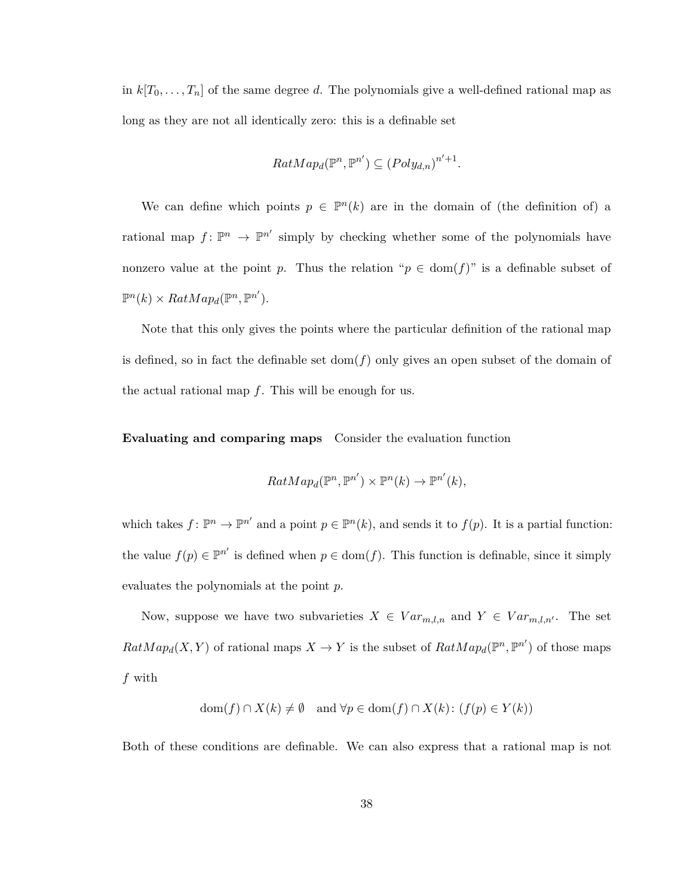in  $k[T_0, \ldots, T_n]$  of the same degree *d*. The polynomials give a well-defined rational map as long as they are not all identically zero: this is a definable set

$$
RatMap_d(\mathbb{P}^n, \mathbb{P}^{n'}) \subseteq (Poly_{d,n})^{n'+1}.
$$

We can define which points  $p \in \mathbb{P}^n(k)$  are in the domain of (the definition of) a rational map  $f: \mathbb{P}^n \to \mathbb{P}^{n'}$  simply by checking whether some of the polynomials have nonzero value at the point *p*. Thus the relation " $p \in \text{dom}(f)$ " is a definable subset of  $\mathbb{P}^n(k) \times RatMap_d(\mathbb{P}^n, \mathbb{P}^{n'}).$ 

Note that this only gives the points where the particular definition of the rational map is defined, so in fact the definable set  $dom(f)$  only gives an open subset of the domain of the actual rational map *f*. This will be enough for us.

**Evaluating and comparing maps** Consider the evaluation function

$$
RatMap_d(\mathbb{P}^n, \mathbb{P}^{n'}) \times \mathbb{P}^n(k) \to \mathbb{P}^{n'}(k),
$$

which takes  $f: \mathbb{P}^n \to \mathbb{P}^{n'}$  and a point  $p \in \mathbb{P}^n(k)$ , and sends it to  $f(p)$ . It is a partial function: the value  $f(p) \in \mathbb{P}^{n'}$  is defined when  $p \in \text{dom}(f)$ . This function is definable, since it simply evaluates the polynomials at the point *p*.

Now, suppose we have two subvarieties  $X \in Var_{m,l,n}$  and  $Y \in Var_{m,l,n'}$ . The set  $RatMap_d(X, Y)$  of rational maps  $X \to Y$  is the subset of  $RatMap_d(\mathbb{P}^n, \mathbb{P}^{n'})$  of those maps *f* with

$$
dom(f) \cap X(k) \neq \emptyset \text{ and } \forall p \in dom(f) \cap X(k): (f(p) \in Y(k))
$$

Both of these conditions are definable. We can also express that a rational map is not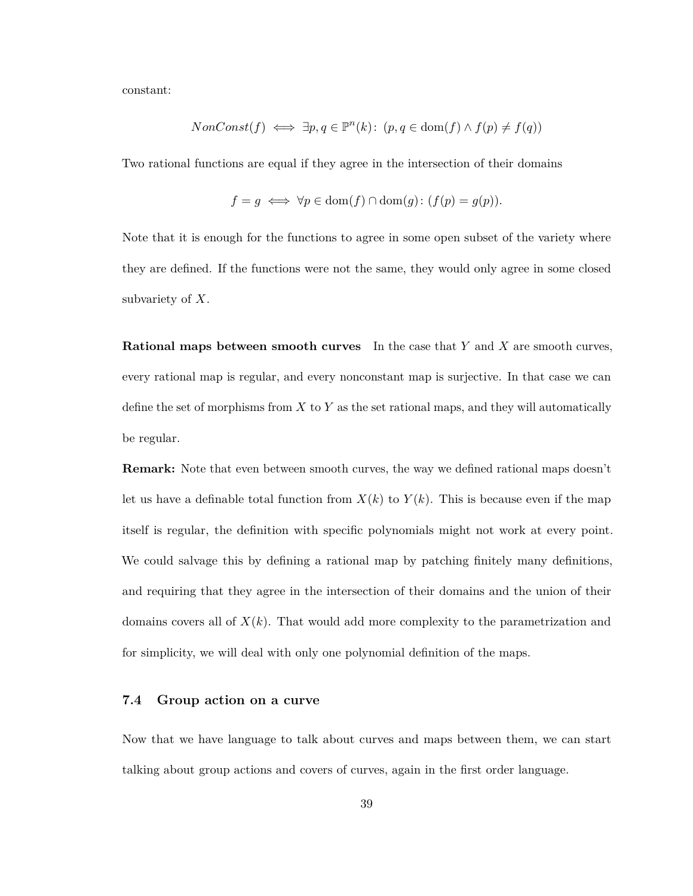constant:

$$
NonConst(f) \iff \exists p, q \in \mathbb{P}^n(k): (p, q \in \text{dom}(f) \land f(p) \neq f(q))
$$

Two rational functions are equal if they agree in the intersection of their domains

$$
f = g \iff \forall p \in \text{dom}(f) \cap \text{dom}(g): (f(p) = g(p)).
$$

Note that it is enough for the functions to agree in some open subset of the variety where they are defined. If the functions were not the same, they would only agree in some closed subvariety of *X*.

**Rational maps between smooth curves** In the case that *Y* and *X* are smooth curves, every rational map is regular, and every nonconstant map is surjective. In that case we can define the set of morphisms from *X* to *Y* as the set rational maps, and they will automatically be regular.

**Remark:** Note that even between smooth curves, the way we defined rational maps doesn't let us have a definable total function from  $X(k)$  to  $Y(k)$ . This is because even if the map itself is regular, the definition with specific polynomials might not work at every point. We could salvage this by defining a rational map by patching finitely many definitions, and requiring that they agree in the intersection of their domains and the union of their domains covers all of *X*(*k*). That would add more complexity to the parametrization and for simplicity, we will deal with only one polynomial definition of the maps.

#### <span id="page-43-0"></span>**7.4 Group action on a curve**

Now that we have language to talk about curves and maps between them, we can start talking about group actions and covers of curves, again in the first order language.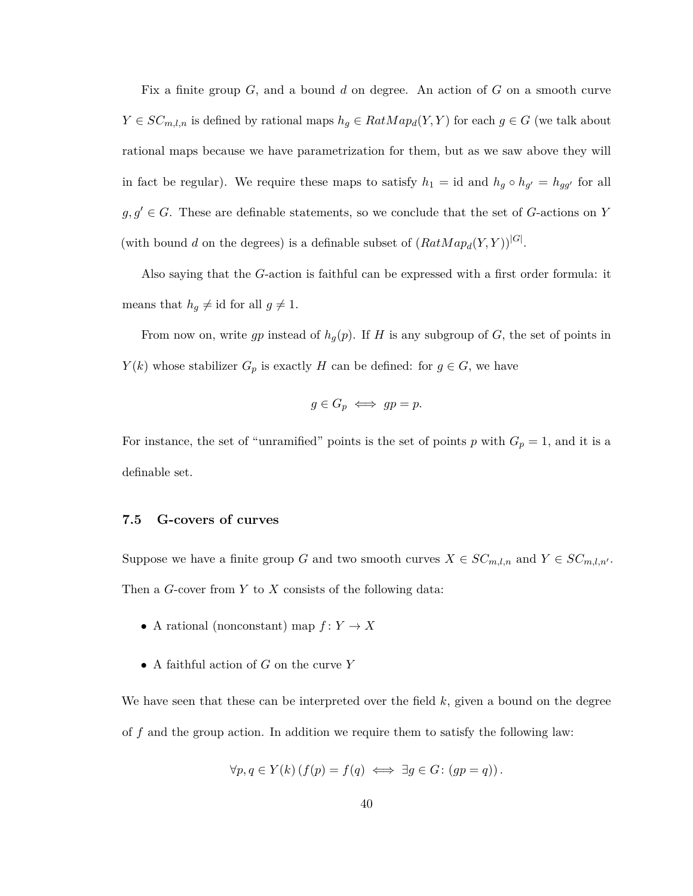Fix a finite group *G*, and a bound *d* on degree. An action of *G* on a smooth curve *Y* ∈ *SC*<sub>*m*,*l*,*n*</sub> is defined by rational maps  $h_g$  ∈ *RatMap<sub>d</sub>*(*Y,Y*) for each *g* ∈ *G* (we talk about rational maps because we have parametrization for them, but as we saw above they will in fact be regular). We require these maps to satisfy  $h_1 = id$  and  $h_g \circ h_{g'} = h_{gg'}$  for all  $g, g' \in G$ . These are definable statements, so we conclude that the set of *G*-actions on *Y* (with bound *d* on the degrees) is a definable subset of  $(RatMap_d(Y, Y))$ <sup>[G]</sup>.

Also saying that the *G*-action is faithful can be expressed with a first order formula: it means that  $h_g \neq id$  for all  $g \neq 1$ .

From now on, write *gp* instead of  $h_g(p)$ . If *H* is any subgroup of *G*, the set of points in *Y*(*k*) whose stabilizer *G*<sub>*p*</sub> is exactly *H* can be defined: for  $g \in G$ , we have

$$
g \in G_p \iff gp = p.
$$

For instance, the set of "unramified" points is the set of points *p* with  $G_p = 1$ , and it is a definable set.

#### <span id="page-44-0"></span>**7.5 G-covers of curves**

Suppose we have a finite group *G* and two smooth curves  $X \in SC_{m,l,n}$  and  $Y \in SC_{m,l,n'}$ . Then a *G*-cover from *Y* to *X* consists of the following data:

- A rational (nonconstant) map  $f: Y \to X$
- A faithful action of *G* on the curve *Y*

We have seen that these can be interpreted over the field *k*, given a bound on the degree of *f* and the group action. In addition we require them to satisfy the following law:

$$
\forall p, q \in Y(k) \left( f(p) = f(q) \iff \exists g \in G : (gp = q) \right).
$$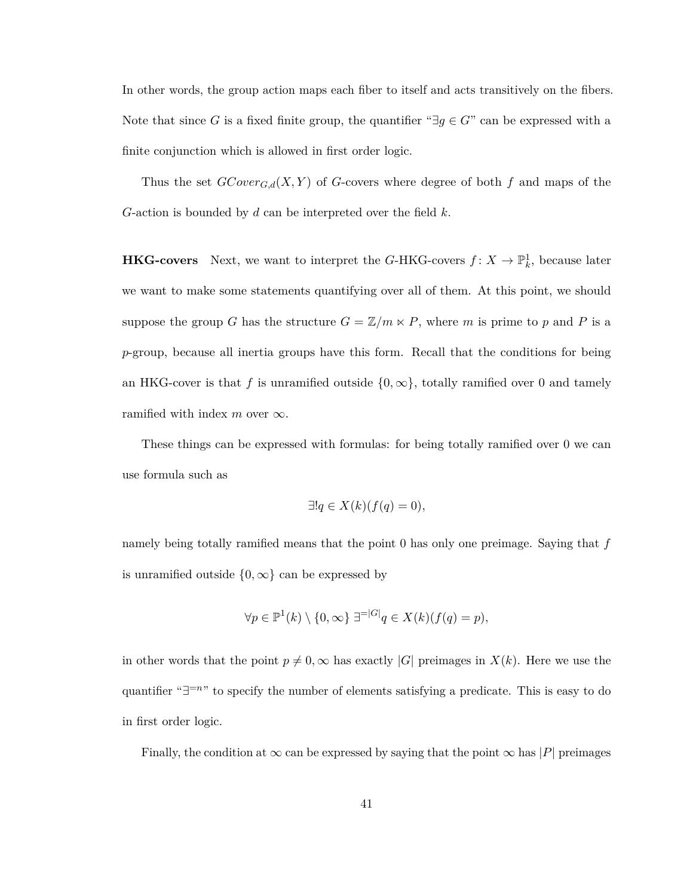In other words, the group action maps each fiber to itself and acts transitively on the fibers. Note that since *G* is a fixed finite group, the quantifier " $\exists g \in G$ " can be expressed with a finite conjunction which is allowed in first order logic.

Thus the set  $GCover_{G,d}(X, Y)$  of *G*-covers where degree of both *f* and maps of the *G*-action is bounded by *d* can be interpreted over the field *k*.

**HKG-covers** Next, we want to interpret the *G*-HKG-covers  $f: X \to \mathbb{P}^1_k$ , because later we want to make some statements quantifying over all of them. At this point, we should suppose the group *G* has the structure  $G = \mathbb{Z}/m \times P$ , where *m* is prime to *p* and *P* is a *p*-group, because all inertia groups have this form. Recall that the conditions for being an HKG-cover is that f is unramified outside  $\{0,\infty\}$ , totally ramified over 0 and tamely ramified with index  $m$  over  $\infty$ .

These things can be expressed with formulas: for being totally ramified over 0 we can use formula such as

$$
\exists! q \in X(k)(f(q) = 0),
$$

namely being totally ramified means that the point 0 has only one preimage. Saying that *f* is unramified outside  $\{0, \infty\}$  can be expressed by

$$
\forall p \in \mathbb{P}^1(k) \setminus \{0, \infty\} \ \exists^{=|G|} q \in X(k)(f(q) = p),
$$

in other words that the point  $p \neq 0$ ,  $\infty$  has exactly |*G*| preimages in *X*(*k*). Here we use the quantifier "∃<sup>=n</sup>" to specify the number of elements satisfying a predicate. This is easy to do in first order logic.

Finally, the condition at  $\infty$  can be expressed by saying that the point  $\infty$  has |*P*| preimages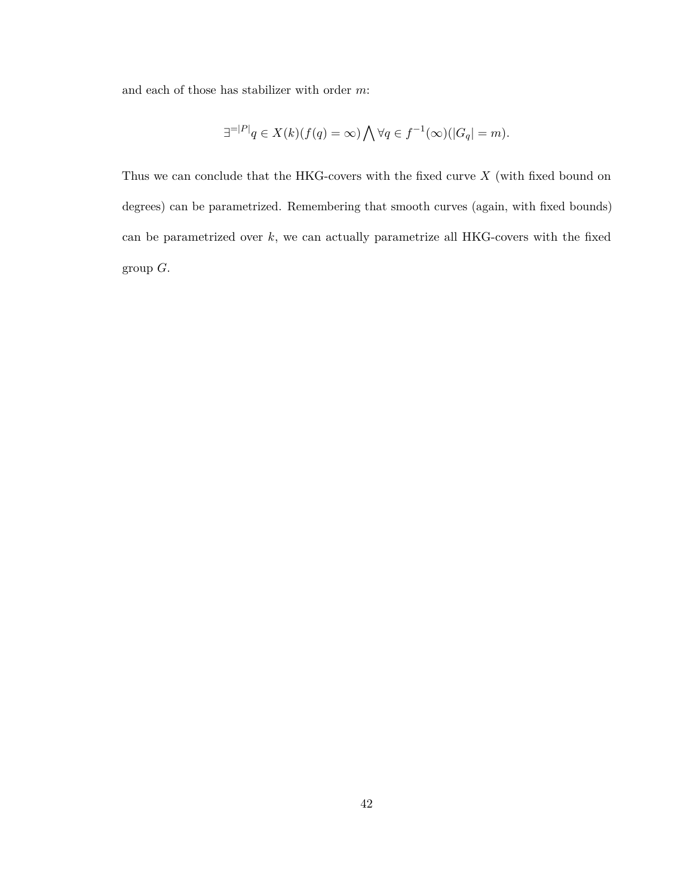and each of those has stabilizer with order *m*:

$$
\exists^{=|P|} q \in X(k)(f(q) = \infty) \bigwedge \forall q \in f^{-1}(\infty)(|G_q| = m).
$$

Thus we can conclude that the HKG-covers with the fixed curve *X* (with fixed bound on degrees) can be parametrized. Remembering that smooth curves (again, with fixed bounds) can be parametrized over *k*, we can actually parametrize all HKG-covers with the fixed group *G*.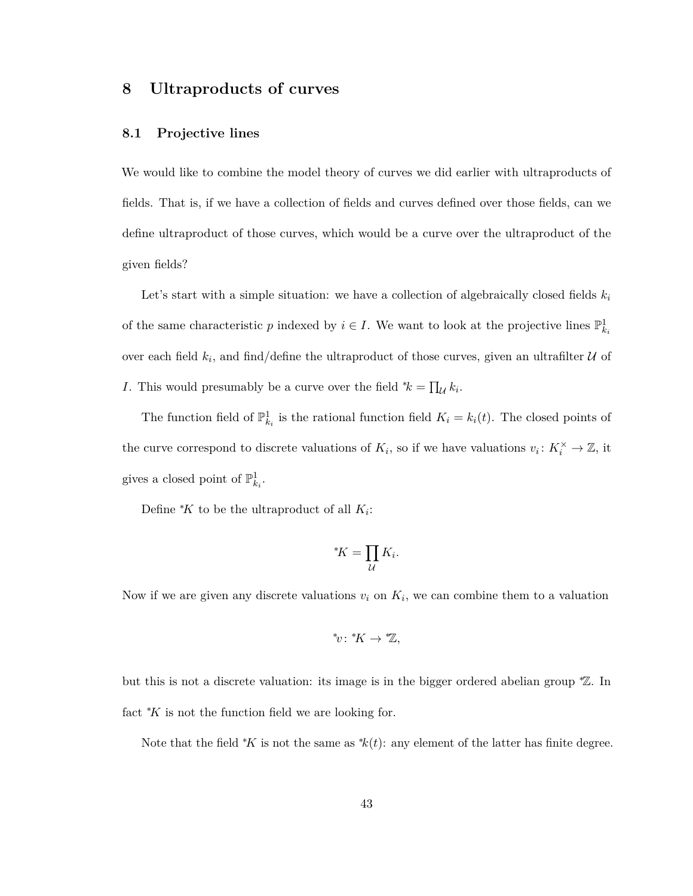## <span id="page-47-0"></span>**8 Ultraproducts of curves**

#### <span id="page-47-1"></span>**8.1 Projective lines**

We would like to combine the model theory of curves we did earlier with ultraproducts of fields. That is, if we have a collection of fields and curves defined over those fields, can we define ultraproduct of those curves, which would be a curve over the ultraproduct of the given fields?

Let's start with a simple situation: we have a collection of algebraically closed fields  $k_i$ of the same characteristic p indexed by  $i \in I$ . We want to look at the projective lines  $\mathbb{P}^1_{k_i}$ over each field  $k_i$ , and find/define the ultraproduct of those curves, given an ultrafilter  $\mathcal U$  of *I*. This would presumably be a curve over the field  $^*k = \prod_{\mathcal{U}} k_i$ .

The function field of  $\mathbb{P}^1_{k_i}$  is the rational function field  $K_i = k_i(t)$ . The closed points of the curve correspond to discrete valuations of  $K_i$ , so if we have valuations  $v_i: K_i^{\times} \to \mathbb{Z}$ , it gives a closed point of  $\mathbb{P}^1_{k_i}$ .

Define  $K$  to be the ultraproduct of all  $K_i$ :

$$
^*\!K = \prod_{\mathcal{U}} K_i.
$$

Now if we are given any discrete valuations  $v_i$  on  $K_i$ , we can combine them to a valuation

$$
^{\ast }\upsilon :\ ^{\ast }K\rightarrow \mathscr{V}_{\alpha },
$$

but this is not a discrete valuation: its image is in the bigger ordered abelian group <sup>∗</sup>Z. In fact <sup>∗</sup>*K* is not the function field we are looking for.

Note that the field <sup>\*</sup>*K* is not the same as  $k(t)$ : any element of the latter has finite degree.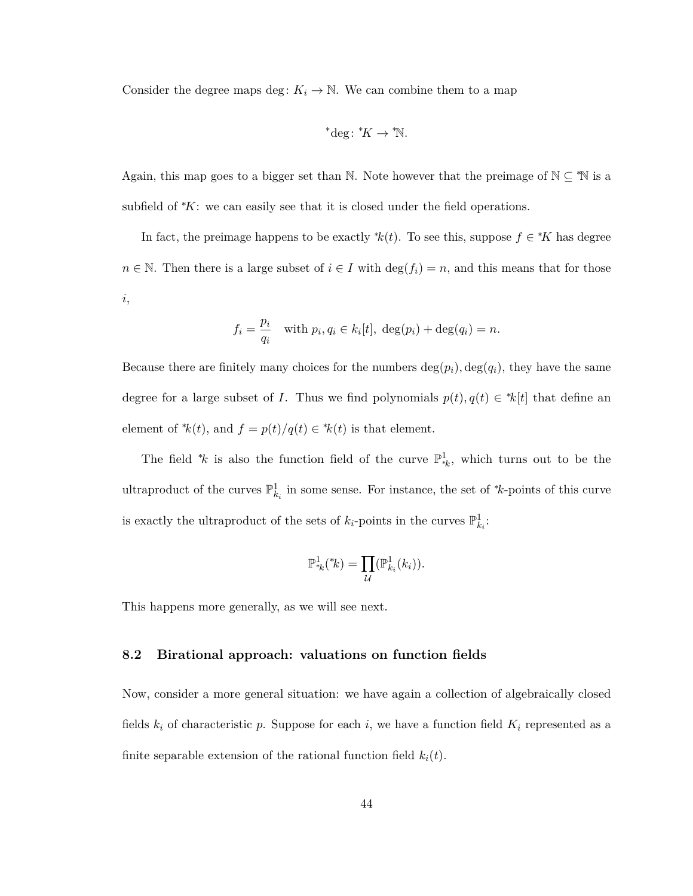Consider the degree maps deg:  $K_i \to \mathbb{N}$ . We can combine them to a map

\*
$$
^*deg:{}^*\!K \to {}^*\!\mathbb{N}.
$$

Again, this map goes to a bigger set than N. Note however that the preimage of  $\mathbb{N} \subseteq \mathbb{N}$  is a subfield of <sup>∗</sup>*K*: we can easily see that it is closed under the field operations.

In fact, the preimage happens to be exactly  $k(t)$ . To see this, suppose  $f \in K$  has degree *n* ∈ N. Then there is a large subset of  $i \in I$  with  $\deg(f_i) = n$ , and this means that for those *i*,

$$
f_i = \frac{p_i}{q_i} \quad \text{with } p_i, q_i \in k_i[t], \deg(p_i) + \deg(q_i) = n.
$$

Because there are finitely many choices for the numbers  $deg(p_i)$ ,  $deg(q_i)$ , they have the same degree for a large subset of *I*. Thus we find polynomials  $p(t)$ ,  $q(t) \in k[t]$  that define an element of  $k(t)$ , and  $f = p(t)/q(t) \in k(t)$  is that element.

The field <sup>\*</sup>*k* is also the function field of the curve  $\mathbb{P}^1_{*k}$ , which turns out to be the ultraproduct of the curves  $\mathbb{P}^1_{k_i}$  in some sense. For instance, the set of \**k*-points of this curve is exactly the ultraproduct of the sets of  $k_i$ -points in the curves  $\mathbb{P}^1_{k_i}$ :

$$
\mathbb{P}^1_{*k}({*k}) = \prod_{\mathcal{U}} (\mathbb{P}^1_{k_i}(k_i)).
$$

This happens more generally, as we will see next.

#### <span id="page-48-0"></span>**8.2 Birational approach: valuations on function fields**

Now, consider a more general situation: we have again a collection of algebraically closed fields  $k_i$  of characteristic  $p$ . Suppose for each  $i$ , we have a function field  $K_i$  represented as a finite separable extension of the rational function field  $k_i(t)$ .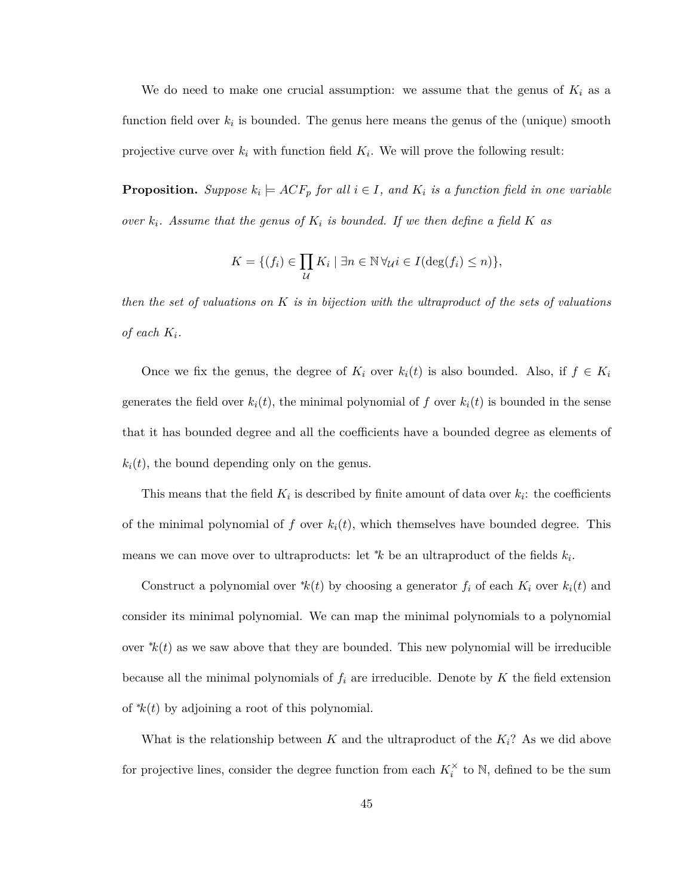We do need to make one crucial assumption: we assume that the genus of  $K_i$  as a function field over  $k_i$  is bounded. The genus here means the genus of the (unique) smooth projective curve over  $k_i$  with function field  $K_i$ . We will prove the following result:

**Proposition.** Suppose  $k_i \models ACF_p$  for all  $i \in I$ , and  $K_i$  is a function field in one variable *over*  $k_i$ *. Assume that the genus of*  $K_i$  *is bounded. If we then define a field*  $K$  *as* 

$$
K = \{ (f_i) \in \prod_{\mathcal{U}} K_i \mid \exists n \in \mathbb{N} \, \forall_{\mathcal{U}} i \in I(\deg(f_i) \leq n) \},\
$$

*then the set of valuations on K is in bijection with the ultraproduct of the sets of valuations of each*  $K_i$ .

Once we fix the genus, the degree of  $K_i$  over  $k_i(t)$  is also bounded. Also, if  $f \in K_i$ generates the field over  $k_i(t)$ , the minimal polynomial of f over  $k_i(t)$  is bounded in the sense that it has bounded degree and all the coefficients have a bounded degree as elements of  $k_i(t)$ , the bound depending only on the genus.

This means that the field  $K_i$  is described by finite amount of data over  $k_i$ : the coefficients of the minimal polynomial of  $f$  over  $k_i(t)$ , which themselves have bounded degree. This means we can move over to ultraproducts: let <sup>∗</sup>*k* be an ultraproduct of the fields *k<sup>i</sup>* .

Construct a polynomial over  $^*k(t)$  by choosing a generator  $f_i$  of each  $K_i$  over  $k_i(t)$  and consider its minimal polynomial. We can map the minimal polynomials to a polynomial over  $k(t)$  as we saw above that they are bounded. This new polynomial will be irreducible because all the minimal polynomials of  $f_i$  are irreducible. Denote by  $K$  the field extension of <sup>∗</sup>*k*(*t*) by adjoining a root of this polynomial.

What is the relationship between  $K$  and the ultraproduct of the  $K_i$ ? As we did above for projective lines, consider the degree function from each  $K_i^{\times}$  to N, defined to be the sum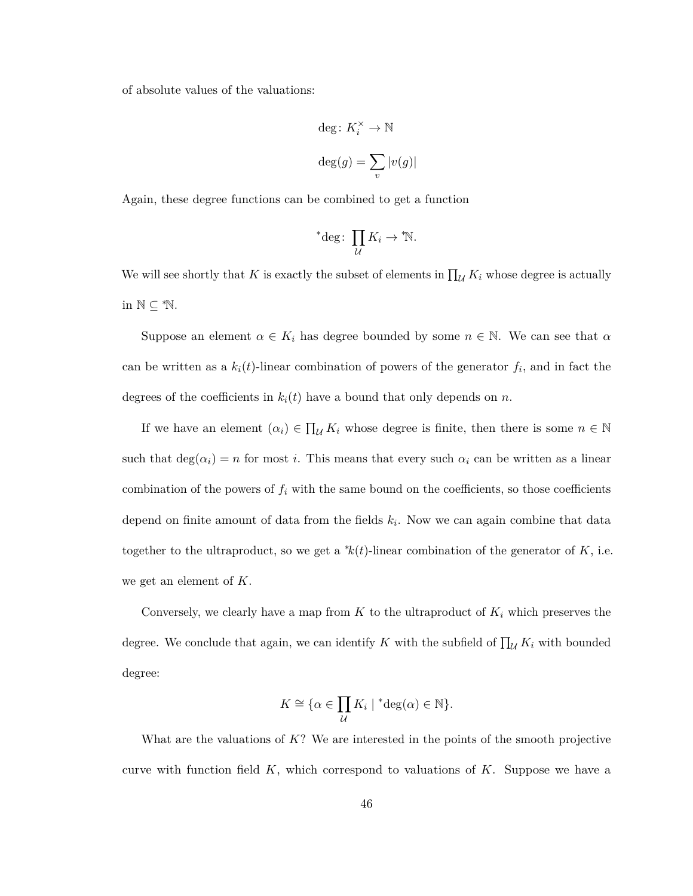of absolute values of the valuations:

$$
\begin{aligned} &\deg\colon K_i^\times\to\mathbb{N}\\ &\deg(g)=\sum_v|v(g)| \end{aligned}
$$

Again, these degree functions can be combined to get a function

\*
$$
{}^*deg\colon \prod_{\mathcal{U}} K_i \to {}^*\! \mathbb{N}.
$$

We will see shortly that *K* is exactly the subset of elements in  $\prod_{\mathcal{U}} K_i$  whose degree is actually in  $\mathbb{N} \subseteq \mathbb{N}$ .

Suppose an element  $\alpha \in K_i$  has degree bounded by some  $n \in \mathbb{N}$ . We can see that  $\alpha$ can be written as a  $k_i(t)$ -linear combination of powers of the generator  $f_i$ , and in fact the degrees of the coefficients in  $k_i(t)$  have a bound that only depends on *n*.

If we have an element  $(\alpha_i) \in \prod_{\mathcal{U}} K_i$  whose degree is finite, then there is some  $n \in \mathbb{N}$ such that  $\deg(\alpha_i) = n$  for most *i*. This means that every such  $\alpha_i$  can be written as a linear combination of the powers of  $f_i$  with the same bound on the coefficients, so those coefficients depend on finite amount of data from the fields *k<sup>i</sup>* . Now we can again combine that data together to the ultraproduct, so we get a  $k(t)$ -linear combination of the generator of K, i.e. we get an element of *K*.

Conversely, we clearly have a map from  $K$  to the ultraproduct of  $K_i$  which preserves the degree. We conclude that again, we can identify *K* with the subfield of  $\prod_{\mathcal{U}} K_i$  with bounded degree:

$$
K \cong \{ \alpha \in \prod_{\mathcal{U}} K_i \mid {}^* \text{deg}(\alpha) \in \mathbb{N} \}.
$$

What are the valuations of *K*? We are interested in the points of the smooth projective curve with function field *K*, which correspond to valuations of *K*. Suppose we have a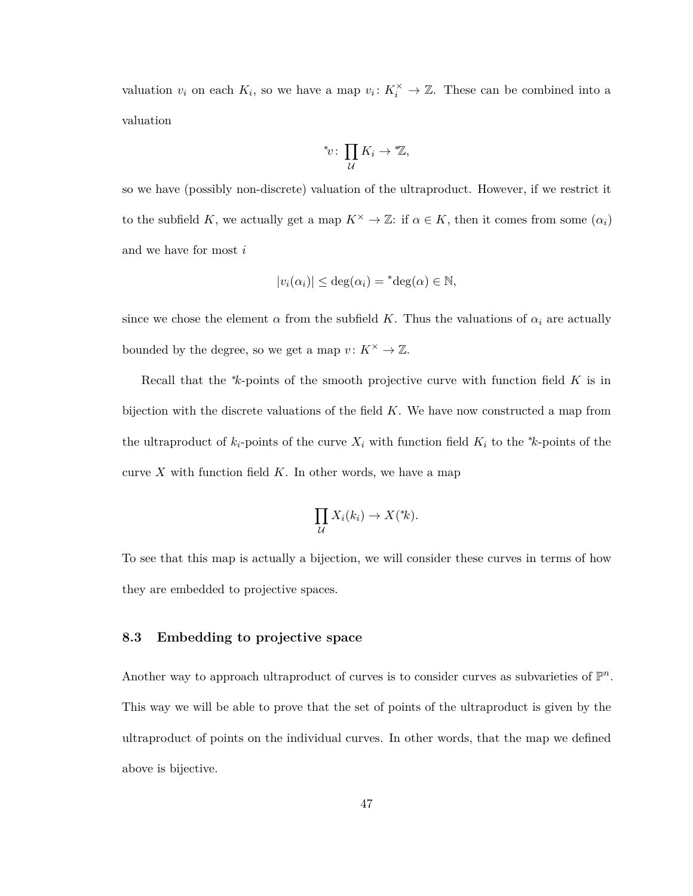valuation  $v_i$  on each  $K_i$ , so we have a map  $v_i: K_i^{\times} \to \mathbb{Z}$ . These can be combined into a valuation

$$
^*\!v\colon \prod_{\mathcal{U}} K_i \to ^*\!{\mathbb{Z}},
$$

so we have (possibly non-discrete) valuation of the ultraproduct. However, if we restrict it to the subfield *K*, we actually get a map  $K^{\times} \to \mathbb{Z}$ : if  $\alpha \in K$ , then it comes from some  $(\alpha_i)$ and we have for most *i*

$$
|v_i(\alpha_i)| \leq \deg(\alpha_i) = {}^* \deg(\alpha) \in \mathbb{N},
$$

since we chose the element  $\alpha$  from the subfield K. Thus the valuations of  $\alpha_i$  are actually bounded by the degree, so we get a map  $v: K^{\times} \to \mathbb{Z}$ .

Recall that the <sup>∗</sup>*k*-points of the smooth projective curve with function field *K* is in bijection with the discrete valuations of the field *K*. We have now constructed a map from the ultraproduct of  $k_i$ -points of the curve  $X_i$  with function field  $K_i$  to the  $*k$ -points of the curve  $X$  with function field  $K$ . In other words, we have a map

$$
\prod_{\mathcal{U}} X_i(k_i) \to X({}^*\!k).
$$

To see that this map is actually a bijection, we will consider these curves in terms of how they are embedded to projective spaces.

#### <span id="page-51-0"></span>**8.3 Embedding to projective space**

Another way to approach ultraproduct of curves is to consider curves as subvarieties of  $\mathbb{P}^n$ . This way we will be able to prove that the set of points of the ultraproduct is given by the ultraproduct of points on the individual curves. In other words, that the map we defined above is bijective.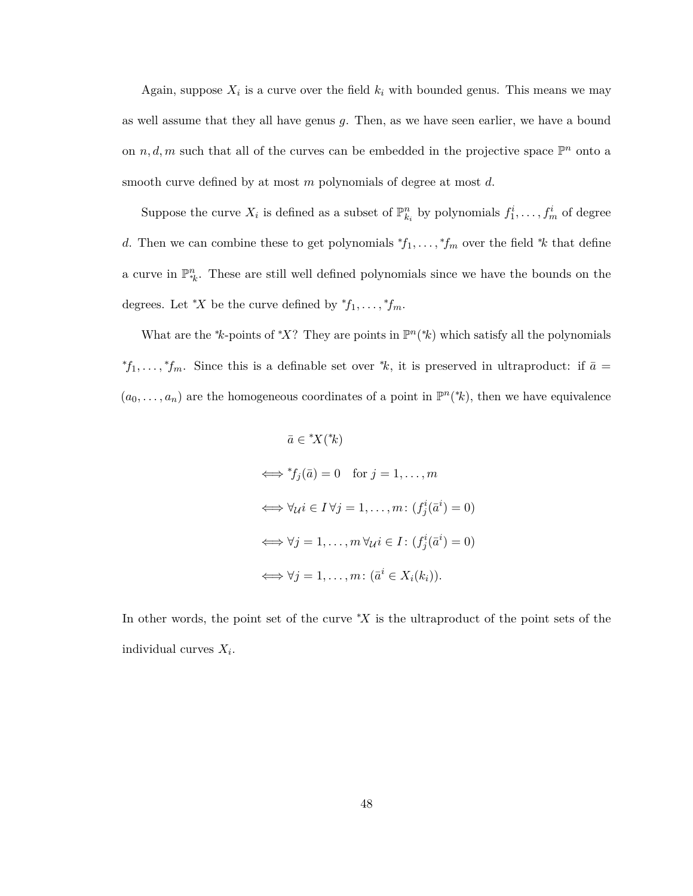Again, suppose  $X_i$  is a curve over the field  $k_i$  with bounded genus. This means we may as well assume that they all have genus *g*. Then, as we have seen earlier, we have a bound on  $n, d, m$  such that all of the curves can be embedded in the projective space  $\mathbb{P}^n$  onto a smooth curve defined by at most *m* polynomials of degree at most *d*.

Suppose the curve  $X_i$  is defined as a subset of  $\mathbb{P}_{k_i}^n$  by polynomials  $f_1^i, \ldots, f_m^i$  of degree *d*. Then we can combine these to get polynomials  ${}^*\!f_1, \ldots, {}^*\!f_m$  over the field  ${}^*\!k$  that define a curve in  $\mathbb{P}_{k}^{n}$ . These are still well defined polynomials since we have the bounds on the degrees. Let <sup>\*</sup>*X* be the curve defined by  ${}^*f_1, \ldots, {}^*f_m$ .

What are the \*k-points of \*X? They are points in  $\mathbb{P}^n$ (\*k) which satisfy all the polynomials  ${}^*f_1, \ldots, {}^*f_m$ . Since this is a definable set over  ${}^*k$ , it is preserved in ultraproduct: if  $\bar{a} =$  $(a_0, \ldots, a_n)$  are the homogeneous coordinates of a point in  $\mathbb{P}^n({}^*\! k)$ , then we have equivalence

$$
\bar{a} \in {^*X}({^*k})
$$
  
\n
$$
\iff {^*f_j}(\bar{a}) = 0 \text{ for } j = 1, ..., m
$$
  
\n
$$
\iff \forall u i \in I \,\forall j = 1, ..., m: (f_j^i(\bar{a}^i) = 0)
$$
  
\n
$$
\iff \forall j = 1, ..., m \,\forall u i \in I: (f_j^i(\bar{a}^i) = 0)
$$
  
\n
$$
\iff \forall j = 1, ..., m: (\bar{a}^i \in X_i(k_i)).
$$

In other words, the point set of the curve <sup>∗</sup>*X* is the ultraproduct of the point sets of the individual curves *X<sup>i</sup>* .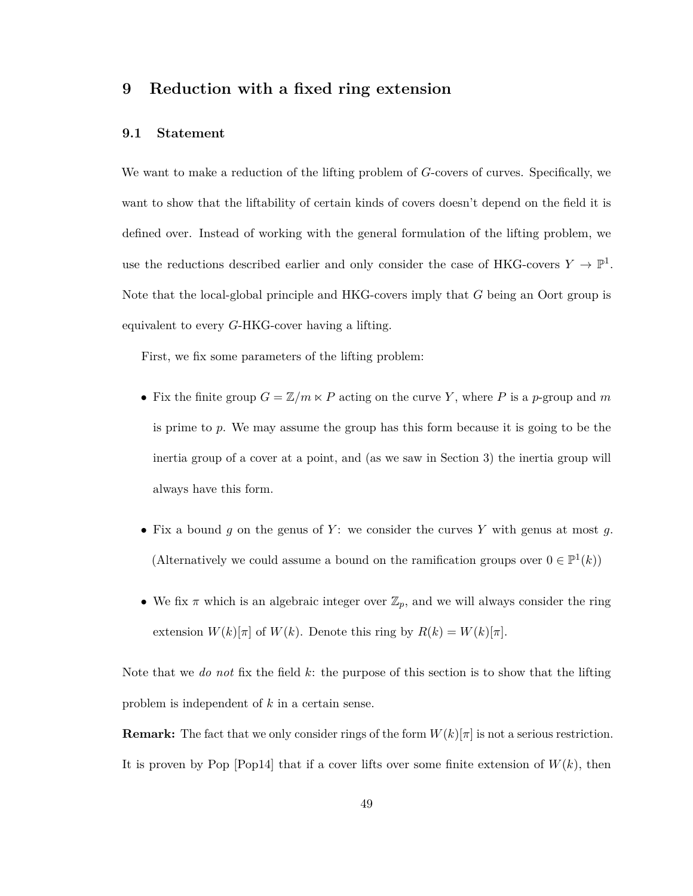## <span id="page-53-0"></span>**9 Reduction with a fixed ring extension**

#### <span id="page-53-1"></span>**9.1 Statement**

We want to make a reduction of the lifting problem of *G*-covers of curves. Specifically, we want to show that the liftability of certain kinds of covers doesn't depend on the field it is defined over. Instead of working with the general formulation of the lifting problem, we use the reductions described earlier and only consider the case of HKG-covers  $Y \to \mathbb{P}^1$ . Note that the local-global principle and HKG-covers imply that *G* being an Oort group is equivalent to every *G*-HKG-cover having a lifting.

First, we fix some parameters of the lifting problem:

- Fix the finite group  $G = \mathbb{Z}/m \times P$  acting on the curve *Y*, where *P* is a *p*-group and *m* is prime to *p*. We may assume the group has this form because it is going to be the inertia group of a cover at a point, and (as we saw in Section [3\)](#page-18-0) the inertia group will always have this form.
- Fix a bound  $g$  on the genus of  $Y$ : we consider the curves  $Y$  with genus at most  $g$ . (Alternatively we could assume a bound on the ramification groups over  $0 \in \mathbb{P}^1(k)$ )
- We fix  $\pi$  which is an algebraic integer over  $\mathbb{Z}_p$ , and we will always consider the ring extension  $W(k)[\pi]$  of  $W(k)$ . Denote this ring by  $R(k) = W(k)[\pi]$ .

Note that we *do not* fix the field *k*: the purpose of this section is to show that the lifting problem is independent of *k* in a certain sense.

**Remark:** The fact that we only consider rings of the form  $W(k)[\pi]$  is not a serious restriction. It is proven by Pop  $[Pop14]$  that if a cover lifts over some finite extension of  $W(k)$ , then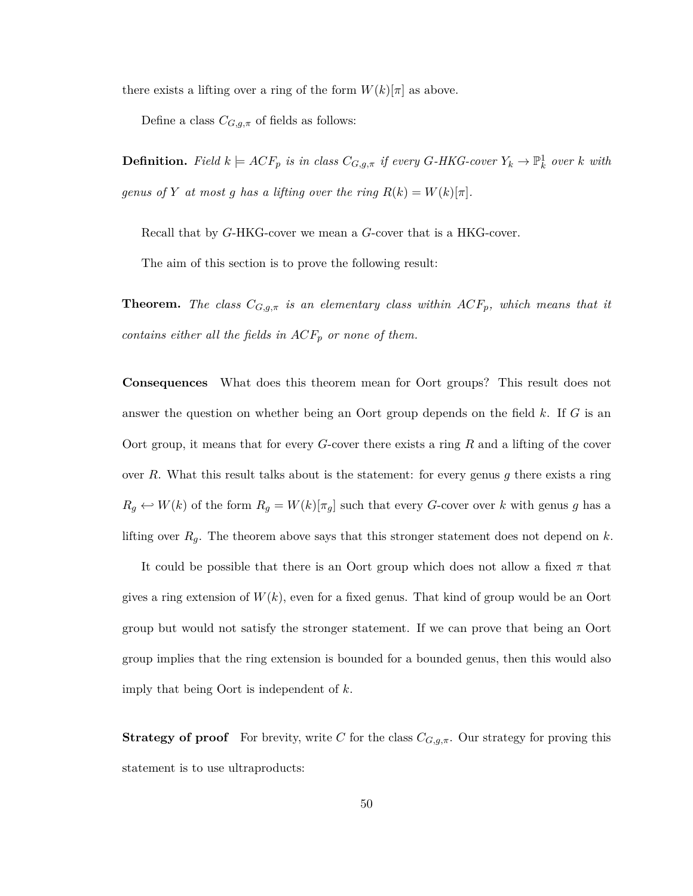there exists a lifting over a ring of the form  $W(k)[\pi]$  as above.

Define a class  $C_{G,g,\pi}$  of fields as follows:

**Definition.** Field  $k \models ACF_p$  is in class  $C_{G,g,\pi}$  if every  $G$ -HKG-cover  $Y_k \to \mathbb{P}^1_k$  over  $k$  with *genus of Y at most g has a lifting over the ring*  $R(k) = W(k)[\pi]$ .

Recall that by *G*-HKG-cover we mean a *G*-cover that is a HKG-cover.

The aim of this section is to prove the following result:

**Theorem.** *The class CG,g,π is an elementary class within ACFp, which means that it contains either all the fields in ACF<sup>p</sup> or none of them.*

**Consequences** What does this theorem mean for Oort groups? This result does not answer the question on whether being an Oort group depends on the field *k*. If *G* is an Oort group, it means that for every *G*-cover there exists a ring *R* and a lifting of the cover over *R*. What this result talks about is the statement: for every genus *g* there exists a ring  $R_g \leftrightarrow W(k)$  of the form  $R_g = W(k)[\pi_g]$  such that every *G*-cover over *k* with genus *g* has a lifting over *Rg*. The theorem above says that this stronger statement does not depend on *k*.

It could be possible that there is an Oort group which does not allow a fixed *π* that gives a ring extension of  $W(k)$ , even for a fixed genus. That kind of group would be an Oort group but would not satisfy the stronger statement. If we can prove that being an Oort group implies that the ring extension is bounded for a bounded genus, then this would also imply that being Oort is independent of *k*.

**Strategy of proof** For brevity, write *C* for the class  $C_{G,g,\pi}$ . Our strategy for proving this statement is to use ultraproducts: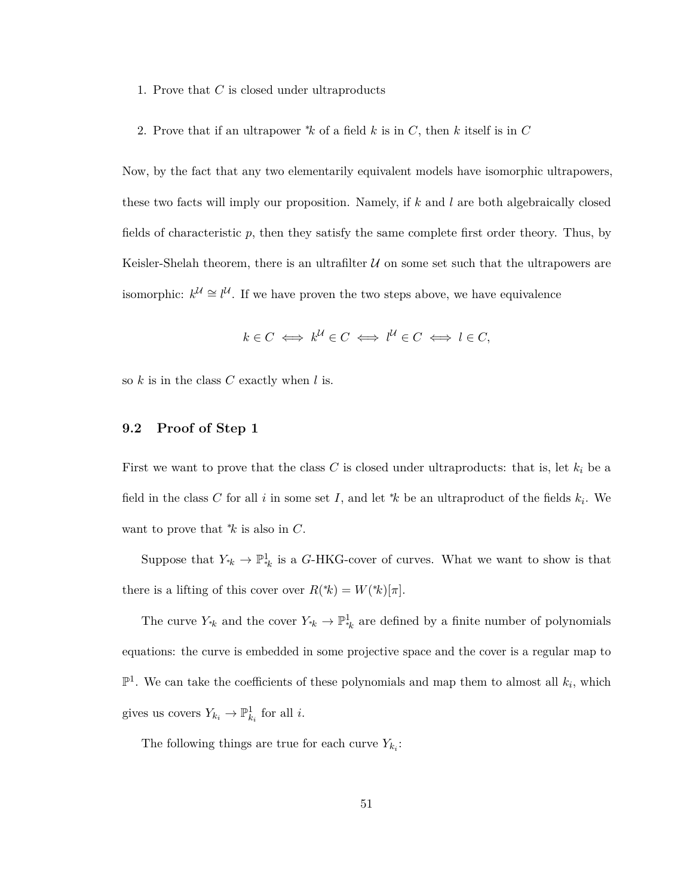- 1. Prove that *C* is closed under ultraproducts
- 2. Prove that if an ultrapower <sup>∗</sup>*k* of a field *k* is in *C*, then *k* itself is in *C*

Now, by the fact that any two elementarily equivalent models have isomorphic ultrapowers, these two facts will imply our proposition. Namely, if *k* and *l* are both algebraically closed fields of characteristic *p*, then they satisfy the same complete first order theory. Thus, by Keisler-Shelah theorem, there is an ultrafilter  $U$  on some set such that the ultrapowers are isomorphic:  $k^{\mathcal{U}} \cong l^{\mathcal{U}}$ . If we have proven the two steps above, we have equivalence

$$
k \in C \iff k^{\mathcal{U}} \in C \iff l^{\mathcal{U}} \in C \iff l \in C,
$$

so *k* is in the class *C* exactly when *l* is.

### <span id="page-55-0"></span>**9.2 Proof of Step 1**

First we want to prove that the class *C* is closed under ultraproducts: that is, let *k<sup>i</sup>* be a field in the class *C* for all *i* in some set *I*, and let  $*k$  be an ultraproduct of the fields  $k_i$ . We want to prove that <sup>∗</sup>*k* is also in *C*.

Suppose that  $Y_{*k} \to \mathbb{P}^1_{*k}$  is a *G*-HKG-cover of curves. What we want to show is that there is a lifting of this cover over  $R({*}) = W({*})[\pi]$ .

The curve  $Y_{*k}$  and the cover  $Y_{*k} \to \mathbb{P}^1_{*k}$  are defined by a finite number of polynomials equations: the curve is embedded in some projective space and the cover is a regular map to  $\mathbb{P}^1$ . We can take the coefficients of these polynomials and map them to almost all  $k_i$ , which gives us covers  $Y_{k_i} \to \mathbb{P}^1_{k_i}$  for all *i*.

The following things are true for each curve  $Y_{k_i}$ :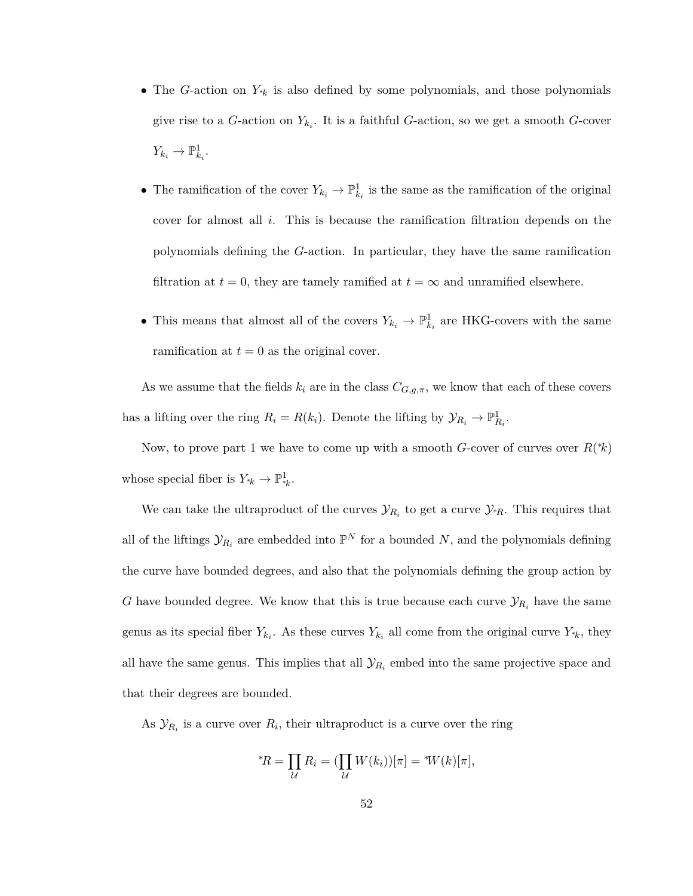- The *G*-action on *Y*<sup>∗</sup>*<sup>k</sup>* is also defined by some polynomials, and those polynomials give rise to a *G*-action on *Yk<sup>i</sup>* . It is a faithful *G*-action, so we get a smooth *G*-cover  $Y_{k_i} \to \mathbb{P}^1_{k_i}.$
- The ramification of the cover  $Y_{k_i} \to \mathbb{P}^1_{k_i}$  is the same as the ramification of the original cover for almost all *i*. This is because the ramification filtration depends on the polynomials defining the *G*-action. In particular, they have the same ramification filtration at  $t = 0$ , they are tamely ramified at  $t = \infty$  and unramified elsewhere.
- This means that almost all of the covers  $Y_{k_i} \to \mathbb{P}^1_{k_i}$  are HKG-covers with the same ramification at  $t = 0$  as the original cover.

As we assume that the fields  $k_i$  are in the class  $C_{G,g,\pi}$ , we know that each of these covers has a lifting over the ring  $R_i = R(k_i)$ . Denote the lifting by  $\mathcal{Y}_{R_i} \to \mathbb{P}^1_{R_i}$ .

Now, to prove part 1 we have to come up with a smooth *G*-cover of curves over  $R$ <sup>\*</sup> $k$ </sup>) whose special fiber is  $Y_{*k} \to \mathbb{P}^1_{*k}$ .

We can take the ultraproduct of the curves  $\mathcal{Y}_{R_i}$  to get a curve  $\mathcal{Y}_{*R}$ . This requires that all of the liftings  $\mathcal{Y}_{R_i}$  are embedded into  $\mathbb{P}^N$  for a bounded N, and the polynomials defining the curve have bounded degrees, and also that the polynomials defining the group action by *G* have bounded degree. We know that this is true because each curve  $\mathcal{Y}_{R_i}$  have the same genus as its special fiber  $Y_{k_i}$ . As these curves  $Y_{k_i}$  all come from the original curve  $Y_{*k}$ , they all have the same genus. This implies that all  $\mathcal{Y}_{R_i}$  embed into the same projective space and that their degrees are bounded.

As  $\mathcal{Y}_{R_i}$  is a curve over  $R_i$ , their ultraproduct is a curve over the ring

$$
{}^*\!R = \prod_{\mathcal{U}} R_i = (\prod_{\mathcal{U}} W(k_i))[\pi] = {}^*\!W(k)[\pi],
$$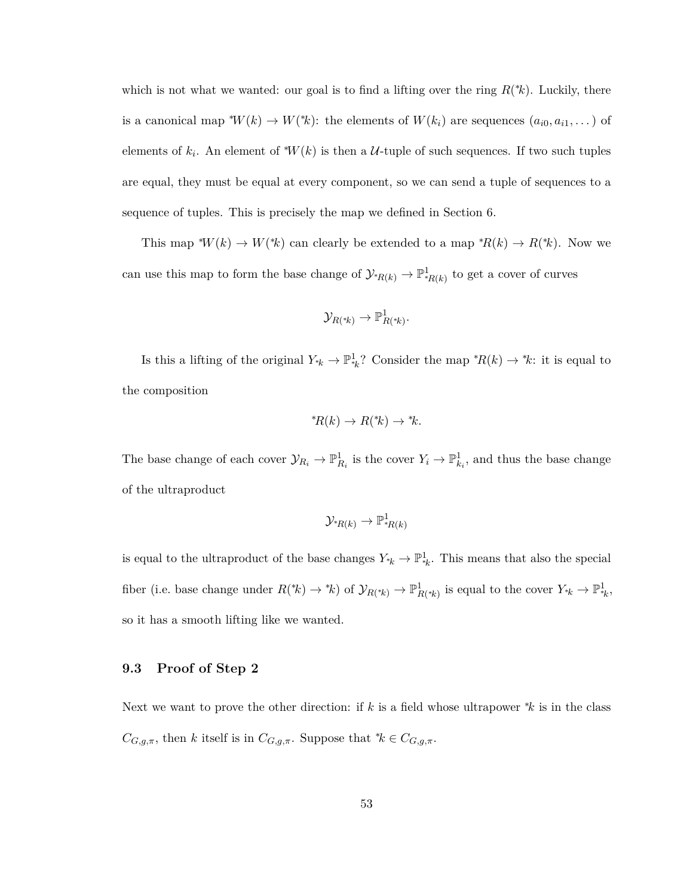which is not what we wanted: our goal is to find a lifting over the ring  $R(*_k)$ . Luckily, there is a canonical map  $^*W(k) \to W(^*k)$ : the elements of  $W(k_i)$  are sequences  $(a_{i0}, a_{i1}, \dots)$  of elements of  $k_i$ . An element of <sup>\*</sup>*W*(*k*) is then a *U*-tuple of such sequences. If two such tuples are equal, they must be equal at every component, so we can send a tuple of sequences to a sequence of tuples. This is precisely the map we defined in Section [6.](#page-34-0)

This map  $^*W(k) \to W(^*k)$  can clearly be extended to a map  $^*R(k) \to R(^*k)$ . Now we can use this map to form the base change of  $\mathcal{Y}_{{}^*R(k)} \to \mathbb{P}^1_{{}^*R(k)}$  to get a cover of curves

$$
\mathcal{Y}_{R(*k)} \to \mathbb{P}^1_{R(*k)}.
$$

Is this a lifting of the original  $Y_{*k} \to \mathbb{P}_{*k}^1$ ? Consider the map  ${}^*R(k) \to {}^*k$ : it is equal to the composition

$$
^*\!R(k) \to R(^*\!k) \to ^*\!k.
$$

The base change of each cover  $\mathcal{Y}_{R_i} \to \mathbb{P}^1_{R_i}$  is the cover  $Y_i \to \mathbb{P}^1_{k_i}$ , and thus the base change of the ultraproduct

$$
\mathcal{Y}_{{}^*\!R(k)}\to \mathbb{P}^1_{{}^*\!R(k)}
$$

is equal to the ultraproduct of the base changes  $Y_{*k} \to \mathbb{P}^1_{*k}$ . This means that also the special fiber (i.e. base change under  $R(\kappa) \to \kappa$ ) of  $\mathcal{Y}_{R(\kappa)} \to \mathbb{P}^1_{R(\kappa)}$  is equal to the cover  $Y_{\kappa} \to \mathbb{P}^1_{\kappa},$ so it has a smooth lifting like we wanted.

#### <span id="page-57-0"></span>**9.3 Proof of Step 2**

Next we want to prove the other direction: if *k* is a field whose ultrapower <sup>∗</sup>*k* is in the class  $C_{G,g,\pi}$ , then *k* itself is in  $C_{G,g,\pi}$ . Suppose that \* $k \in C_{G,g,\pi}$ .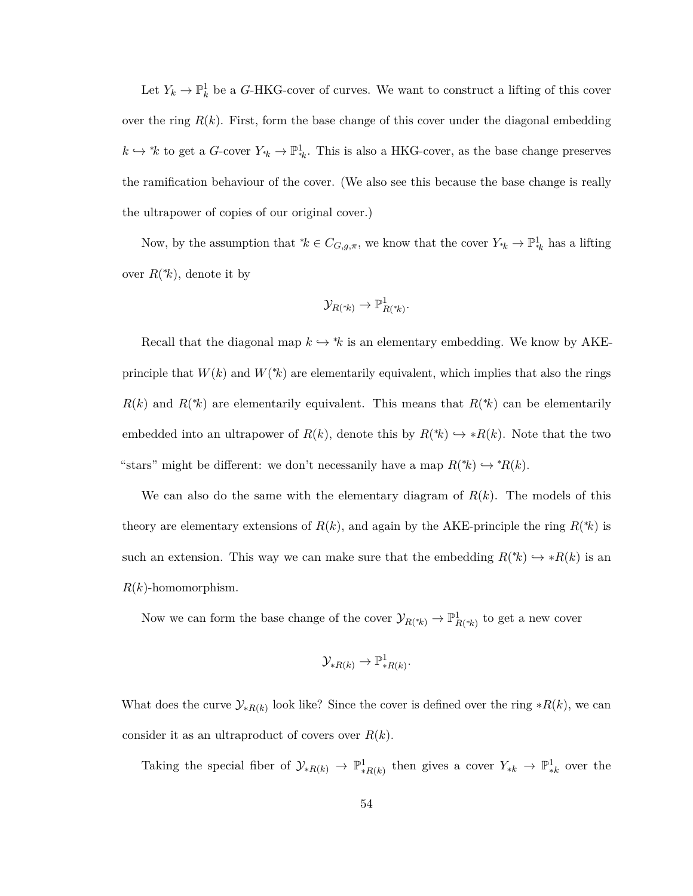Let  $Y_k \to \mathbb{P}^1_k$  be a *G*-HKG-cover of curves. We want to construct a lifting of this cover over the ring  $R(k)$ . First, form the base change of this cover under the diagonal embedding  $k \hookrightarrow k$  to get a *G*-cover  $Y_{*k} \to \mathbb{P}^1_{*k}$ . This is also a HKG-cover, as the base change preserves the ramification behaviour of the cover. (We also see this because the base change is really the ultrapower of copies of our original cover.)

Now, by the assumption that  ${}^*\!k \in C_{G,g,\pi}$ , we know that the cover  $Y_{*k} \to \mathbb{P}^1_{*k}$  has a lifting over  $R(*k)$ , denote it by

$$
\mathcal{Y}_{R(*k)}\to \mathbb{P}^1_{R(*k)}.
$$

Recall that the diagonal map  $k \hookrightarrow k$  is an elementary embedding. We know by AKEprinciple that  $W(k)$  and  $W(k)$  are elementarily equivalent, which implies that also the rings  $R(k)$  and  $R(k)$  are elementarily equivalent. This means that  $R(k)$  can be elementarily embedded into an ultrapower of  $R(k)$ , denote this by  $R(*k) \hookrightarrow *R(k)$ . Note that the two "stars" might be different: we don't necessanily have a map  $R(\kappa) \hookrightarrow \kappa R(k)$ .

We can also do the same with the elementary diagram of  $R(k)$ . The models of this theory are elementary extensions of  $R(k)$ , and again by the AKE-principle the ring  $R(k)$  is such an extension. This way we can make sure that the embedding  $R(\kappa) \hookrightarrow R(k)$  is an *R*(*k*)-homomorphism.

Now we can form the base change of the cover  $\mathcal{Y}_{R(*_k)} \to \mathbb{P}^1_{R(*_k)}$  to get a new cover

$$
\mathcal{Y}_{*R(k)} \to \mathbb{P}^1_{*R(k)}.
$$

What does the curve  $\mathcal{Y}_{*R(k)}$  look like? Since the cover is defined over the ring  $*R(k)$ , we can consider it as an ultraproduct of covers over *R*(*k*).

Taking the special fiber of  $\mathcal{Y}_{*R(k)} \to \mathbb{P}^1_{*R(k)}$  then gives a cover  $Y_{*k} \to \mathbb{P}^1_{*k}$  over the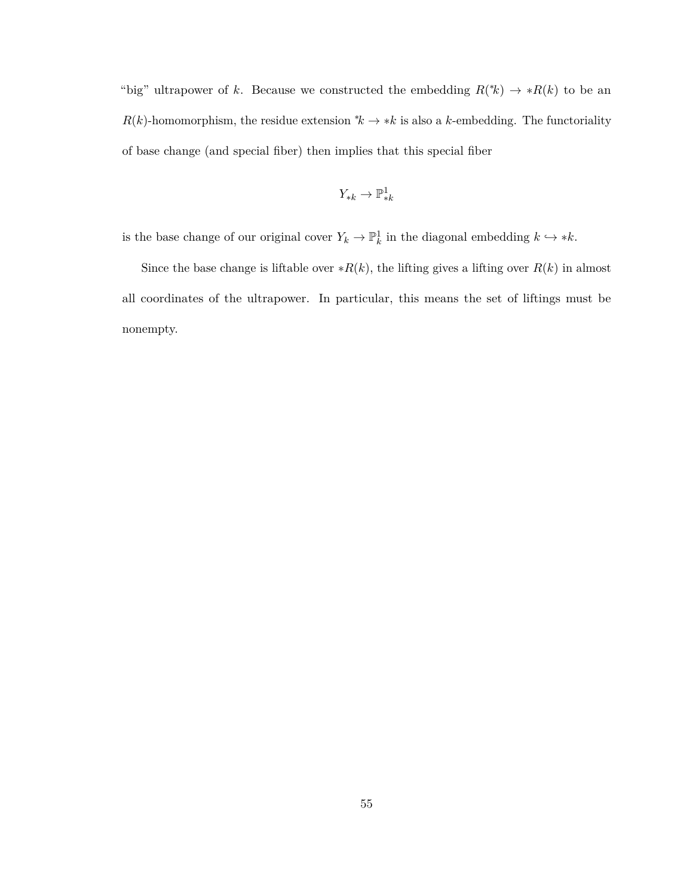"big" ultrapower of *k*. Because we constructed the embedding  $R$ <sup>\*</sup>(\*)  $\rightarrow$  \* $R$ (*k*) to be an *R*(*k*)-homomorphism, the residue extension  $*k \to *k$  is also a *k*-embedding. The functoriality of base change (and special fiber) then implies that this special fiber

$$
Y_{*k}\to \mathbb{P}^1_{*k}
$$

is the base change of our original cover  $Y_k \to \mathbb{P}^1_k$  in the diagonal embedding  $k \to *k$ .

Since the base change is liftable over  $*R(k)$ , the lifting gives a lifting over  $R(k)$  in almost all coordinates of the ultrapower. In particular, this means the set of liftings must be nonempty.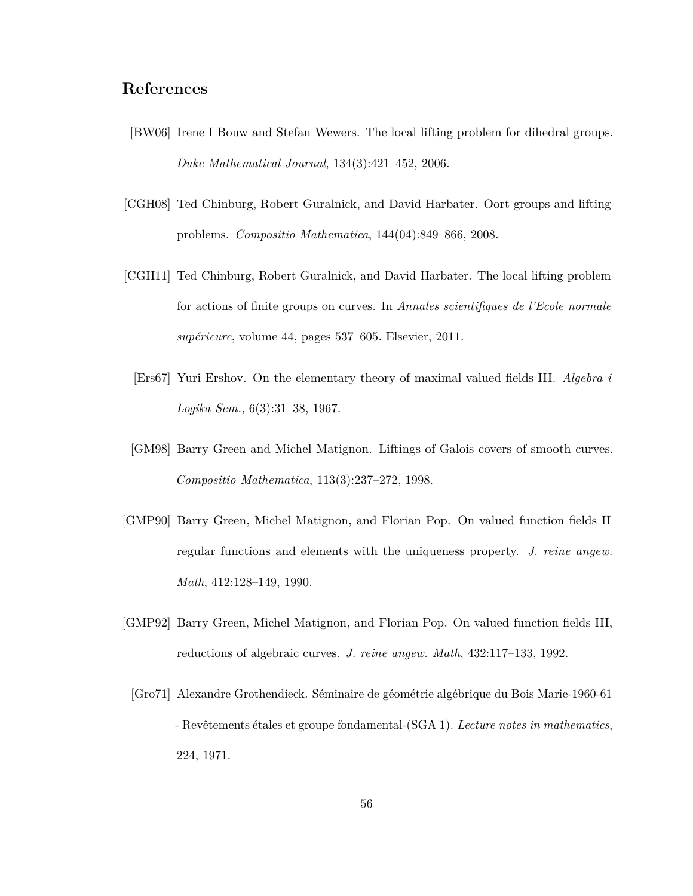## **References**

- <span id="page-60-4"></span>[BW06] Irene I Bouw and Stefan Wewers. The local lifting problem for dihedral groups. *Duke Mathematical Journal*, 134(3):421–452, 2006.
- <span id="page-60-1"></span>[CGH08] Ted Chinburg, Robert Guralnick, and David Harbater. Oort groups and lifting problems. *Compositio Mathematica*, 144(04):849–866, 2008.
- <span id="page-60-7"></span><span id="page-60-2"></span>[CGH11] Ted Chinburg, Robert Guralnick, and David Harbater. The local lifting problem for actions of finite groups on curves. In *Annales scientifiques de l'Ecole normale supérieure*, volume 44, pages 537–605. Elsevier, 2011.
	- [Ers67] Yuri Ershov. On the elementary theory of maximal valued fields III. *Algebra i Logika Sem.*, 6(3):31–38, 1967.
- <span id="page-60-3"></span>[GM98] Barry Green and Michel Matignon. Liftings of Galois covers of smooth curves. *Compositio Mathematica*, 113(3):237–272, 1998.
- <span id="page-60-6"></span>[GMP90] Barry Green, Michel Matignon, and Florian Pop. On valued function fields II regular functions and elements with the uniqueness property. *J. reine angew. Math*, 412:128–149, 1990.
- <span id="page-60-5"></span><span id="page-60-0"></span>[GMP92] Barry Green, Michel Matignon, and Florian Pop. On valued function fields III, reductions of algebraic curves. *J. reine angew. Math*, 432:117–133, 1992.
	- [Gro71] Alexandre Grothendieck. Séminaire de géométrie algébrique du Bois Marie-1960-61 - Revêtements étales et groupe fondamental-(SGA 1). *Lecture notes in mathematics*, 224, 1971.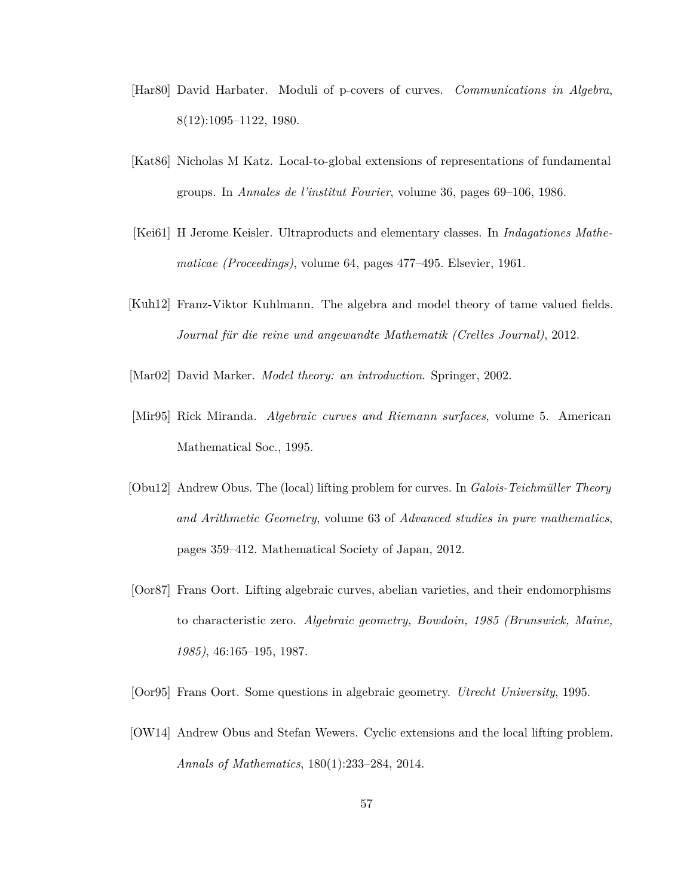- <span id="page-61-5"></span>[Har80] David Harbater. Moduli of p-covers of curves. *Communications in Algebra*, 8(12):1095–1122, 1980.
- <span id="page-61-6"></span>[Kat86] Nicholas M Katz. Local-to-global extensions of representations of fundamental groups. In *Annales de l'institut Fourier*, volume 36, pages 69–106, 1986.
- <span id="page-61-8"></span>[Kei61] H Jerome Keisler. Ultraproducts and elementary classes. In *Indagationes Mathematicae (Proceedings)*, volume 64, pages 477–495. Elsevier, 1961.
- <span id="page-61-9"></span>[Kuh12] Franz-Viktor Kuhlmann. The algebra and model theory of tame valued fields. *Journal für die reine und angewandte Mathematik (Crelles Journal)*, 2012.
- <span id="page-61-7"></span><span id="page-61-3"></span>[Mar02] David Marker. *Model theory: an introduction*. Springer, 2002.
- [Mir95] Rick Miranda. *Algebraic curves and Riemann surfaces*, volume 5. American Mathematical Soc., 1995.
- <span id="page-61-4"></span>[Obu12] Andrew Obus. The (local) lifting problem for curves. In *Galois-Teichmüller Theory and Arithmetic Geometry*, volume 63 of *Advanced studies in pure mathematics*, pages 359–412. Mathematical Society of Japan, 2012.
- <span id="page-61-0"></span>[Oor87] Frans Oort. Lifting algebraic curves, abelian varieties, and their endomorphisms to characteristic zero. *Algebraic geometry, Bowdoin, 1985 (Brunswick, Maine, 1985)*, 46:165–195, 1987.
- <span id="page-61-2"></span><span id="page-61-1"></span>[Oor95] Frans Oort. Some questions in algebraic geometry. *Utrecht University*, 1995.
- [OW14] Andrew Obus and Stefan Wewers. Cyclic extensions and the local lifting problem. *Annals of Mathematics*, 180(1):233–284, 2014.